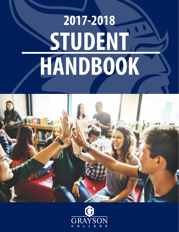# **STUDENT HANDBOOK 2017-2018**



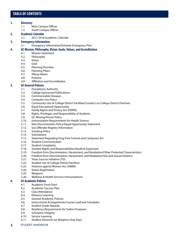# **TABLE OF CONTENTS**

# **1. Directory**

- 1.1. Main Campus Offices
- 1.2. South Campus Offices

# **2. Academic Calendar**

# 2.1. 2017-2018 Academic Calendar

# **3. Emergency Information**

3.1. Emergency Information/Extreme Emergency Plan

# **4. GC Mission, Philosophy, Vision, Goals, Values, and Accreditation**

- 4.1. Mission Statement
- 4.2. Philosophy
- 4.3. Vision
- 4.4. Goal
- 4.5. Planning Priorities.
- 4.6. Planning Pillars
- 4.7. Viking Values
- 4.8. Purpose
- 4.9. Affiliation and Accreditation

# **5. GC General Policies**

- 5.1. Disciplinary Authority
- 5.2. College Sponsored Publications
- 5.3. Communicable Diseases
- 5.4. Computer Use Policy
- 5.5. Community Use of College District Facilities/Conduct on College District Premises
- 5.6. Equal Educational Opportunity
- 5.7. Family Rights and Privacy Act (FERPA)
- 5.8. Rights, Privileges, and Responsibility of Students
- 5.9. GC Missing Person Policy
- 5.10. Immunization Requirements for Health Science
- 5.11. Non-Discrimination Policy/Equal Opportunity Statement
- 5.12. Sex Offender Registry Information
- 5.13. Smoking Policy
- 5.14. Solicitations
- 5.15. Statement Regarding Drug-Free Schools and Campuses Act
- 5.16. Student Communication
- 5.17. Student Complaints
- 5.18. Student Rights and Responsibilities/Student Expression
- 5.19. Freedom from Discrimination, Harassment, and Retaliation/Other Protected Characteristics
- 5.20. Freedom from Discrimination, Harassment, and Retaliation/Sex and Sexual Violence
- 5.21. Texas Success Initiative (TSI)
- 5.22. Student Use of College District Facilities
- 5.23. Violence against Women Act (VAWA)
- 5.24. Voters Registration
- 5.25. Weapons
- 5.26. Wellness & Health Services Immunizations

# **6. GC Academic Policies**

- 6.1. Academic Fresh Start
- 6.2. Academic Success Plan
- 6.3. Class Attendance
- 6.4. Distance Learning
- 6.5. General Academic Policies
- 6.6. Instructional Arrangements/Course Load and Schedules
- 6.7. Student Grade Appeals
- 6.8. Residency Requirements for Tuition Purposes
- 6.9. Scholastic Integrity
- 6.10. Service Learning
- 6.11. Student Absences on Religions Holy Days
- **2** STUDENT HANDBOOK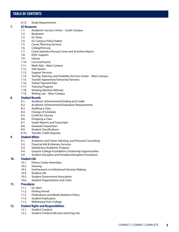# **TABLE OF CONTENTS**

6.13. Study Requirements

# **7. GC Resources**

- 7.1. Academic Success Center South Campus
- 7.2. Bookstore
- 7.3. GC Perks
- 7.4. GC Campus Police/Safety
- 7.5. Career Planning Services
- 7.6. CollegeFish.org
- 7.7. Crime Statistics/Annual Crime and Activities Report
- 7.8. ESOL Support
- 7.9. Library
- 7.10. Lost and Found
- 7.11. Math Hub Main Campus
- 7.12. Safe Spaces
- 7.13. Support Services
- 7.14. Testing, Tutoring, and Disability Services Center Main Campus
- 7.15. Transfer Agreement/University Partners
- 7.16. Tuition Payment Plan
- 7.17. Tutoring Program
- 7.18. Vending Machine Refunds
- 7.19. Writing Lab Main Campus

# **8. Student Records**

- 8.1. Academic Achievement/Grading and Credit
- 8.2. Academic Achievement/Graduation Requirements
- 8.3. Auditing a Class
- 8.4. Change of Schedule
- 8.5. Credit for Courses
- 8.6. Dropping a Class
- 8.7. Grade Reports and Transcripts
- 8.8. Graduate Guarantees
- 8.9. Student Classifications
- 8.10. Transfer Credit Disputes

# **9. Student Affairs**

- 9.1. Academic and Career Advising, and Personal Counseling
- 9.2. Financial Aid & Veterans Services
- 9.3. Satisfactory Academic Progress
- 9.4. Grayson College Foundation Scholarship Opportunities
- 9.9. Student Discipline and Penalties/Discipline Procedures

# **10. Student Life**

- 10.1. Fitness Center Amenities
- 10.2. Housing
- 10.3. Involvement in Institutional Decision Making
- 10.4. Student Life
- 10.5. Student Government Association
- 10.6. Student Organizations and Clubs

# **11. Procedures**

- 11.1. GC Alert
- 11.2. Parking Permit
- 11.3. Publications and Media Relations Policy
- 11.4. Student Publication
- 11.5. Withdrawal from College

### **12. Student Rights and Responsibilities**

- 12.1. Student Conduct
- 12.2. Student Conduct/Alcohol and Drug Use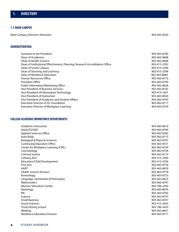# **1. DIRECTORY**

# **1.1 MAIN CAMPUS**

Main Campus (Denison-Sherman) 903-465-6030

### **ADMINISTRATION:**

| Assistant to the President                                                   | 903-463-8790 |
|------------------------------------------------------------------------------|--------------|
| Dean of Academics                                                            | 903-463-8608 |
| Dean of Health Science                                                       | 903-463-8688 |
| Dean of Institutional Effectiveness, Planning, Research Accreditation Office | 903-415-2592 |
| Dean of South Campus                                                         | 903-415-2506 |
| Dean of Teaching and Learning                                                | 903-415-2598 |
| Dean of Workforce Education                                                  | 903-463-8685 |
| Human Resources Office                                                       | 903-463-8770 |
| President Office                                                             | 903-463-8700 |
| Public Information/Marketing Office                                          | 903-463-8628 |
| Vice President of Business Services                                          | 903-463-8742 |
| Vice President of Information Technology                                     | 903-415-2591 |
| Vice President of Instruction                                                | 903-463-8634 |
| Vice President of Academic and Student Affairs                               | 903-463-8793 |
| Executive Director of GC Foundation                                          | 903-463-8717 |
| <b>Executive Director of Workplace Learning</b>                              | 903-463-8759 |

# **COLLEGE ACADEMIC/WORKFORCE DEPARTMENTS:**

| Academic Instruction                      | 903-463-8610 |
|-------------------------------------------|--------------|
| Adult ED/GED                              | 903-463-8784 |
| <b>Applied Sciences Office</b>            | 903-463-8782 |
| Auto Body                                 | 903-463-8715 |
| <b>Biological &amp; Physical Sciences</b> | 903-463-8797 |
| <b>Continuing Education Office</b>        | 903-463-8731 |
| Center for Workplace Learning (CWL)       | 903-463-8750 |
| Cosmetology                               | 903-463-8744 |
| <b>Criminal Justice</b>                   | 903-463-8710 |
| <b>Culinary Arts</b>                      | 903-415-2583 |
| <b>Education/Child Development</b>        | 903-415-2556 |
| <b>Fine Arts</b>                          | 903-463-8734 |
| <b>HART</b>                               | 903-463-8676 |
| <b>Health Science Division</b>            | 903-463-8778 |
| Kinesiology                               | 903-463-8753 |
| Language, Humanities & Philosophy         | 903-463-8623 |
| <b>Mathematics</b>                        | 903-463-8797 |
| <b>Munson Viticulture Center</b>          | 903-786-2393 |
| Radiology                                 | 903-463-8676 |
| <b>RN</b>                                 | 903-463-8782 |
| Science                                   | 903-463-8797 |
| <b>Small Business</b>                     | 903-463-8787 |
| <b>Social Sciences</b>                    | 903-415-2654 |
| <b>Truck Driving School</b>               | 903-786-4343 |
| Welding                                   | 903-463-8657 |
| <b>Workforce Education Division</b>       | 903-463-8771 |
|                                           |              |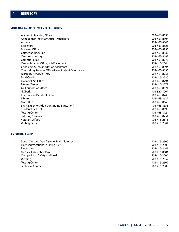# **STUDENT/CAMPUS SERVICES DEPARTMENTS:**

| Academic Advising Office                           | 903-463-8695 |
|----------------------------------------------------|--------------|
| Admissions/Registrar Office/Transcripts            | 903-463-8604 |
| <b>Athletics</b>                                   | 903-463-8645 |
| <b>Bookstore</b>                                   | 903-463-8621 |
| <b>Business Office</b>                             | 903-463-8795 |
| Cafeteria/Snack Bar                                | 903-463-8632 |
| <b>Campus Housing</b>                              | 903-463-8693 |
| Campus Police                                      | 903-463-8777 |
| Career Services Office/Job Placement               | 903-415-2544 |
| Child Care & Transportation Assistants             | 903-463-8694 |
| Counseling Services Office/New Student Orientation | 903-463-8695 |
| <b>Disability Services Office</b>                  | 903-463-8751 |
| Dual Credit                                        | 903-415-2530 |
| <b>Financial Aid Office</b>                        | 903-463-8794 |
| <b>Fitness Center</b>                              | 903-415-2579 |
| <b>GC Foundation Office</b>                        | 903-463-8621 |
| <b>GC Perks</b>                                    | 903-327-8007 |
| International Student Office                       | 903-463-8749 |
| Library                                            | 903-463-8637 |
| Math Hub                                           | 903-463-8663 |
| S.A.V.E. (Senior Adult Continuing Education)       | 903-463-8653 |
| <b>Student Life Center</b>                         | 903-463-8693 |
| <b>Testing Center</b>                              | 903-463-8724 |
| <b>Tutoring Services</b>                           | 903-463-8751 |
| <b>Veterans Affairs</b>                            | 903-415-2615 |
| <b>Writing Center</b>                              | 903-415-2541 |

# **1.2 SOUTH CAMPUS**

| South Campus (Van Alstyne) Main Number | 903-415-2500 |
|----------------------------------------|--------------|
| Licensed Vocational Nursing (LVN)      | 903-415-2500 |
| Electrician                            | 903-415-2641 |
| Medical Lab Technology                 | 903-415-8684 |
| Occupational Safety and Health         | 903-415-2506 |
| Welding                                | 903-415-2552 |
| <b>Testing Center</b>                  | 903-415-2509 |
| <b>Technical Center</b>                | 903-415-2500 |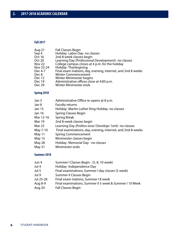# **Fall 2017**

| Aug 21            | <b>Fall Classes Begin</b>                                    |
|-------------------|--------------------------------------------------------------|
| Sep 4             | Holiday-Labor Day- no classes                                |
| <b>Oct 16</b>     | 2nd 8-week classes begin                                     |
| Oct 20            | Learning Day (Professional Development)- no classes          |
| Nov <sub>22</sub> | College campus closes at 4 p.m. for the holiday              |
| Nov 23-24         | Holiday-Thanksgiving                                         |
| Dec 4-7           | Final exam inations, day, evening, internet, and 2nd 8 weeks |
| Dec 8             | <b>Winter Commencement</b>                                   |
| Dec 12            | Winter Minimester begins                                     |
| Dec 19            | Administrative offices close at 4:00 p.m.                    |
| Dec 29            | Winter Minimester ends                                       |
|                   |                                                              |

# **Spring 2018**

| Jan 3         | Administrative Office re-opens at 8 a.m.                    |
|---------------|-------------------------------------------------------------|
| Jan 8         | <b>Faculty returns</b>                                      |
| Jan 15        | Holiday- Martin Luther King Holiday- no classes             |
| Jan 16        | <b>Spring Classes Begin</b>                                 |
| Mar 12-16     | <b>Spring Break</b>                                         |
| <b>Mar 19</b> | 2nd 8-week classes begin                                    |
| <b>Mar 23</b> | Learning Day (Profess iona I Developr 1ent)- no classes     |
| May 7-10      | Final examinations, day, evening, internet, and 2nd 8-weeks |
| May 11        | <b>Spring Commencement</b>                                  |
| May 15        | Minimester classes begin                                    |
| May 28        | Holiday- Memorial Day - no classes                          |
| May 31        | Minimester ends                                             |
|               |                                                             |

# **Summer 2018**

| Jun 4     | Summer I Classes Begin - (5, 8, 10 week)                |
|-----------|---------------------------------------------------------|
| Jul 4     | Holiday-Independence Day                                |
| Jul 5     | Final examinations, Summer I day classes (5 week)       |
| Jul 9     | Summer II Classes Begin                                 |
| Jul 25-26 | Final exam inations, Summer I 8 week                    |
| Aug 8-9   | Final examinations, Summer II 5 week & Summer I 10 Week |
| Aug 20    | <b>Fall Classes Begin</b>                               |
|           |                                                         |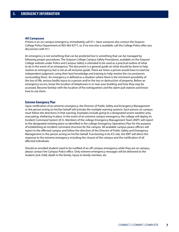#### **All Campuses**

If there is an on-campus emergency, immediately call 911. Have someone else contact the Grayson College Police Department at 903-463-8777, or, if no one else is available, call the College Police after you disconnect with 911.

An emergency is not something that can be predicted but is something that can be managed by following proper procedures. The Grayson College Campus Safety Procedures, available on the Grayson College website under Police and Campus Safety is intended to be used as a practical outline of what to do in the event of an emergency. The document is a general guide on what should be done to help resolve an emergency but is not an all-inclusive guide. There are times a person would have to exercise independent judgment, using their best knowledge and training to help resolve the circumstances surrounding them. An emergency is defined as a situation where there is the imminent possibility of the loss of life, serious bodily injury to a person and/or the loss or destruction of property. Before an emergency occurs, know the location of telephones in or near your building and how they may be accessed. Become familiar with the location of fire extinguishers and fire alarm pull stations and know how to use them.

#### **Extreme Emergency Plan**

Upon notification of an extreme emergency, the Director of Public Safety and Emergency Management or the person acting on his/her behalf will activate the multiple warning systems. Each person on campus must follow the directions in that warning. Examples include going to a designated severe weather area, evacuating, sheltering in place. In the event of an extreme campus emergency, the college will deploy its Incident Command System (ICS). Members of the college Emergency Management Team (EMT) will report to the designated meeting place as identified in the college Emergency Operations Plan for the purpose of establishing an incident command structure for the campus. All available campus peace officers will report to the affected campus and follow the direction of the Director of Public Safety and Emergency Management or the person acting on his/her behalf. Functioning in its ICS role, the EMT will direct the response to the extreme emergency including the closure of the campus and the notification of all affected individuals.

Should an enrolled student need to be notified of an off-campus emergency while they are on campus, please contact the Campus Police office. Only extreme emergency messages will be delivered to the student (sick child; death in the family; injury to family member, etc.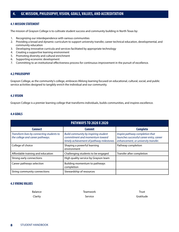# **4. GC MISSION, PHILOSOPHY, VISION, GOALS, VALUES, AND ACCREDITATION**

# **4.1 MISSION STATEMENT**

The mission of Grayson College is to cultivate student success and community building in North Texas by:

- 1. Recognizing our interdependence with various communities
- 2. Providing a broad and dynamic curriculum to support university transfer, career technical education, developmental, and community education
- 3. Developing innovative curricula and services facilitated by appropriate technology
- 4. Creating a supportive learning environment
- 5. Promoting diversity and cultural enrichment
- 6. Supporting economic development
- 7. Committing to an institutional effectiveness process for continuous improvement in the pursuit of excellence.

#### **4.2 PHILOSOPHY**

Grayson College, as the community's college, embraces lifelong learning focused on educational, cultural, social, and public service activities designed to tangibly enrich the individual and our community.

# **4.3 VISION**

Grayson College is a premier learning college that transforms individuals, builds communities, and inspires excellence.

### **4.4 GOALS**

| <b>PATHWAYS TO 2020 X 2020</b>                                                |                                                                                                                     |                                                                                                                     |
|-------------------------------------------------------------------------------|---------------------------------------------------------------------------------------------------------------------|---------------------------------------------------------------------------------------------------------------------|
| <b>Connect</b>                                                                | <b>Commit</b>                                                                                                       | <b>Complete</b>                                                                                                     |
| Transform lives by connecting students to<br>the college and career pathways. | Build community by inspiring student<br>commitment and momentum toward<br>timely achievement of pathway milestones. | Inspire pathway completion that<br>launches successful career entry, career<br>enhancement, or university transfer. |
| College of choice                                                             | Shaping a powerful learning<br>environment                                                                          | Pathway completion                                                                                                  |
| Affordable training and education                                             | Challenging students to be engaged                                                                                  | Transfer after completion                                                                                           |
| Strong early connections                                                      | High quality service by Grayson team                                                                                |                                                                                                                     |
| Career pathways selection                                                     | Building momentum to pathways<br>completion                                                                         |                                                                                                                     |
| String community connections                                                  | Stewardship of resources                                                                                            |                                                                                                                     |

# **4.5 VIKING VALUES**

| Balance | Teamwork | Trust     |
|---------|----------|-----------|
| Clarity | Service  | Gratitude |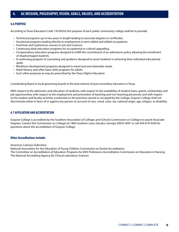### **4.6 PURPOSE**

According to Texas Education Code 130.003(e) the purpose of each public community college shall be to provide:

- Technical programs up to two years in length leading to associate degrees or certificates.
- Vocational programs leading directly to employment in semi-skilled and skilled occupations.
- Freshman and sophomore courses in arts and sciences.
- Continuing adult education programs for occupational or cultural upgrading.
- Compensatory education programs designed to fulfill the commitment of an admissions policy allowing the enrollment of disadvantaged students.
- A continuing program of counseling and guidance designed to assist students in achieving their individual educational goals.
- Workforce development programs designed to meet local and statewide needs.
- Adult literacy and other basic skills programs for adults.
- Such other purposes as may be prescribed by the Texas Higher Education

Coordinating Board or local governing boards in the best interest of post-secondary education in Texas.

With respect to the admission and education of students; with respect to the availability of student loans, grants, scholarships and job opportunities; with respect to the employment and promotion of teaching and non-teaching personnel; and with respect to the student and faculty activities conducted on the premises owned or occupied by the College, Grayson College shall not discriminate either in favor of or against any person on account of race, creed, color, sex, national origin, age, religion, or disability.

# **4.7 AFFILIATION AND ACCREDITATION**

Grayson College is accredited by the Southern Association of Colleges and Schools Commission on Colleges to award Associate Degrees. Contact the Commission on Colleges at 1866 Southern Lane, Decatur, Georgia 30033-4097 or call 404-679-4500 for questions about the accreditation of Grayson College.

### **Other Accreditations Include:**

American Culinary Federation

National Association for the Education of Young Children Commission on Dental Accreditation The Committee on Accreditation of Education Programs for EMS Professions Accreditation Commission on Education in Nursing The National Accrediting Agency for Clinical Laboratory Sciences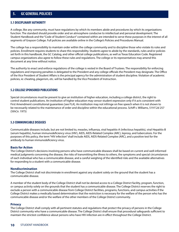### **5.1 DISCIPLINARY AUTHORITY**

A college, like any community, must have regulations by which its members abide and procedures by which its organizations function. The standard should provide order and an atmosphere conducive to intellectual and personal development. The Student Handbook and the "Code of Student Conduct" contained within are intended to serve these purposes in the interest of all segments of Grayson College. Full policies are available online in the College's Policies and Procedures Manual.

The college has a responsibility to maintain order within the college community and to discipline those who violate its rules and policies. Enrollment requires students to share this responsibility. Students agree to abide by the standards, rules and/or policies set forth in this handbook, the GC Catalog, and other official college publications, as well as Texas Education Code. Registered campus organizations also agree to follow these rules and regulations. The college or its representatives may amend this document at any time without notice.

The authority to enact and enforce regulations of the college is vested in the Board of Trustees. The responsibility for enforcing regulations and imposing penalties is delegated to the President and any college officials the President may designate. The Office of the Vice President of Student Affairs is the principal agency for the administration of student discipline. Violation of academic policies, ie: cheating, plagerism, etc. will be handled by the Vice President of Instruction.

### **5.2 COLLEGE SPONSORED PUBLICATIONS**

Special circumstances must be present to give an institution of higher education, including a college district, the right to control student publications. An institution of higher education may censor student expression only if it acts consistent with First Amendment constitutional guarantees [see FLA]. An institution may not infringe on free speech when it is not shown to be necessarily related to the maintenance of order and discipline within the educational process. Schiff v. Williams, 519 F.2d 257 (5thCir. 1975)

### **5.3 COMMUNICABLE DISEASES**

Communicable diseases include, but are not limited to, measles, influenza, viral hepatitis-A (infectious hepatitis), viral Hepatitis-B (serum hepatitis), human immunodeficiency virus (HIV), AIDS, AIDS-Related Complex (ARC), leprosy, and tuberculosis. For the purposes of this policy, the term "HIV infection" shall include AIDS, AIDS-Related Complex (ARC), and a positive test for the antibody to human immunodeficiency virus.

### **Basis for Action**

The College District's decisions involving persons who have communicable diseases shall be based on current and well-informed medical judgments concerning the disease, the risks of transmitting the illness to others, the symptoms and special circumstances of each individual who has a communicable disease, and a careful weighing of the identified risks and the available alternatives for responding to a student with a communicable disease.

### **Nondiscrimination**

The College District shall not discriminate in enrollment against any student solely on the ground that the student has a communicable disease.

A member of the student body of the College District shall not be denied access to a College District facility, program, function, or campus activity solely on the grounds that the student has a communicable disease. The College District reserves the right to exclude a person with a communicable disease from College District facilities, programs, functions, and campus activities if the College District makes a medically based determination that the restriction is necessary for the welfare of the person who has the communicable disease and/or the welfare of the other members of the College District community.

#### **Privacy**

The College District shall comply with all pertinent statutes and regulations that protect the privacy of persons in the College District community who have a communicable disease. The College District shall ensure that procedural safeguards sufficient to maintain the strictest confidence about persons who have HIV infection are in effect throughout the College District.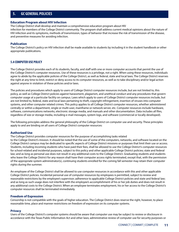### **Education Program about HIV Infection**

The College District shall develop and maintain a comprehensive education program about HIV infection for members of the College District community. The program shall address current medical opinions about the nature of HIV infection and its symptoms, methods of transmission, types of behavior that increase the risk of transmission of the disease, and preventive measures for avoiding infection.

### **Publication**

The College District's policy on HIV infection shall be made available to students by including it in the student handbook or other appropriate publications.

# **5.4 COMPUTER USE POLICY**

The College District provides each of its students, faculty, and staff with one or more computer accounts that permit the use of the College District's computer resources. Use of these resources is a privilege, not a right. When using these resources, individuals agree to abide by the applicable policies of the College District, as well as federal, state and local laws. The College District reserves the right at any time to limit, restrict or deny access to its computer resources, as well as to take disciplinary and/or legal action against anyone in violation of these policies and/or laws.

The policies and procedures which apply to users of College District computer resources include, but are not limited to, this policy, as well as College District policies against harassment, plagiarism, and unethical conduct and any procedures that govern computer usage at a particular facility on campus. Laws which apply to users of College District computer resources include, but are not limited to, federal, state and local laws pertaining to theft, copyright infringement, insertion of viruses into computer systems, and other computer related crimes. This policy applies to all College District computer resources, whether administered centrally or within a department, single or multi-user, mainframe or network server, etc. Computer resources include hardware, software, communications networks, electronic storage media, and manuals and other documentation. Data includes all files, regardless of size or storage media, including e-mail messages, system logs, and software (commercial or locally developed).

The following principles address the general philosophy of the College District on computer use and security. These principles apply to and are binding on all users of College District computer resources:

### **Authorized Use**

The College District provides computer resources for the purpose of accomplishing tasks related

to the College District's mission. It should be noted that the use of some of the computers, networks, and software located on the College District campus may be dedicated to specific aspects of College District missions or purposes that limit their use or access. Students, including incoming students who have paid their fees, shall be allowed to use the College District's computer resources for school-related and incidental purposes, subject to this policy and other applicable College District policies; state and federal law; and as long as personal use does not result in any additional costs to the College District. Graduating students and students who leave the College District for any reason shall have their computer access rights terminated, except that, with the permission of the appropriate system administrator(s), continuing students enrolled for the coming fall semester may retain their computer rights during the summer.

An employee of the College District shall be allowed to use computer resources in accordance with this and other applicable College District policies. Incidental personal use of computer resources by employees is permitted, subject to review and reasonable restrictions by the employee's supervisor; adherence to applicable College District policies and state and federal law; and as long as such usage does not interfere with the employee's accomplishment of his or her job duties and does not result in any additional costs to the College District. When an employee terminates employment, his or her access to the College District's computer resources shall be terminated immediately.

### **Freedom of Expression**

Censorship is not compatible with the goals of higher education. The College District does reserve the right, however, to place reasonable time, place and manner restrictions on freedom of expression on its computer systems.

### **Privacy**

Users of the College District's computer systems should be aware that computer use may be subject to review or disclosure in accordance with the Texas Public Information Act and other laws; administrative review of computer use for security purposes or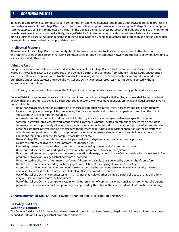in regard to a policy or legal compliance concern; computer system maintenance; audits and as otherwise required to protect the reasonable interests of the College District and other users of the computer system. Anyone using the College District's computer systems expressly consents to monitor on the part of the College District for these purposes and is advised that if such monitoring reveals possible evidence of criminal activity, College District administration may provide that evidence to law enforcement officials. Further, all users should understand that the College District is unable to guarantee the protection of electronic files, data or e-mails from unauthorized or inappropriate access.

### **Intellectual Property**

All members of the College District community should be aware that intellectual property laws extend to the electronic environment. Users should assume that works communicated through the computer network are subject to copyright laws unless specifically stated otherwise.

### **Valuable Assets**

Computer resources and data are considered valuable assets of the College District. Further, computer software purchased or leased by the College District is the property of the College District or the company from whom it is leased. Any unauthorized access, use, alteration, duplication, destruction, or disclosure of any of these assets may constitute a computer-related crime, punishable under Texas statutes and federal laws. College District computer resources may not be transported without appropriate authorization.

The following actions constitute misuse of the College District's computer resources and are strictly prohibited for all users:

College District computer resources are not to be used in support of or for illegal activities. Any such use shall be reported and dealt with by the appropriate College District authorities and/or law enforcement agencies. Criminal and illegal use may involve, but is not limited to:

- Unauthorized access, intentional corruption or misuse of computer resources, theft, obscenity, and child pornography.
- Failure to comply with laws, policies, procedures, license agreements, and contracts that pertain to and limit the use of the College District's computer resources.
- Abuse of computer resources including, but not limited to, any act that endangers or damages specific computer software, hardware, program, network or the system as a whole, whether located on campus or elsewhere on the global Internet; creating or purposely allowing a computer malfunction or interruption of operation; injection of a computer virus onto the computer system; sending a message with the intent to disrupt College District operations or the operations of outside entities; print outs that tie up computer resources for an unreasonable time period; and failure to adhere to time limitations that apply at particular computer facilities on campus.
- Use of College District computer resources for personal financial gain or a personal, commercial purpose.
- Failure to protect a password or account from unauthorized use.
- Permitting someone to use another's computer account, or using someone else's computer account.
- Unauthorized use, access or reading of any electronic file, program, network, or the system.
- Unauthorized use, access, duplication, disclosure, alteration, damage, or destruction of data contained in any electronic file, program, network, or College District hardware or software.
- Unauthorized duplication of commercial software. All commercial software is covered by a copyright of some form. Duplication of software covered by such copyright is a violation of the copyright law and this policy.
- Attempting to circumvent, assisting someone else or requesting that someone else circumvent any security measure or administrative access control that pertains to College District computer resources.
- Use of the College District computer system in a manner that violates other College District policies such as racial, ethnic, religious, sexual or other forms of harassment.
- Use of the College District's computer system for the transmission of commercial or personal advertisements, solicitations, promotions, or political material except as may be approved by the office of the Vice President of Information Technology.

# **5.5 COMMUNITY USE OF COLLEGE DISTRICT FACILITIES CONDUCT ON COLLEGE DISTRICT PREMISES**

# **GC Policy GFA Local**

# **Weapons Prohibited**

The College District prohibits the unlawful use, possession, or display of any firearm, illegal knife, club, or prohibited weapon, as defined at FLBF, on all College District property at all times.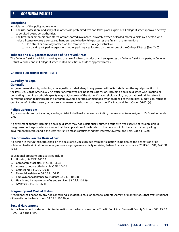### **Exceptions**

No violation of this policy occurs when:

- 1. The use, possession, or display of an otherwise prohibited weapon takes place as part of a College District-approved activity supervised by proper authorities.
- 2. The firearm or ammunition is stored or transported in a locked, privately owned or leased motor vehicle by a person who holds a license to carry a concealed handgun and who lawfully possesses the firearm or ammunition:
	- a. On a street or driveway located on the campus of the College District; or
	- b. In a parking lot, parking garage, or other parking area located on the campus of the College District. [See CHC]

### **Tobacco and E-Cigarettes (Outside of Approved Areas)**

The College District prohibits smoking and the use of tobacco products and e-cigarettes on College District property, in College District vehicles, and at College District-related activities outside of approved areas.

# **5.6 EQUAL EDUCATIONAL OPPORTUNITY**

# **GC Policy FA Legal**

### **Generally**

No governmental entity, including a college district, shall deny to any person within its jurisdiction the equal protection of the laws. U.S. Const. Amend. XIV An officer or employee of a political subdivision, including a college district, who is acting or purporting to act in an official capacity may not, because of the student's race, religion, color, sex, or national origin, refuse to permit the person to participate in a program owned, operated, or managed by or on behalf of the political subdivision; refuse to grant a benefit to the person; or impose an unreasonable burden on the person. Civ. Prac. and Rem. Code 106.001(a)

# **Religious Freedom**

A governmental entity, including a college district, shall make no law prohibiting the free exercise of religion. U.S. Const. Amends. I, XIV

A government agency, including a college district, may not substantially burden a student's free exercise of religion, unless the government agency demonstrates that the application of the burden to the person is in furtherance of a compelling governmental interest and is the least restrictive means of furthering that interest. Civ. Prac. and Rem. Code 110.003

### **Discrimination on the Basis of Sex**

No person in the United States shall, on the basis of sex, be excluded from participation in, be denied the benefits of, or be subjected to discrimination under any education program or activity receiving federal financial assistance. 20 U.S.C. 1681; 34 C.F.R. 106.31

Educational programs and activities include:

- 1. Housing. 34 C.F.R. 106.32
- 2. Comparable facilities. 34 C.F.R. 106.33
- 3. Access to course offerings. 34 C.F.R. 106.34
- 4. Counseling. 34 C.F.R. 106.36
- 5. Financial assistance. 34 C.F.R. 106.37
- 6. Employment assistance to students. 34 C.F.R. 106.38
- 7. Health and insurance benefits and services. 34 C.F.R. 106.39
- 8. Athletics. 34 C.F.R. 106.41

# **Pregnancy and Martial Status**

A recipient shall not apply any rule concerning a student's actual or potential parental, family, or marital status that treats students differently on the basis of sex. 34 C.F.R. 106.40(a)

### **Sexual Harassment**

Sexual harassment of students is discrimination on the basis of sex under Title IX. Franklin v. Gwinnett County Schools, 503 U.S. 60 (1992) [See also FFDA]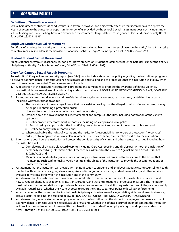### **Definition of Sexual Harassment**

Sexual harassment of students is conduct that is so severe, pervasive, and objectively offensive that it can be said to deprive the victim of access to the educational opportunities or benefits provided by the school. Sexual harassment does not include simple acts of teasing and name-calling, however, even when the comments target differences in gender. Davis v. Monroe County Bd. of Educ., 526 U.S. 629 (1999)

#### **Employee Student Sexual Harassment**

An official of an educational entity who has authority to address alleged harassment by employees on the entity's behalf shall take corrective measures to address the harassment or abuse. Gebser v. Lago Vista Indep. Sch. Dist., 524 U.S. 274 (1998)

### **Student Student Sexual Harassment**

An educational entity must reasonably respond to known student-on-student harassment where the harasser is under the entity's disciplinary authority. Davis v. Monroe County Bd. of Educ., 526 U.S. 629 (1999)

### **Clery Act-Campus Sexual Assault Programs**

An institution's Clery Act annual security report [see GAC] must include a statement of policy regarding the institution's programs to prevent dating violence, domestic violence, sexual assault, and stalking and of procedures that the institution will follow when one of these crimes is reported. The statement must include:

- 1. A description of the institution's educational programs and campaigns to promote the awareness of dating violence, domestic violence, sexual assault, and stalking, as described below at PROGRAMS TO PREVENT DATING VIOLENCE, DOMESTIC VIOLENCE, SEXUAL ASSAULT, AND STALKING;
- 2. Procedures victims should follow if a crime of dating violence, domestic violence, sexual assault, or stalking has occurred, including written information about:
	- a. The importance of preserving evidence that may assist in proving that the alleged criminal offense occurred or may be helpful in obtaining a protection order;
	- b. How and to whom the alleged offense should be reported;
	- c. Options about the involvement of law enforcement and campus authorities, including notification of the victim's option to:
		- i. Notify proper law enforcement authorities, including on-campus and local police;
		- ii. Be assisted by campus authorities in notifying law enforcement authorities if the victim so chooses; and
		- iii. Decline to notify such authorities; and
	- d. Where applicable, the rights of victims and the institution's responsibilities for orders of protection, "no-contact" orders, restraining orders, or similar lawful orders issued by a criminal, civil, or tribal court or by the institution;
- 3. Information about how the institution will protect the confidentiality of victims and other necessary parties, including how the institution will:
	- a. Complete publicly available recordkeeping, including Clery Act reporting and disclosures, without the inclusion of personally identifying information about the victim, as defined in the Violence Against Women Act of 1994, 42 U.S.C. 13925(a)(20); and
	- b. Maintain as confidential any accommodations or protective measures provided to the victim, to the extent that maintaining such confidentiality would not impair the ability of the institution to provide the accommodations or protective measures;
- 4. A statement that the institution will provide written notification to students and employees about existing counseling, health, mental health, victim advocacy, legal assistance, visa and immigration assistance, student financial aid, and other services available for victims, both within the institution and in the community;
- 5. A statement that the institution will provide written notification to victims about options for, available assistance in, and how to request changes to academic, living, transportation, and working situations or protective measures. The institution must make such accommodations or provide such protective measures if the victim requests them and if they are reasonably available, regardless of whether the victim chooses to report the crime to campus police or local law enforcement;
- 6. An explanation of the procedures for institutional disciplinary action in cases of alleged dating violence, domestic violence, sexual assault, or stalking, as described below at PROCEDURES FOR INSTITUTIONAL DISCIPLINARY ACTION; and
- 7. A statement that, when a student or employee reports to the institution that the student or employee has been a victim of dating violence, domestic violence, sexual assault, or stalking, whether the offense occurred on or off campus, the institution will provide the student or employee a written explanation of the student's or employee's rights and options, as described in items 1 through 6 of this list. 20 U.S.C. 1092(f)(8); 34 C.F.R. 668.46(b)(11)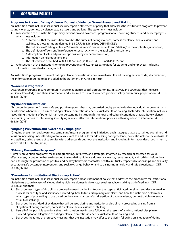# **Programs to Prevent Dating Violence, Domestic Violence, Sexual Assault, and Staking**

An institution must include in its annual security report a statement of policy that addresses the institution's programs to prevent dating violence, domestic violence, sexual assault, and stalking. The statement must include:

- 1. A description of the institution's primary prevention and awareness programs for all incoming students and new employees, which must include:
	- a. A statement that the institution prohibits the crimes of dating violence, domestic violence, sexual assault, and stalking, as those terms are defined in 34 C.F.R. 668.46(a) [see DEFINITIONS];
	- b. The definition of "dating violence," "domestic violence," "sexual assault," and "stalking" in the applicable jurisdiction;
	- c. The definition of "consent," in reference to sexual activity, in the applicable jurisdiction;
	- d. A description of safe and positive options for bystander intervention;
	- e. Information on risk reduction; and
	- f. The information described in 34 C.F.R. 668.46(b)(11) and 34 C.F.R. 668.46(k)(2); and
- 2. A description of the institution's ongoing prevention and awareness campaigns for students and employees, including information described at paragraph 1.

An institution's programs to prevent dating violence, domestic violence, sexual assault, and stalking must include, at a minimum, the information required to be included in the statement. 34 C.F.R. 668.46(j)

#### **"Awareness Programs"**

"Awareness programs" means community-wide or audience-specific programming, initiatives, and strategies that increase audience knowledge and share information and resources to prevent violence, promote safety, and reduce perpetration. 34 C.F.R. 668.46(j)(2)(i)

### **"Bystander Intervention"**

"Bystander intervention" means safe and positive options that may be carried out by an individual or individuals to prevent harm or intervene when there is a risk of dating violence, domestic violence, sexual assault, or stalking. Bystander intervention includes recognizing situations of potential harm, understanding institutional structures and cultural conditions that facilitate violence, overcoming barriers to intervening, identifying safe and effective intervention options, and taking action to intervene. 34 C.F.R. 668.46(j)(2)(ii)

### **"Ongoing Prevention and Awareness Campaigns"**

"Ongoing prevention and awareness campaigns" means programming, initiatives, and strategies that are sustained over time and focus on increasing understanding of topics relevant to and skills for addressing dating violence, domestic violence, sexual assault, and stalking, using a range of strategies with audiences throughout the institution and including information described in item 1, above. 34 C.F.R. 668.46(j)(2)(iii)

#### **"Primary Prevention Programs"**

"Primary prevention programs" means programming, initiatives, and strategies informed by research or assessed for value, effectiveness, or outcome that are intended to stop dating violence, domestic violence, sexual assault, and stalking before they occur through the promotion of positive and healthy behaviors that foster healthy, mutually respectful relationships and sexuality, encourage safe bystander intervention, and seek to change behavior and social norms in healthy and safe directions. 34 C.F.R. 668.46(j)(2)(iv)

#### **"Procedures for Institutional Disciplinary Action"**

An institution must include in its annual security report a clear statement of policy that addresses the procedures for institutional disciplinary action in cases of alleged dating violence, domestic violence, sexual assault, or stalking, as defined in 34 C.F.R. 668.46(a), and that:

- 1. Describes each type of disciplinary proceeding used by the institution; the steps, anticipated timelines, and decision-making process for each type of disciplinary proceeding; how to file a disciplinary complaint; and how the institution determines which type of proceeding to use based on the circumstances of an allegation of dating violence, domestic violence, sexual assault, or stalking;
- 2. Describes the standard of evidence that will be used during any institutional disciplinary proceeding arising from an allegation of dating violence, domestic violence, sexual assault, or stalking;
- 3. Lists all of the possible sanctions that the institution may impose following the results of any institutional disciplinary proceeding for an allegation of dating violence, domestic violence, sexual assault, or stalking; and
- 4. Describes the range of protective measures that the institution may offer to the victim following an allegation of dating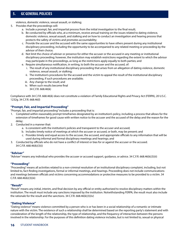violence, domestic violence, sexual assault, or stalking;

- 5. Provides that the proceedings will:
	- a. Include a prompt, fair, and impartial process from the initial investigation to the final result;
	- b. Be conducted by officials who, at a minimum, receive annual training on the issues related to dating violence, domestic violence, sexual assault, and stalking and on how to conduct an investigation and hearing process that protects the safety of victims and promotes accountability;
	- c. Provide the accuser and the accused with the same opportunities to have others present during any institutional disciplinary proceeding, including the opportunity to be accompanied to any related meeting or proceeding by the advisor of their choice;
	- d. Not limit the choice of adviser or presence for either the accuser or the accused in any meeting or institutional disciplinary proceeding; however, the institution may establish restrictions regarding the extent to which the advisor may participate in the proceedings, as long as the restrictions apply equally to both parties; and
	- e. Require simultaneous notification, in writing, to both the accuser and the accused, of:
		- i. The result of any institutional disciplinary proceeding that arises from an allegation of dating violence, domestic violence, sexual assault, or stalking;
		- ii. The institution's procedures for the accused and the victim to appeal the result of the institutional disciplinary proceeding, if such procedures are available;
		- iii. Any change to the result; and
		- iv. When such results become final 34 C.F.R. 668.46(k)

Compliance with 34 C.F.R. 668.46(k) does not constitute a violation of Family Educational Rights and Privacy Act (FERPA), 20 U.S.C. 1232g. 34 C.F.R. 668.46(l)

# **"Prompt, Fair, and Impartial Proceeding"**

"Prompt, fair, and impartial proceeding" includes a proceeding that is:

- 1. Completed within reasonably prompt timeframes designated by an institution's policy, including a process that allows for the extension of timeframes for good cause with written notice to the accuser and the accused of the delay and the reason for the delay;
- 2. Conducted in a manner that:
	- a. Is consistent with the institution's policies and transparent to the accuser and accused;
	- b. Includes timely notice of meetings at which the accuser or accused, or both, may be present; and
	- c. Provides timely and equal access to the accuser, the accused, and appropriate officials to any information that will be used during informal and formal disciplinary meetings and hearings; and
- 3. Conducted by officials who do not have a conflict of interest or bias for or against the accuser or the accused. 34 C.F.R. 668.46(k)(3)(i)

# **"Adviser"**

"Adviser" means any individual who provides the accuser or accused support, guidance, or advice. 34 C.F.R. 668.46(k)(3)(ii)

# **"Proceeding"**

"Proceeding" means all activities related to a non-criminal resolution of an institutional disciplinary complaint, including, but not limited to, fact-finding investigations, formal or informal meetings, and hearings. Proceeding does not include communications and meetings between officials and victims concerning accommodations or protective measures to be provided to a victim. 34 C.F.R. 668.46(k)(3)(iii)

### **"Result"**

"Result" means any initial, interim, and final decision by any official or entity authorized to resolve disciplinary matters within the institution. The result must include any sanctions imposed by the institution. Notwithstanding FERPA, the result must also include the rationale for the result and the sanctions. 34 C.F.R. 668.46(k)(3)(iv)

# **"Dating Violence"**

"Dating violence" means violence committed by a person who is or has been in a social relationship of a romantic or intimate nature with the victim. The existence of such a relationship shall be determined based on the reporting party's statement and with consideration of the length of the relationship, the type of relationship, and the frequency of interaction between the persons involved in the relationship. For the purposes of this definition dating violence includes, but is not limited to, sexual or physical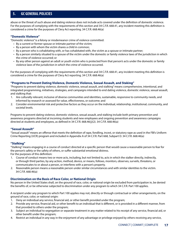abuse or the threat of such abuse and dating violence does not include acts covered under the definition of domestic violence. For the purposes of complying with the requirements of this section and 34 C.F.R. 668.41, any incident meeting this definition is considered a crime for the purposes of Clery Act reporting. 34 C.F.R. 668.46(a)

# **"Domestic Violence"**

"Domestic violence" is a felony or misdemeanor crime of violence committed:

- By a current or former spouse or intimate partner of the victim;
- By a person with whom the victim shares a child in common;
- By a person who is cohabitating with, or has cohabitated with, the victim as a spouse or intimate partner;
- By a person similarly situated to a spouse of the victim under the domestic or family violence laws of the jurisdiction in which the crime of violence occurred; or
- By any other person against an adult or youth victim who is protected from that person's acts under the domestic or family violence laws of the jurisdiction in which the crime of violence occurred.

For the purposes of complying with the requirements of this section and 34 C.F.R. 668.41, any incident meeting this definition is considered a crime for the purposes of Clery Act reporting. 34 C.F.R. 668.46(a)

# **"Programs to Prevent Dating Violence, Domestic Violence, Sexual Assault, and Staking"**

"Programs to prevent dating violence, domestic violence, sexual assault, and stalking" means comprehensive, intentional, and integrated programming, initiatives, strategies, and campaigns intended to end dating violence, domestic violence, sexual assault, and stalking that:

- 1. Are culturally relevant, inclusive of diverse communities and identities, sustainable, responsive to community needs, and informed by research or assessed for value, effectiveness, or outcome; and
- 2. Consider environmental risk and protective factors as they occur on the individual, relationship, institutional, community, and societal levels.

Programs to prevent dating violence, domestic violence, sexual assault, and stalking include both primary prevention and awareness programs directed at incoming students and new employees and ongoing prevention and awareness campaigns directed at students and employees, as defined in 34 C.F.R. 668.46(j)(2). 34 C.F.R. 668.46(a)

# **"Sexual Assault"**

"Sexual assault" means an offense that meets the definition of rape, fondling, incest, or statutory rape as used in the FBI's Uniform Crime Reporting (UCR) program and included in Appendix A of 34 C.F.R. Part 668, Subpart D. 34 C.F.R. 668.46(a)

# **"Stalking"**

"Stalking" means engaging in a course of conduct directed at a specific person that would cause a reasonable person to fear for the person's safety or the safety of others, or suffer substantial emotional distress.

For the purposes of this definition:

- 1. Course of conduct means two or more acts, including, but not limited to, acts in which the stalker directly, indirectly, or through third parties, by any action, method, device, or means, follows, monitors, observes, surveils, threatens, or communicates to or about a person, or interferes with a person's property.
- 2. Reasonable person means a reasonable person under similar circumstances and with similar identities to the victim. 34 C.F.R. 668.46(a)

# **Discrimination on the Basis of Race Color, or National Origin**

No person in the United States shall, on the ground of race, color, or national origin be excluded from participation in, be denied the benefits of, or be otherwise subjected to discrimination under any program to which 34 C.F.R. Part 100 applies.

A recipient under any program to which Part 100 applies may not, directly or through contractual or other arrangements, on the ground of race, color, or national origin:

- 1. Deny an individual any service, financial aid, or other benefit provided under the program;
- 2. Provide any service, financial aid, or other benefit to an individual that is different, or is provided in a different manner, from that provided to others under the program;
- 3. Subject an individual to segregation or separate treatment in any matter related to his receipt of any service, financial aid, or other benefit under the program;
- 4. Restrict an individual in any way in the enjoyment of any advantage or privilege enjoyed by others receiving any service,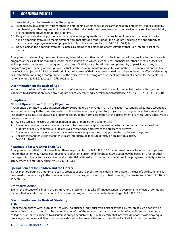financial aid, or other benefit under the program;

- 5. Treat an individual differently from others in determining whether he satisfies any admission, enrollment, quota, eligibility, membership, or other requirement or condition that individuals must meet in order to be provided any service, financial aid, or other benefit provided under the program;
- 6. Deny an individual an opportunity to participate in the program through the provision of services or otherwise or afford him an opportunity to do so that is different from that afforded others under the program (including the opportunity to participate in the program as an employee but only to the extent set forth in 34 C.F.R. 100.3(c)); or
- 7. Deny a person the opportunity to participate as a member of a planning or advisory body that is an integral part of the program.

A recipient, in determining the types of services, financial aid, or other benefits, or facilities that will be provided under any such program, or the class of individuals to whom, or the situations in which, such services, financial aid, other benefits, or facilities will be provided under any such program, or the class of individuals to be afforded an opportunity to participate in any such program, may not, directly or through contractual or other arrangements, utilize criteria or methods of administration that have the effect of subjecting individuals to discrimination because of their race, color, or national origin, or have the effect of defeating or substantially impairing accomplishment of the objectives of the program as respect individuals of a particular race, color, or national origin. 42 U.S.C. 2000d; 34 C.F.R. 100.3(a)–(b)

### **Discrimination on the Basis of Age**

No person in the United States shall, on the basis of age, be excluded from participation in, be denied the benefits of, or be subjected to discrimination under, any program or activity receiving federal financial assistance. 42 U.S.C. 6102; 34 C.F.R. 110.10

### **Exceptions:**

### **Normal Operation or Statutory Objective**

A recipient is permitted to take an action otherwise prohibited by 34 C.F.R. 110.10 if the action reasonably takes into account age as a factor necessary to the normal operation or the achievement of any statutory objective of a program or activity. An action reasonably takes into account age as a factor necessary to the normal operation or the achievement of any statutory objective of a program or activity, if:

- 1. Age is used as a measure or approximation of one or more other characteristics;
- 2. The other characteristic or characteristics must be measured or approximated in order for the normal operation of the program or activity to continue, or to achieve any statutory objective of the program or activity;
- 3. The other characteristic or characteristics can be reasonably measured or approximated by the use of age; and
- 4. The other characteristic or characteristics are impractical to measure directly on an individual basis. 34 C.F.R. 110.012

### **Reasonable Factors Other Than Age**

A recipient is permitted to take an action otherwise prohibited by 34 C.F.R. 110.10 that is based on a factor other than age, even though that action may have a disproportionate effect on persons of different ages. An action may be based on a factor other than age only if the factor bears a direct and substantial relationship to the normal operation of the program or activity or to the achievement of a statutory objective. 34 C.F.R. 110.13

### **Special Benefits for Children and the Elderly**

If a recipient operating a program or activity provides special benefits to the elderly or to children, the use of age distinctions is presumed to be necessary to the normal operation of the program or activity, notwithstanding the provisions of 34 C.F.R. 110.12. 34 C.F.R. 110.1

### **Affirmative Action**

Even in the absence of a finding of discrimination, a recipient may take affirmative action to overcome the effects of conditions that resulted in limited participation in the recipient's program or activity on the basis of age. 34 C.F.R. 110.15

### **Discrimination on the Basis of Disability**

### **ADA**

Under the Americans with Disabilities Act (ADA), no qualified individual with a disability shall, by reason of such disability, be excluded from participation in or be denied the benefits of the services, programs, or activities of a public entity, including a college district, or be subjected to discrimination by any such entity. A public entity shall not exclude or otherwise deny equal services, programs, or activities to an individual or entity because of the known disability of an individual with whom the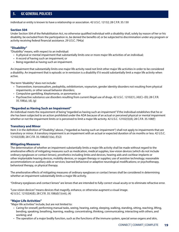individual or entity is known to have a relationship or association. 42 U.S.C. 12132; 28 C.F.R. 35.130

### **Section 504**

Under Section 504 of the Rehabilitation Act, no otherwise qualified individual with a disability shall, solely by reason of her or his disability, be excluded from the participation in, be denied the benefits of, or be subjected to discrimination under any program or activity receiving federal financial assistance. 29 U.S.C. 794(a)

### **"Disability"**

"Disability" means, with respect to an individual:

- A physical or mental impairment that substantially limits one or more major life activities of an individual;
- A record of having such an impairment; or
- Being regarded as having such an impairment.

An impairment that substantially limits one major life activity need not limit other major life activities in order to be considered a disability. An impairment that is episodic or in remission is a disability if it would substantially limit a major life activity when active.

The term "disability" does not include:

- Transvestism, transsexualism, pedophilia, exhibitionism, voyeurism, gender identity disorders not resulting from physical impairments, or other sexual behavior disorders;
- Compulsive gambling, kleptomania, or pyromania; or
- Psychoactive substance use disorders resulting from current illegal use of drugs. 42 U.S.C. 12102(1), (4)(C)–(D); 28 C.F.R. 35.108(a), (d), (g)

### **"Regarded as Having Such an Impairment"**

An individual meets the requirement of being "regarded as having such an impairment" if the individual establishes that he or she has been subjected to an action prohibited under the ADA because of an actual or perceived physical or mental impairment whether or not the impairment limits or is perceived to limit a major life activity. 42 U.S.C. 12102(3)(A); 28 C.F.R. 35.108(f)

### **Transitory and Minor**

Item 3 in the definition of "Disability," above, ("regarded as having such an impairment") shall not apply to impairments that are transitory or minor. A transitory impairment is an impairment with an actual or expected duration of six months or less. 42 U.S.C. 12102(3)(B); 28 C.F.R. 35.108(d)(1)(ix), (f)(2)

### **Mitigating Measures**

The determination of whether an impairment substantially limits a major life activity shall be made without regard to the ameliorative effects of mitigating measures such as medication, medical supplies, low-vision devices (which do not include ordinary eyeglasses or contact lenses), prosthetics including limbs and devices, hearing aids and cochlear implants or other implantable hearing devices, mobility devices, or oxygen therapy or supplies; use of assistive technology; reasonable accommodations or auxiliary aids or services; learned behavioral or adaptive neurological modifications; or psychotherapy, behavioral therapy, or physical therapy.

The ameliorative effects of mitigating measures of ordinary eyeglasses or contact lenses shall be considered in determining whether an impairment substantially limits a major life activity.

"Ordinary eyeglasses and contact lenses" are lenses that are intended to fully correct visual acuity or to eliminate refractive error.

"Low-vision devices" means devices that magnify, enhance, or otherwise augment a visual image. 42 U.S.C. 12102(4)(E); 28 C.F.R. 35.108(d)(1)(viii), (4)

### **"Major Life Activities"**

"Major life activities" include, but are not limited to:

- Caring for oneself, performing manual tasks, seeing, hearing, eating, sleeping, walking, standing, sitting, reaching, lifting, bending, speaking, breathing, learning, reading, concentrating, thinking, communicating, interacting with others, and working; and
- The operation of a major bodily function, such as the functions of the immune system, special sense organs and skin,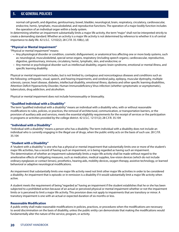normal cell growth, and digestive, genitourinary, bowel, bladder, neurological, brain, respiratory, circulatory, cardiovascular, endocrine, hemic, lymphatic, musculoskeletal, and reproductive functions. The operation of a major bodily function includes the operation of an individual organ within a body system.

In determining whether an impairment substantially limits a major life activity, the term "major" shall not be interpreted strictly to create a demanding standard. Whether an activity is a major life activity is not determined by reference to whether it is of central importance to daily life. 42 U.S.C. 12102(2); 28 C.F.R. 35.108(c), (d)

# **"Physical or Mental Impairment"**

"Physical or mental impairment" means:

- Any physiological disorder or condition, cosmetic disfigurement, or anatomical loss affecting one or more body systems, such as: neurological, musculoskeletal, special sense organs, respiratory (including speech organs), cardiovascular, reproductive, digestive, genitourinary, immune, circulatory, hemic, lymphatic, skin, and endocrine; or
- Any mental or psychological disorder such as intellectual disability, organic brain syndrome, emotional or mental illness, and specific learning disability.

Physical or mental impairment includes, but is not limited to, contagious and noncontagious diseases and conditions such as the following: orthopedic, visual, speech, and hearing impairments, and cerebral palsy, epilepsy, muscular dystrophy, multiple sclerosis, cancer, heart disease, diabetes, intellectual disability, emotional illness, dyslexia and other specific learning disabilities, Attention Deficit Hyperactivity Disorder, Human Immunodeficiency Virus infection (whether symptomatic or asymptomatic), tuberculosis, drug addiction, and alcoholism.

Physical or mental impairment does not include homosexuality or bisexuality.

### **"Qualified Individual with a Disability"**

The term "qualified individual with a disability" means an individual with a disability who, with or without reasonable modifications to rules, policies, or practices, the removal of architectural, communication, or transportation barriers, or the provision of auxiliary aids and services, meets the essential eligibility requirements for the receipt of services or the participation in programs or activities provided by the college district. 42 U.S.C. 12131(2); 28 C.F.R. 35.104

### **"Individual with a Disability"**

"Individual with a disability" means a person who has a disability. The term individual with a disability does not include an individual who is currently engaging in the illegal use of drugs, when the public entity acts on the basis of such use. 28 C.F.R. 35.104

### **"Student with a Disability"**

A "student with a disability" is one who has a physical or mental impairment that substantially limits one or more of the student's major life activities, has a record of having such an impairment, or is being regarded as having such an impairment. The determination of whether an impairment substantially limits a major life activity shall be made without regard to the ameliorative effects of mitigating measures, such as medication, medical supplies, low-vision devices (which do not include ordinary eyeglasses or contact lenses), prosthetics, hearing aids, mobility devices, oxygen therapy, assistive technology, or learned behavioral or adaptive neurological modifications.

An impairment that substantially limits one major life activity need not limit other major life activities in order to be considered a disability. An impairment that is episodic or in remission is a disability if it would substantially limit a major life activity when active.

A student meets the requirement of being "regarded as" having an impairment if the student establishes that he or she has been subjected to a prohibited action because of an actual or perceived physical or mental impairment whether or not the impairment limits or is perceived to limit a major life activity. This provision does not apply to impairments that are transitory or minor. A transitory impairment is one with an actual or expected duration of six months or less.

# **Reasonable Modification**

A public entity shall make reasonable modifications in policies, practices, or procedures when the modifications are necessary to avoid discrimination on the basis of disability, unless the public entity can demonstrate that making the modifications would fundamentally alter the nature of the service, program, or activity.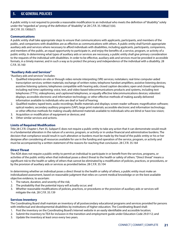A public entity is not required to provide a reasonable modification to an individual who meets the definition of "disability" solely under the "regarded as" prong of the definition of "disability" at 28 C.F.R. 35.108(a)(1)(iii). 28 C.F.R. 35.130(b)(7)

### **Communications**

A public entity shall take appropriate steps to ensure that communications with applicants, participants, and members of the public, and companions with disabilities are as effective as communications with others. A public entity shall furnish appropriate auxiliary aids and services where necessary to afford individuals with disabilities, including applicants, participants, companions, and members of the public, an equal opportunity to participate in, and enjoy the benefits of, a service, program, or activity of a public entity. In determining what types of auxiliary aids or services are necessary, a public entity shall give primary consideration to the requests of the individual with disabilities. In order to be effective, auxiliary aids and services must be provided in accessible formats, in a timely manner, and in such a way as to protect the privacy and independence of the individual with a disability. 28 C.F.R. 35.160

### **"Auxiliary Aids and Services"**

"Auxiliary aids and services" includes:

- 1. Qualified interpreters on-site or through video remote interpreting (VRI) services; notetakers; real-time computer-aided transcription services; written materials; exchange of written notes; telephone handset amplifiers; assistive listening devices; assistive listening systems; telephones compatible with hearing aids; closed caption decoders; open and closed captioning, including real-time captioning; voice, text, and video-based telecommunications products and systems, including text telephones (TTYs), videophones, and captioned telephones, or equally effective telecommunications devices; videotext displays; accessible electronic and information technology; or other effective methods of making aurally delivered information available to individuals who are deaf or hard of hearing;
- 2. Qualified readers; taped texts; audio recordings; Braille materials and displays; screen reader software; magnification software; optical readers; secondary auditory programs (SAP); large print materials; accessible electronic and information technology; or other effective methods for making visually delivered materials available to individuals who are blind or have low vision;
- 3. Acquisition or modification of equipment or devices; and
- 4. Other similar services and actions.

### **Limits of Required Modification**

Title 28 C.F.R. Chapter I, Part 35, Subpart E does not require a public entity to take any action that it can demonstrate would result in a fundamental alteration in the nature of a service, program, or activity or in undue financial and administrative burdens. The decision that compliance would result in such alteration or burdens must be made by the head of the public entity or his or her designee after considering all resources available for use in the funding and operation of the service, program, or activity and must be accompanied by a written statement of the reasons for reaching that conclusion. 28 C.F.R. 35.164

### **Direct Threat**

The ADA does not require a public entity to permit an individual to participate in or benefit from the services, programs, or activities of the public entity when that individual poses a direct threat to the health or safety of others. "Direct threat" means a significant risk to the health or safety of others that cannot be eliminated by a modification of policies, practices, or procedures, or by the provision of auxiliary aids or services as provided below. 28 C.F.R. 35.104

In determining whether an individual poses a direct threat to the health or safety of others, a public entity must make an individualized assessment, based on reasonable judgment that relies on current medical knowledge or on the best available objective evidence, to ascertain:

- 1. The nature, duration, and severity of the risk;
- 2. The probability that the potential injury will actually occur; and
- 3. Whether reasonable modifications of policies, practices, or procedures or the provision of auxiliary aids or services will mitigate the risk. 28 C.F.R. 35.139

### **Services Inventory**

The Coordinating Board shall maintain an inventory of all postsecondary educational programs and services provided for persons with intellectual and developmental disabilities by institutions of higher education. The Coordinating Board shall:

- 1. Post the inventory on the Coordinating Board's Internet website in an easily identifiable and accessible location;
- 2. Submit the inventory to TEA for inclusion in the transition and employment guide under Education Code 29.0112; and
- 3. Update the inventory at least once every two years.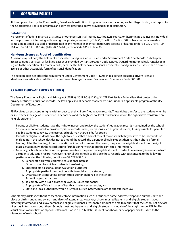At times prescribed by the Coordinating Board, each institution of higher education, including each college district, shall report to the Coordinating Board all programs and services described above provided by that institution.

### **Retaliation**

No recipient of federal financial assistance or other person shall intimidate, threaten, coerce, or discriminate against any individual for the purpose of interfering with any right or privilege secured by Title VI, Title IX, or Section 504 or because he has made a complaint, testified, assisted, or participated in any manner in an investigation, proceeding or hearing under 34 C.F.R. Parts 100, 104, or 106. 34 C.F.R. 100.7(e) (Title VI), 104.61 (Section 504), 106.71 (Title IX)

### **Handgun License as Proof of Identification**

A person may not deny the holder of a concealed handgun license issued under Government Code Chapter 411, Subchapter H access to goods, services, or facilities, except as provided by Transportation Code 521.460 (regarding motor vehicle rentals) or in regard to the operation of a motor vehicle, because the holder has or presents a concealed handgun license rather than a driver's license or other acceptable form of personal identification.

This section does not affect the requirement under Government Code 411.205 that a person present a driver's license or identification certificate in addition to a concealed handgun license. Business and Commerce Code 506.001

# **5.7 FAMILY RIGHTS AND PRIVACY ACT (FERPA)**

The Family Educational Rights and Privacy Act (FERPA) (20 U.S.C. § 1232g; 34 CFR Part 99) is a Federal law that protects the privacy of student education records. The law applies to all schools that receive funds under an applicable program of the U.S. Department of Education.

FERPA gives parents certain rights with respect to their children's education records. These rights transfer to the student when he or she reaches the age of 18 or attends a school beyond the high school level. Students to whom the rights have transferred are "eligible students."

- Parents or eligible students have the right to inspect and review the student's education records maintained by the school. Schools are not required to provide copies of records unless, for reasons such as great distance, it is impossible for parents or eligible students to review the records. Schools may charge a fee for copies.
- Parents or eligible students have the right to request that a school correct records which they believe to be inaccurate or misleading. If the school decides not to amend the record, the parent or eligible student then has the right to a formal hearing. After the hearing, if the school still decides not to amend the record, the parent or eligible student has the right to place a statement with the record setting forth his or her view about the contested information.
- Generally, schools must have written permission from the parent or eligible student in order to release any information from a student's education record. However, FERPA allows schools to disclose those records, without consent, to the following parties or under the following conditions (34 CFR § 99.31):
	- a. School officials with legitimate educational interest;
	- b. Other schools to which a student is transferring;
	- c. Specified officials for audit or evaluation purposes;
	- d. Appropriate parties in connection with financial aid to a student;
	- e. Organizations conducting certain studies for or on behalf of the school;
	- f. Accrediting organizations;
	- g. To comply with a judicial order or lawfully issued subpoena;
	- h. Appropriate officials in cases of health and safety emergencies; and
	- i. State and local authorities, within a juvenile justice system, pursuant to specific State law.

Schools may disclose, without consent, "directory" information such as a student's name, address, telephone number, date and place of birth, honors, and awards, and dates of attendance. However, schools must tell parents and eligible students about directory information and allow parents and eligible students a reasonable amount of time to request that the school not disclose directory information about them. Schools must notify parents and eligible students annually of their rights under FERPA. The actual means of notification (special letter, inclusion in a PTA bulletin, student handbook, or newspaper article) is left to the discretion of each school.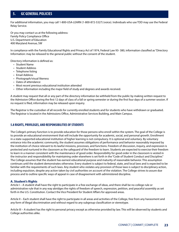For additional information, you may call 1-800-USA-LEARN (1-800-872-5327) (voice). Individuals who use TDD may use the Federal Relay Service.

Or you may contact us at the following address: Family Policy Compliance Office U.S. Department of Education 400 Maryland Avenue, SW

In compliance with the Family Educational Rights and Privacy Act of 1974, Federal Law 93- 380, information classified as "Directory Information: may be released to the general public without the consent of the student.

Directory information is defined as:

- Student Name
- Student Address
- Telephone listing
- Email Address
- Photograph/visual likeness
- Dates of attendance
- Most recent previous educational institution attended
- Other information including the major field of study and degrees and awards received.

A student may request that all or any part of the directory information be withheld from the public by making written request to the Admission Office during the first 12 days of class of a fall or spring semester or during the first four days of a summer session. If no request is filed, information may be released upon inquiry.

The Registrar is the custodian of all records for currently enrolled students and for students who have withdrawn or graduated. The Registrar is located in the Admissions Office, Administrative Services Building, and Main Campus.

# **5.8 RIGHTS, PRIVILEGES, AND RESPONSIBILITIES OF STUDENTS**

The College's primary function is to provide education for those persons who enroll within the system. The goal of the College is to provide an educational environment that will include the opportunity for academic, social, and personal growth. Enrollment in a state-supported educational institution of higher learning is not compulsory. It is optional and voluntary. By voluntary entrance into the academic community, the student assumes obligations of performance and behavior reasonably imposed by the institution of choice relevant to its lawful missions, processes, and functions. Freedom of discussion, inquiry, and expression is protected and nurtured in the classroom as the safeguard of the freedom to learn. Students are expected to exercise their freedom to learn in a manner consistent with the maintenance of good order. Responsibility for good order in the classroom is vested in the instructor and responsibleility for maintaining order elsewhere is set forth in the "Code of Student Conduct and Discipline." The College assumes that the student has earnest educational purpose and maturity of reasonable behavior. This assumption continues until the student demonstrates otherwise. Every student is subject to federal, state, and local laws and is expected to be familiar with the requirements of such laws. Any student who violates any provision of those laws is subject to disciplinary action, including expulsion, despite any action taken by civil authorities on account of the violation. The College strives to assure due process and to outline specific ways of appeal in case of disagreement with administered discipline.

# **A. Student's Rights**

Article I – A student shall have the right to participate in a free exchange of ideas, and there shall be no college rule or administrative rule that in any way abridges the rights of freedom of speech, expression, petition, and peaceful assembly as set forth in the U.S. Constitution. Contact the Vice President for Student Affairs for approved areas.

Article II – Each student shall have the right to participate in all areas and activities of the College, free from any harassment and any form of illegal discrimination and without regard to any subgroup classification or stereotype.

Article III – A student has the right to personal privacy except as otherwise provided by law. This will be observed by students and College authorities alike.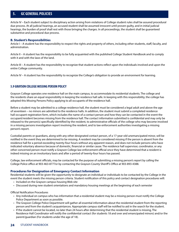Article IV – Each student subject to disciplinary action arising from violations of College student rules shall be assured procedural due process. At all judicial hearings, an accused student shall be assumed innocent until proven guilty, and in initial judicial hearings, the burden of proof shall rest with those bringing the charges. In all proceedings, the student shall be guaranteed substantive and procedural due process.

# **B. Student's Responsibilities**

Article I – A student has the responsibility to respect the rights and property of others, including other students, staff, faculty, and administration.

Article II – A student has the responsibility to be fully acquainted with the published College Student Handbook and to comply with it and with the laws of the land.

Article III – A student has the responsibility to recognize that student actions reflect upon the individuals involved and upon the entire College community.

Article IV – A student has the responsibility to recognize the College's obligation to provide an environment for learning.

# **5.9 GRAYSON COLLEGE MISSING PERSON POLICY**

Grayson College operates one residence hall on the main campus, to accommodate its residential students. The college and the residents share an equal responsibility in keeping the residence hall safe. In keeping with this responsibility, the college has adopted this Missing Persons Policy applying to all occupants of the residence hall.

Before a student may be admitted to a college residence hall, the student must be considered a legal adult and above the age of seventeen – no minors are admitted to the residence halls. In addition, the student must submit a completed residence hall occupant registration form, which includes the name of a contact person and how they can be contacted in the event the occupant/resident becomes missing from the residence hall. The contact information submitted is confidential and may only be released to the person(s) specifically identified by the resident, to administrative officials of the college who may become involved in a missing persons investigation report involving the resident, and to law enforcement authorities investigating a missing person's report.

Custodial parents or guardians, along with any other designated contact person, of a 17-year-old unemancipated minor, will be notified in the event they are determined to be missing. A resident may be considered missing if the person is absent from the residence hall for a period exceeding twenty-four hours without any apparent reason, and does not include persons who have indicated voluntary absence because of domestic, financial or similar cause. The residence hall supervisor, coordinator, or any other concerned person must notify a Grayson College law enforcement official once they have determined that a resident is indeed missing on an involuntary basis and after a period of twenty-four hours has passed.

College, law enforcement officials, may be contacted for the purpose of submitting a missing person's report by calling the College Police office at 903-463-8777or by contacting the Grayson County Sheriff's Office at 903-893-4388.

### **Procedures for Designation of Emergency Contact Information**

Residential students will be given the opportunity to designate an individual or individuals to be contacted by the College in the event the student meets the missing person criteria. Student notification of this policy and contact designation procedures will:

- Included on the Grayson campus housing Web site
- Discussed during new student orientations and mandatory housing meetings at the beginning of each semester

Official Notification Procedures

- Any individual on campus who has information that a residential student may be a missing person must notify the College Police Department as soon as possible.
- The Grayson College Police Department will gather all essential information about the residential student from the reporting person and from the student's acquaintances. Appropriate campus staff will be notified to aid in the search for the student.
- If the student cannot be located, no later than 24 hours after determining that the residential student is missing, The Residence Hall Coordinator will notify the confidential contact (for students 18 and over and emancipated minors) and/or the parent/guardian (For students under the age of 18).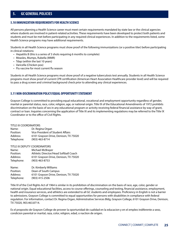### **5.10 IMMUNIZATION REQUIREMENTS FOR HEALTH SCIENCE**

All persons planning a Health Science career must meet certain requirements mandated by state law or the clinical agencies where students are involved in patient-related activities. These requirements have been developed to protect both patients and students and must be met before participating in any required clinical experiences. In addition to the requirements listed, some Health Science programs may have additional requirements.

Students in all Health Science programs must show proof of the following immunizations (or a positive titer) before participating in clinical rotations:

- Hepatitis B (this is a series of 3 shots requiring 6 months to complete)
- Measles, Mumps, Rubella (MMR)
- Tdap (within the last 10 years)
- Varicella (Chicken pox)
- Flu vaccine for most current flu season

Students in all Health Science programs must show proof of a negative tuberculosis test annually. Students in all Health Science programs must show proof of current CPR certification (American Heart Association Healthcare provider level) and will be required to pass a drug screen and criminal background check prior to attending any clinical experiences.

# **5.11 NON-DISCRIMINATION POLICY/EQUAL OPPORTUNITY STATEMENT**

Grayson College is committed to providing equal educational, vocational and employment opportunity regardless of gender, marital or parental status, race, color, religion, age, or national origin. Title IX of the Educational Amendments of 1972 prohibits discrimination on the basis of sex in any educational program or activity receiving federal financial assistance by way of grant, contract or loan. Inquiries concerning the application of Title IX and its implementing regulations may be referred to the Title IX Coordinator or to the office of Civil Rights.

#### TITLE IX COORDINATORS

| Name:      | Dr. Regina Organ                      |
|------------|---------------------------------------|
| Position:  | Vice President of Student Affairs     |
| Address:   | 6101 Grayson Drive, Denison, TX 75020 |
| Telephone: | (903) 463-8714                        |

#### TITLE IX DEPUTY COORDINATORS

| Name:      | Michael McBrayer                      |
|------------|---------------------------------------|
| Position:  | Athletic Director/Head Softball Coach |
| Address:   | 6101 Grayson Drive, Denison, TX 75020 |
| Telephone: | $(903)$ 463-8753                      |
|            |                                       |

| Dr. Kimberly Williams                 |
|---------------------------------------|
| Dean of South Campus                  |
| 6101 Grayson Drive, Denison, TX 75020 |
| (903) 415-2506                        |
|                                       |

Title VI of the Civil Rights Act of 1964 is similar in its prohibition of discrimination on the basis of race, age, color, gender or national origin. Equal educational facilities, access to course offerings, counseling and testing, financial assistance, employment, health and insurance services, and athletics are extended to all GC students and employees. Proficiency in English is not a barrier to admissions. Grayson College is committed to equal opportunities for persons with disabilities in compliance with federal regulation. For information, contact Dr. Regina Organ, Administrative Services Bldg, Grayson College, 6101 Grayson Drive, Denison, TX 75020, 903.463.8714.

Es el proposito de Grayson College de proveer la oportunidad de cualidad en la educacion y en el empleo indiferente a sexo, condicion parental or marital, raza, color, religion, edad, o naction de origen.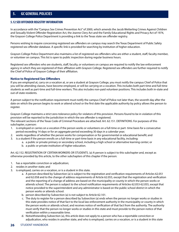# **5.12 SEX OFFENDER REGISTRY INFORMATION**

In accordance with the "Campus Sex Crimes Prevention Act" of 2000, which amends the Jacob Wetterling Crimes Against Children and Sexually Violent Offender Registration Act, the Jeanne Clery Act and the Family Educational Rights and Privacy Act of 1974, the Grayson College Police Department is providing a link to the Texas state sex offender registry.

Persons wishing to inquire concerning registered sex offenders on campus may search the Texas Department of Public Safety registered sex offender database. A specific link is provided for searching by institution of higher education.

Grayson College Police Department also maintains a list of registered sex offenders who are either a student, staff, faculty member, or volunteer on campus. This list is open to public inspection during regular business hours.

Registered sex offenders who are students, staff, faculty, or volunteers on campus are required to notify the law enforcement agency in which they are registered of their affiliation with Grayson College. Registered sex offenders are further required to notify the Chief of Police of Grayson College of their affiliation.

### **Notice to Registered Sex Offenders**

If you are employed at, carry on a vocation at, or are a student at Grayson College, you must notify the campus Chief of Police that you will be attending classes, have become employed, or will be carrying on a vocation. This includes both part-time and full-time students as well as part-time and full-time workers. This also includes non-paid volunteer positions. This includes both in-state and out-of-state residents.

A person subject to the notification requirement must notify the campus Chief of Police not later than, the seventh day after the date on which the person begins to work or attend school or the first date the applicable authority by policy allows the person to register.

Grayson College maintains a strict zero-tolerance policy for violators of this provision. Persons found to be in violation of this provision will be reported to the jurisdiction in which the sex offender is registered.

The relevant sections of the Texas Code of Criminal Procedure are attached: Art. 62.151. DEFINITIONS. For purposes of this subchapter, a person:

- 1. is employed or carries on a vocation if the person works or volunteers on a full-time or part- time basis for a consecutive period exceeding 14 days or for an aggregate period exceeding 30 days in a calendar year;
- 2. works regardless of whether the person works for compensation or for governmental or educational benefit; and
- 3. is a student if the person enrolls on a full-time or part-time basis in any educational facility, including:
	- a. a public or private primary or secondary school, including a high school or alternative learning center; or
	- b. a public or private institution of higher education.

Art. 62.152. REGISTRATION OF CERTAIN WORKERS OR STUDENTS. (a) A person is subject to this subchapter and, except as otherwise provided by this article, to the other subchapters of this chapter if the person:

- 1. has a reportable conviction or adjudication;
- 2. resides in another state; and
- 3. is employed, carries on a vocation, or is a student in this state.
	- a. A person described by Subsection (a) is subject to the registration and verification requirements of Articles 62.051 and 62.058 and to the change of address requirements of Article 62.055, except that the registration and verification and the reporting of a change of address are based on the municipality or county in which the person works or attends school. The person is subject to the school notification requirements of Articles 62.053-62.055, except that notice provided to the superintendent and any administrator is based on the public school district in which the person works or attends school.
	- b. person described by Subsection (a) is not subject to Article 62.101.
	- c. The duty to register for a person described by Subsection (a) ends when the person no longer works or studies in this state provides notice of that fact to the local law enforcement authority in the municipality or county in which the person works or attends school, and receives notice of verification of that fact from the authority. The authority must verify that the person no longer works or studies in this state and must provide to the person notice of that verification within a reasonable time.
	- d. Notwithstanding Subsection (a), this article does not apply to a person who has a reportable conviction or adjudication, who resides in another state, and who is employed, carries on a vocation, or is a student in this state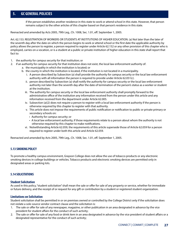if the person establishes another residence in this state to work or attend school in this state. However, that person remains subject to the other articles of this chapter based on that person's residence in this state.

Reenacted and amended by Acts 2005, 79th Leg., Ch. 1008, Sec. 1.01, eff. September 1, 2005.

Art. 62.153. REGISTRATION OF WORKERS OR STUDENTS AT INSTITUTIONS OF HIGHER EDUCATION. (a) Not later than the later of the seventh day after the date on which the person begins to work or attend school or the first date the applicable authority by policy allows the person to register, a person required to register under Article 62.152 or any other provision of this chapter who is employed, carries on a vocation, or is a student at a public or private institution of higher education in this state shall report that fact to:

- 1. the authority for campus security for that institution; or
- 2. if an authority for campus security for that institution does not exist, the local law enforcement authority of:
	- a. the municipality in which the institution is located; or
	- b. the county in which the institution is located, if the institution is not located in a municipality.
		- i. A person described by Subsection (a) shall provide the authority for campus security or the local law enforcement authority with all information the person is required to provide under Article 62.051(c).
		- ii. person described by Subsection (a) shall notify the authority for campus security or the local law enforcement authority not later than the seventh day after the date of termination of the person's status as a worker or student at the institution.
		- iii. The authority for campus security or the local law enforcement authority shall promptly forward to the administrative office of the institution any information received from the person under this article and any information received from the department under Article 62.005.
		- iv. Subsection (a)(2) does not require a person to register with a local law enforcement authority if the person is otherwise required by this chapter to register with that authority.
		- v. This article does not impose the requirements of public notification or notification to public or private primary or secondary schools on:
			- Authority for campus security; or
			- A local law enforcement authority, if those requirements relate to a person about whom the authority is not otherwise required by this chapter to make notifications.
		- vi. Notwithstanding Article 62.059, the requirements of this article supersede those of Article 62.059 for a person required to register under both this article and Article 62.059.

Reenacted and amended by Acts 2005, 79th Leg., Ch. 1008, Sec. 1.01, eff. September 1, 2005.

# **5.13 SMOKING POLICY**

To promote a healthy campus environment, Grayson College does not allow the use of tobacco products or any electronic smoking devices in college buildings or vehicles. Tobacco products and electronic smoking devices are permitted only in designated areas or parking lots.

# **5.14 SOLICITATIONS**

### **Student Solicitation**

As used in this policy, "student solicitation" shall mean the sale or offer for sale of any property or service, whether for immediate or future delivery, and the receipt of or request for any gift or contribution by a student or registered student organization.

### **Limitations on Solicitation**

Student solicitation shall be permitted in or on premises owned or controlled by the College District only if the solicitation does not violate a sole-source vendor contract clause and the solicitation is:

- 1. The sale or offer for sale of any newspaper, magazine, or other publication in an area designated in advance by the vice president for student affairs for the conduct of such activity;
- 2. The sale or offer for sale of any food or drink item in an area designated in advance by the vice president of student affairs or a designated representative for the conduct of such activity;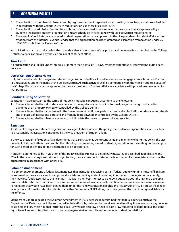- 3. The collection of membership fees or dues by registered student organizations at meetings of such organizations scheduled in accordance with the College District's regulations on use of facilities; [See FLAA]
- 4. The collection of admission fees for the exhibition of movies, performances, or other programs that are sponsored by a student or registered student organization and are scheduled in accordance with College District regulations; or
- 5. The sale of raffle tickets by a registered student organization that can present to the vice president of student affairs written evidence from the Internal Revenue Service that the organization has been granted an exemption from taxation under 26 U.S.C. 501(c)(3), Internal Revenue Code.

No solicitation shall be conducted on the grounds, sidewalks, or streets of any property either owned or controlled by the College District, except as approved by the vice president of student affairs.

### **Time Limit**

No organization shall solicit under this policy for more than a total of 14 days, whether continuous or intermittent, during each fiscal year.

# **Use of College District Name**

Only authorized students or registered student organizations shall be allowed to sponsor and engage in solicitation and/or fundraising activities under the name of the College District. All such activities shall be compatible with the mission and objectives of the College District and shall be approved by the vice president of Student Affairs in accordance with procedures developed for that purpose.

### **Conduct During Solicitation**

Solicitation made pursuant to the terms of this policy must be conducted according to the following:

- 1. The solicitation shall not disturb or interfere with the regular academic or institutional programs being conducted in buildings or on property owned or controlled by the College District.
- 2. The solicitation shall not interfere with the free or unimpeded flow of pedestrian and vehicular traffic on sidewalks and streets and at places of ingress and egress to and from buildings owned or controlled by the College District.
- 3. The solicitation shall not harass, embarrass, or intimidate the person or persons being solicited.

### **Sanctions**

If a student or registered student organization is alleged to have violated this policy, the student or organization shall be subject to a reasonable investigation conducted by the vice president of student affairs.

If the vice president of student affairs determines that a solicitation is being conducted in a manner violating this policy, the vice president of student affairs may prohibit the offending student or registered student organization from soliciting on the campus for such period or periods of time determined to be appropriate.

A student determined to be in violation of this policy shall be subject to disciplinary measures as described in policies FM and FMA. In the case of a registered student organization, the vice president of student affairs may evoke the registered status of the organization in accordance with policy FKC.

### **Solomon Amendment**

The Solomon Amendment, a federal law, mandates that institutions receiving certain federal agency funding must fulfill military recruitment requests for access to campus and for lists containing student recruiting information. If colleges do not comply, they may lose funds essential to their campus—so it is in their best interest to be knowledgeable about the law and develop a positive relationship with recruiters. The Solomon Amendment allows personally identifiable student information to be released to recruiters that would have been denied them under the Family Educational Rights and Privacy Act of 1974 (FERPA). If colleges release more information about students than either Solomon or FERPA allow, then colleges run the risk of being held liable for the offense.

Members of Congress passed the Solomon Amendment in 1996 because it determined that federal agencies, such as the Department of Defense, should be supported in their efforts by colleges that receive federal funding. It was seen as a way colleges could help military meet national recruiting goals. Lawmakers also saw a need to pass a law requiring colleges to give the same rights to military recruiters that give to other employees seeking recruits among college student populations.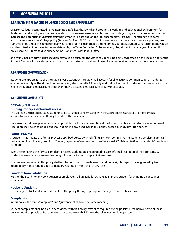### **5.15 STATEMENT REGARDING DRUG-FREE SCHOOLS AND CAMPUSES ACT**

Grayson College is committed to maintaining a safe, healthy, lawful and productive working and educational environment for its students and employees. Studies have shown that excessive use of alcohol and use of illegal drugs and controlled substances increase the potential for unsatisfactory performance in class and on the job, absenteeism, tardiness, inefficiency, accidents and poor morale. As per College policy (Policies DHB and FLBE), no student or employee shall, in any campus area, possess, use, transmit, or be under the influence of any narcotic drug, hallucinogenic, amphetamine, barbiturate, marijuana, alcoholic beverage, or other intoxicant (as those terms are defined by the Texas Controlled Substance Act). Any student or employee violating this policy shall be subject to disciplinary action. Consistent with federal, state

and municipal law, criminal prosecution may also be pursued. The Office of Counseling Services, located on the second floor of the Student Center, will provide confidential assistance to students and employees, including making referrals to outside agencies.

# **5.16 STUDENT COMMUNICATION**

Students are REQUIRED to use their GC canvas account or their GC email account for all electronic communication." In order to ensure the identity of the student communicating electronically, GC faculty and staff will not reply to student communication that is sent through an email account other than their GC issued email account or canvas account".

### **5.17 STUDENT COMPLAINTS**

#### **GC Policy FLD Local**

#### **Guiding Principles Informal Process**

The College District encourages students to discuss their concerns and with the appropriate instructor or other campus administrator who has the authority to address the concerns.

Concerns should be expressed as soon as possible to allow early resolution at the lowest possible administrative level. Informal resolution shall be encouraged but shall not extend any deadlines in this policy, except by mutual written consent.

#### **Formal Process**

A student may initiate the formal process described below by timely filing a written complaint. The Student Complaint Form can be found on the following link. http://www.grayson.edu/employment/Files/Personnel%20Related%20Forms/Student-Complaint-Form.pdf

Even after initiating the formal complaint process, students are encouraged to seek informal resolution of their concerns. A student whose concerns are resolved may withdraw a formal complaint at any time.

The process described in this policy shall not be construed to create new or additional rights beyond those granted by law or Board policy, nor to require a full evidentiary hearing or "mini- trial" at any level.

#### **Freedom from Retaliation**

Neither the Board nor any College District employee shall unlawfully retaliate against any student for bringing a concern or complaint.

### **Notice to Students**

The College District shall inform students of this policy through appropriate College District publications.

#### **Complaints**

In this policy, the terms "complaint" and "grievance" shall have the same meaning.

Student complaints shall be filed in accordance with this policy, except as required by the policies listed below. Some of these policies require appeals to be submitted in accordance with FLD after the relevant complaint process: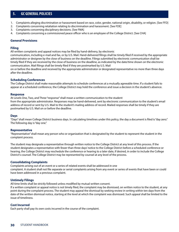- 1. Complaints alleging discrimination or harassment based on race, color, gender, national origin, disability, or religion. [See FFD]
- 2. Complaints concerning retaliation relating to discrimination and harassment. [See FDE]
- 3. Complaints concerning disciplinary decisions. [See FMA]
- 4. Complaints concerning a commissioned peace officer who is an employee of the College District. [See CHA]

### **General Provisions**

### **Filing**

All written complaints and appeal notices may be filed by hand-delivery, by electronic

communication, including e-mail and fax, or by U.S. Mail. Hand-delivered filings shall be timely filed if received by the appropriate administrator or designee by the close of business on the deadline. Filings submitted by electronic communication shall be timely filed if they are received by the close of business on the deadline, as indicated by the date/time shown on the electronic communication. Mail filings shall be timely filed if they are postmarked by U.S. Mail

on or before the deadline and received by the appropriate administrator or designated representative no more than three days after the deadline.

### **Scheduling Conferences**

The College District shall make reasonable attempts to schedule conferences at a mutually agreeable time. If a student fails to appear at a scheduled conference, the College District may hold the conference and issue a decision in the student's absence.

### **Response**

At Levels One, Two, and Three "response" shall mean a written communication to the student from the appropriate administrator. Responses may be hand-delivered, sent by electronic communication to the student's email address of record or sent by U.S. Mail to the student's mailing address of record. Mailed responses shall be timely if they are postmarked by U.S. Mail on or before the deadline.

### **Days**

"Days" shall mean College District business days. In calculating timelines under this policy, the day a document is filed is "day zero." The following day is "day one."

### **Representative**

"Representative" shall mean any person who or organization that is designated by the student to represent the student in the complaint process.

The student may designate a representative through written notice to the College District at any level of this process. If the student designates a representative with fewer than three days' notice to the College District before a scheduled conference or hearing, the College District may reschedule the conference or hearing to a later date, if desired, in order to include the College District's counsel. The College District may be represented by counsel at any level of the process.

### **Consolidating Complaints**

Complaints arising out of an event or a series of related events shall be addressed in one complaint. A student shall not file separate or serial complaints arising from any event or series of events that have been or could have been addressed in a previous complaint.

### **Untimely Filings**

All time limits shall be strictly followed unless modified by mutual written consent.

If a written complaint or appeal notice is not timely filed, the complaint may be dismissed, on written notice to the student, at any point during the complaint process. The student may appeal the dismissal by seeking review in writing within ten days from the date of the written dismissal notice, starting at the level at which the complaint was dismissed. Such appeal shall be limited to the issue of timeliness.

### **Cost Incurred**

Each party shall pay its own costs incurred in the course of the complaint.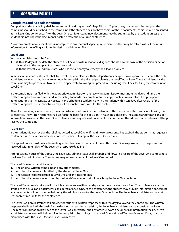### **Complaints and Appeals in Writing**

Complaints under this policy shall be submitted in writing to the College District. Copies of any documents that support the complaint should be attached to the complaint. If the student does not have copies of these documents, copies may be presented at the Level One conference. After the Level One conference, no new documents may be submitted by the student unless the student did not know the documents existed before the Level One conference.

A written complaint or appeal that is incomplete in any material aspect may be dismissed but may be refiled with all the required information if the refiling is within the designated time for filing.

### **Level One**

Written complaints must be filed:

- 1. Within 15 days of the date the student first knew, or with reasonable diligence should have known, of the decision or action giving rise to the complaint or grievance; and
- 2. With the lowest level administrator who has the authority to remedy the alleged problem.

In most circumstances, students shall file Level One complaints with the department chairperson or appropriate dean. If the only administrator who has authority to remedy the complaint the alleged problem is the Level Two or Level Three administrator, the complaint may begin at Level Two or Three, respectively, following the procedure, including deadlines, for filing the complaint at Level One.

If the complaint is not filed with the appropriate administrator, the receiving administrator must note the date and time the written complaint was received and immediately forwards the complaint to the appropriate administrator. The appropriate administrator shall investigate as necessary and schedule a conference with the student within ten days after receipt of the written complaint. The administrator may set reasonable time limits for the conference.

Absent extenuating circumstances, the administrator shall provide the student a written response within ten days following the conference. The written response shall set forth the basis for the decision. In reaching a decision, the administrator may consider information provided at the Level One conference and any relevant documents or information the administrator believes will help resolve the complaint.

### **Level Two**

If the student did not receive the relief requested at Level One or if the time for a response has expired, the student may request a conference with the appropriate dean or vice president to appeal the Level One decision.

The appeal notice must be filed in writing within ten days of the date of the written Level One response or, if no response was received, within ten days of the Level One response deadline.

After receiving notice of the appeal, the Level One administrator shall prepare and forward a record of the Level One complaint to the Level Two administrator. The student may request a copy of the Level One record.

The Level One record shall include:

- 1. The original written complaint and any attachments.
- 2. All other documents submitted by the student at Level One.
- 3. The written response issued at Level One and any attachments.
- 4. All other documents relied upon by the Level One administrator in reaching the Level One decision.

The Level Two administrator shall schedule a conference within ten days after the appeal notice is filed. The conference shall be limited to the issues and documents considered at Level One. At the conference, the student may provide information concerning any documents or information relied on by the administration for the Level One decision. The Level Two administrator may set reasonable time limits for the conference.

The Level Two administrator shall provide the student a written response within ten days following the conference. The written response shall set forth the basis for the decision. In reaching a decision, the Level Two administrator may consider the Level One record, information provided at the Level Two conference, and any other relevant documents or information the Level Two administrator believes will help resolve the complaint. Recordings of the Level One and Level Two conferences, if any, shall be maintained with the Level One and Level Two records.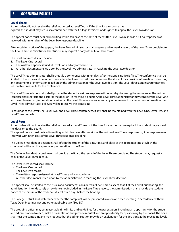### **Level Three**

If the student did not receive the relief requested at Level Two or if the time for a response has expired, the student may request a conference with the College President or designee to appeal the Level Two decision.

The appeal notice must be filed in writing within ten days of the date of the written Level Two response or, if no response was received, within ten days of the Level Two response deadline.

After receiving notice of the appeal, the Level Two administrator shall prepare and forward a record of the Level Two complaint to the Level Three administrator. The student may request a copy of the Level Two record.

The Level Two record shall include:

- 1. The Level One record.
- 2. The written response issued at Level Two and any attachments.
- 3. All other documents relied upon by the Level Two administrator in reaching the Level Two decision.

The Level Three administrator shall schedule a conference within ten days after the appeal notice is filed. The conference shall be limited to the issues and documents considered at Level Two. At the conference, the student may provide information concerning any documents or information relied on by the administration for the Level Two decision. The Level Three administrator may set reasonable time limits for the conference.

The Level Three administrator shall provide the student a written response within ten days following the conference. The written response shall set forth the basis for the decision. In reaching a decision, the Level Three administrator may consider the Level One and Level Two record; information provided at the Level Three conference, and any other relevant documents or information the Level Three administrator believes will help resolve the complaint.

Recordings of the Level One, Level Two, and Level Three conferences, if any, shall be maintained with the Level One, Level Two, and Level Three records.

### **Level Four**

If the student did not receive the relief requested at Level Three or if the time for a response has expired, the student may appeal the decision to the Board.

The appeal notice must be filed in writing within ten days after receipt of the written Level Three response, or, if no response was received, within ten days of the Level Three response deadline.

The College President or designee shall inform the student of the date, time, and place of the Board meeting at which the complaint will be on the agenda for presentation to the Board.

The College President or designee shall provide the Board the record of the Level Three complaint. The student may request a copy of the Level Three record.

The Level Three record shall include:

- The Level One record.
- The Level Two record.
- The written response issued at Level Three and any attachments.
- All other documents relied upon by the administration in reaching the Level Three decision.

The appeal shall be limited to the issues and documents considered at Level Three, except that if at the Level Four hearing, the administration intends to rely on evidence not included in the Level Three record, the administration shall provide the student notice of the nature of the evidence at least three days before the hearing.

The College District shall determine whether the complaint will be presented in open or closed meeting in accordance with the Texas Open Meetings Act and other applicable law. [See BD]

The presiding officer may set reasonable time limits, and guidelines for the presentation, including an opportunity for the student and administration to each, make a presentation and provide rebuttal and an opportunity for questioning by the Board. The Board shall hear the complaint and may request that the administration provide an explanation for the decisions at the preceding levels.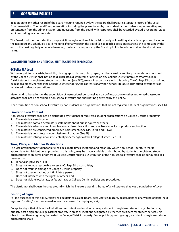In addition to any other record of the Board meeting required by law, the Board shall prepare a separate record of the Level Four presentation. The Level Four presentation, including the presentation by the student or the student's representative, any presentation from the administration, and questions from the Board with responses, shall be recorded by audio recording, video/ audio recording, or court reporter.

The Board shall then consider the complaint. It may give notice of its decision orally or in writing at any time up to and including the next regularly scheduled Board meeting. If for any reason the Board fails to reach a decision regarding the complaint by the end of the next regularly scheduled meeting, the lack of a response by the Board upholds the administrative decision at Level Three.

# **5.18 STUDENT RIGHTS AND RESPONSIBILITIES/STUDENT EXPRESSIONS**

# **GC Policy FLA Local**

Written or printed materials, handbills, photographs, pictures, films, tapes, or other visual or auditory materials not sponsored by the College District shall not be sold, circulated, distributed, or posted on any College District premises by any College District student or registered student organization [see FKC], except in accordance with this policy. The College District shall not be responsible for, nor shall the College District endorse, the contents of any non-school literature distributed by students or registered student organizations.

Materials distributed under the supervision of instructional personnel as a part of instruction or other authorized classroom activities shall not be considered non-school literature and shall not be governed by this policy.

[For distribution of non-school literature by nonstudents and organizations that are not registered student organizations, see GD]

### **Limitations on Content**

Non-school literature shall not be distributed by students or registered student organizations on College District property if:

- 1. The materials are obscene.
- 2. The materials contain defamatory statements about public figures or others.
- 3. The materials advocate imminent lawless or disruptive action and are likely to incite or produce such action.
- 4. The materials are considered prohibited harassment. [See DIA, DIAB, and FFDA]
- 5. The materials constitute nonpermissible solicitation. [See FI]
- 6. The materials infringe upon intellectual property rights of the College District. [See CT]

# **Time, Place, and Manner Restrictions**

The vice president for student affairs shall designate times, locations, and means by which non- school literature that is appropriate for distribution, as provided in this policy, may be made available or distributed by students or registered student organizations to students or others at College District facilities. Distribution of the non-school literature shall be conducted in a manner that:

- 1. Is not disruptive [see FLB];
- 2. Does not impede reasonable access to College District facilities;
- 3. Does not result in damage to College District property;
- 4. Does not coerce, badger, or intimidate a person;
- 5. Does not interfere with the rights of others; and
- 6. Does not violate local, state, or federal laws or College District policies and procedures.

The distributor shall clean the area around which the literature was distributed of any literature that was discarded or leftover.

### **Posting of Signs**

For the purposes of this policy, "sign" shall be defined as a billboard, decal, notice, placard, poster, banner, or any kind of hand-held sign; and "posting" shall be defined as any means used for displaying a sign.

Except for signs that violate the limitations on content, as described above, a student or registered student organization may publicly post a sign on College District property in areas or locations designated by the vice president for student services. No object other than a sign may be posted on College District property. Before publicly posting a sign, a student or registered student organization shall: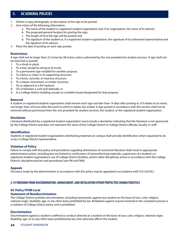- 1. Deliver a copy, photograph, or description of the sign to be posted.
- 2. Give notice of the following information:
	- a. The name of the student or registered student organization and, if an organization, the name of its advisor;
	- b. The proposed general location for posting the sign;
	- c. The length of time the sign will be posted; and
	- d. The signature of the student or, if a registered student organization, the signature of its authorized representative and the signature of its advisor.
- 3. Place the date of posting on each sign posted.

# **Restrictions**

A sign shall not be larger than 22 inches by 28 inches unless authorized by the vice president for student services. A sign shall not be attached or posted:

- 1. To a shrub or plant;
- 2. To a tree, except by string to its trunk;
- 3. To a permanent sign installed for another purpose;
- 4. To a fence or chain or its supporting structure;
- 5. To a brick, concrete, or masonry structure;
- 6. To a statue, monument, or similar structure;
- 7. On or adjacent to a fire hydrant;
- 8. On or between a curb and sidewalk; or
- 9. In a College District building, except on a bulletin board designated for that purpose.

### **Removal**

A student or registered student organization shall remove each sign not later than 14 days after posting or, if it relates to an event, not longer than 24 hours after the event to which it relates has ended. A sign posted in accordance with this section shall not be removed without permission from the vice president for student services, the student, or the registered student organization.

### **Disclaimer**

Literature distributed by a registered student organization must include a disclaimer indicating that the literature is not sponsored by the College District and does not represent the views of the College District or College District officials, faculty, or staff.

### **Identification**

Students or registered student organizations distributing materials on campus shall provide identification when requested to do so by a College District representative.

# **Violation of Policy**

Failure to comply with the policy and procedures regarding distribution of nonschool literature shall result in appropriate administrative action, including but not limited to confiscation of nonconforming materials, suspension of a student's or registered student organization's use of College District facilities, and/or other disciplinary action in accordance with the College District's discipline policies and procedures [see FM and FMA].

### **Appeals**

Decisions made by the administration in accordance with this policy may be appealed in accordance with FLD (LOCAL).

# **5.19 FREEDOM FROM DISCRIMINATION, HARASSMENT, AND RETALIATION OTHER PROTECTED CHARACTERISTICS**

# **GC Policy FFDB Local**

# **Statement of Nondiscrimination**

The College District prohibits discrimination, including harassment, against any student on the basis of race, color, religion, national origin, disability, age, or any other basis prohibited by law. Retaliation against anyone involved in the complaint process is a violation of College District policy and is prohibited.

# **Discrimination**

Discrimination against a student is defined as conduct directed at a student on the basis of race, color, religion, national origin, disability, age, or on any other basis prohibited by law, that adversely affects the student.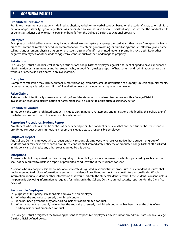#### **Prohibited Harassment**

Prohibited harassment of a student is defined as physical, verbal, or nonverbal conduct based on the student's race, color, religion, national origin, disability, age, or any other basis prohibited by law that is so severe, persistent, or pervasive that the conduct limits or denies a student's ability to participate in or benefit from the College District's educational program.

### **Examples**

Examples of prohibited harassment may include offensive or derogatory language directed at another person's religious beliefs or practices, accent, skin color, or need for accommodation; threatening, intimidating, or humiliating conduct; offensive jokes, namecalling, slurs, or rumors; physical aggression or assault; display of graffiti or printed material promoting racial, ethnic, or other negative stereotypes; or other kinds of aggressive conduct such as theft or damage to property.

### **Retaliation**

The College District prohibits retaliation by a student or College District employee against a student alleged to have experienced discrimination or harassment or another student who, in good faith, makes a report of harassment or discrimination, serves as a witness, or otherwise participates in an investigation.

### **Examples**

Examples of retaliation may include threats, rumor spreading, ostracism, assault, destruction of property, unjustified punishments, or unwarranted grade reductions. Unlawful retaliation does not include petty slights or annoyances.

#### **False Claims**

A student who intentionally makes a false claim, offers false statements, or refuses to cooperate with a College District investigation regarding discrimination or harassment shall be subject to appropriate disciplinary action.

### **Prohibited Conduct**

In this policy, the term "prohibited conduct" includes discrimination, harassment, and retaliation as defined by this policy, even if the behavior does not rise to the level of unlawful conduct.

### **Reporting Procedures Student Report**

Any student who believes that he or she has experienced prohibited conduct or believes that another student has experienced prohibited conduct should immediately report the alleged acts to a responsible employee.

### **Employee Report**

Any College District employee who suspects and any responsible employee who receives notice that a student or group of students has or may have experienced prohibited conduct shall immediately notify the appropriate College District official listed in this policy and shall take any other steps required by this policy.

#### **Exceptions**

A person who holds a professional license requiring confidentiality, such as a counselor, or who is supervised by such a person shall not be required to disclose a report of prohibited conduct without the student's consent.

A person who is a nonprofessional counselor or advocate designated in administrative procedures as a confidential source shall not be required to disclose information regarding an incident of prohibited conduct that constitutes personally identifiable information about a student or other information that would indicate the student's identity without the student's consent, unless the person is disclosing information as required for inclusion in the College District's annual security report under the Clery Act. [See GAC]

### **Responsible Employee**

For purposes of this policy, a "responsible employee" is an employee:

- 1. Who has the authority to remedy prohibited conduct.
- 2. Who has been given the duty of reporting incidents of prohibited conduct.
- 3. Whom a student reasonably believes has the authority to remedy prohibited conduct or has been given the duty of reporting incidents of prohibited conduct.

The College District designates the following persons as responsible employees: any instructor, any administrator, or any College District official defined below.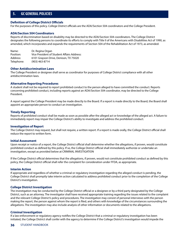### **Definition of College District Officials**

For the purposes of this policy. College District officials are the ADA/Section 504 coordinators and the College President.

#### **ADA/Section 504 Coordinators**

Reports of discrimination based on disability may be directed to the ADA/Section 504 coordinators. The College District designates the following persons to coordinate its efforts to comply with Title II of the Americans with Disabilities Act of 1990, as amended, which incorporates and expands the requirements of Section 504 of the Rehabilitation Act of 1973, as amended:

Name: Dr. Regina Organ Position: Vice President of Student Affairs Address: Address: 6101 Grayson Drive, Denison, TX 75020 Telephone: (903) 463-8714

#### **Other Antidiscrimination Laws**

The College President or designee shall serve as coordinator for purposes of College District compliance with all other antidiscrimination laws.

#### **Alternative Reporting Procedures**

A student shall not be required to report prohibited conduct to the person alleged to have committed the conduct. Reports concerning prohibited conduct, including reports against an ADA/Section 504 coordinator, may be directed to the College President.

A report against the College President may be made directly to the Board. If a report is made directly to the Board, the Board shall appoint an appropriate person to conduct an investigation.

#### **Timely Reporting**

Reports of prohibited conduct shall be made as soon as possible after the alleged act or knowledge of the alleged act. A failure to immediately report may impair the College District's ability to investigate and address the prohibited conduct.

#### **Investigation of Report**

The College District may request, but shall not require, a written report. If a report is made orally, the College District official shall reduce the report to written form.

#### **Initial Assessment**

Upon receipt or notice of a report, the College District official shall determine whether the allegations, if proven, would constitute prohibited conduct as defined by this policy. If so, the College District official shall immediately authorize or undertake an investigation, except as provided below at CRIMINAL INVESTIGATION

If the College District official determines that the allegations, if proven, would not constitute prohibited conduct as defined by this policy, the College District official shall refer the complaint for consideration under FFDA, as appropriate.

#### **Interim Action**

If appropriate and regardless of whether a criminal or regulatory investigation regarding the alleged conduct is pending, the College District shall promptly take interim action calculated to address prohibited conduct prior to the completion of the College District's investigation.

#### **College District Investigation**

The investigation may be conducted by the College District official or a designee or by a third party designated by the College District, such as an attorney. The investigator shall have received appropriate training regarding the issues related to the complaint and the relevant College District's policy and procedures. The investigation may consist of personal interviews with the person making the report, the person against whom the report is filed, and others with knowledge of the circumstances surrounding the allegations. The investigation may also include analysis of other information or documents related to the allegations.

#### **Criminal Investigation**

If a law enforcement or regulatory agency notifies the College District that a criminal or regulatory investigation has been initiated, the College District shall confer with the agency to determine if the College District's investigation would impede the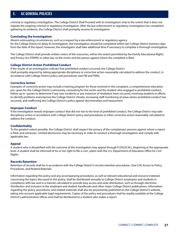criminal or regulatory investigation. The College District Shall Proceed with its investigation only to the extent that it does not impede the ongoing criminal or regulatory investigation. After the law enforcement or regulatory investigation has completed gathering its evidence, the College District shall promptly resume its investigation.

### **Concluding the Investigation**

Absent extenuating circumstances, such as a request by a law enforcement or regulatory agency for the College District to delay its investigation, the investigation should be completed within ten College District business days from the date of the report; however, the investigator shall take additional time if necessary to complete a thorough investigation.

The College District shall provide written notice of the outcomes, within the extent permitted by the Family Educational Rights and Privacy Act (FERPA) or other law, to the victim and the person against whom the complaint is filed.

## **College District Action Prohibited Conduct**

If the results of an investigation indicate that prohibited conduct occurred, the College District shall promptly respond by taking appropriate disciplinary or corrective action reasonably calculated to address the conduct, in accordance with College District policy and procedures [see FM and FMA].

### **Corrective Action**

Examples of corrective action may include a training program for those involved in the complaint, a comprehensive education pro- gram for the College District community, counseling for the victim and the student who engaged in prohibited conduct, follow-up in- quiries to determine if any new incidents or any instances of retaliation have occurred, involving students in efforts to identify problems and improve the College District climate, increasing staff monitoring of areas where prohibited conduct has occurred, and reaffirming the College District's policy against discrimination and harassment.

### **Improper Conduct**

If the investigation reveals improper conduct that did not rise to the level of prohibited conduct, the College District may take disciplinary action in accordance with College District policy and procedures or other corrective action reasonably calculated to address the conduct.

## **Confidentiality**

To the greatest extent possible, the College District shall respect the privacy of the complainant, persons against whom a report is filed, and witnesses. Limited disclosures may be necessary in order to conduct a thorough investigation and comply with applicable law.

### **Appeal**

A student who is dissatisfied with the outcome of the investigation may appeal through FLD(LOCAL), beginning at the appropriate level. A student shall be informed of his or her right to file a com- plaint with the U.S. Department of Education Office for Civil Rights.

### **Records Retention**

Retention of records shall be in accordance with the College District's records retention procedures. [See CIA] Access to Policy, Procedures, and Related Materials

Information regarding this policy and any accompanying procedures, as well as relevant educational and resource materials concerning the topics discussed in this policy, shall be distributed annually to College District employees and students in compliance with law and in a manner calculated to provide easy access and wide distribution, such as through electronic distribution and inclusion in the employee and student handbooks and other major College District publications. Information regarding the policy, procedures, and related materials shall also be prominently published on the College District's website, taking into account applicable legal requirements. Copies of the policy and procedures shall be readily available at the College District's administrative offices and shall be distributed to a student who makes a report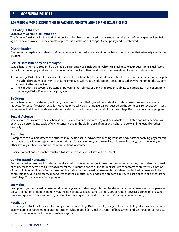### **5.20 FREEDOM FROM DISCRIMINATION, HARASSMENT, AND RETALIATION SEX AND SEXUAL VIOLENCE**

#### **GC Policy FFDA Local**

#### **Statement of Nondiscrimination**

The College District prohibits discrimination, including harassment, against any student on the basis of sex or gender. Retaliation against anyone involved in the complaint process is a violation of College District policy and is prohibited.

#### **Discrimination**

Discrimination against a student is defined as conduct directed at a student on the basis of sex/gender that adversely affects the student.

#### **Sexual Harassment by an Employee**

Sexual harassment of a student by a College District employee includes unwelcome sexual advances; requests for sexual favors; sexually motivated physical, verbal, or nonverbal conduct; or other conduct or communication of a sexual nature when:

- 1. A College District employee causes the student to believe that the student must submit to the conduct in order to participate in a school program or activity, or that the employee will make an educational decision based on whether or not the student submits to the conduct; or
- 2. The conduct is so severe, persistent, or pervasive that it limits or denies the student's ability to participate in or benefit from the College District's educational program.

#### **By Others**

Sexual harassment of a student, including harassment committed by another student, includes unwelcome sexual advances; requests for sexual favors; or sexually motivated physical, verbal, or nonverbal conduct when the conduct is so severe, persistent, or pervasive that it limits or denies a student's ability to participate in or benefit from the College District's educational program.

#### **Sexual Violence**

Sexual violence is a form of sexual harassment. Sexual violence includes physical, sexual acts perpetrated against a person's will or where a person is incapable of giving consent due to the victim's use of drugs or alcohol or due to an intellectual or other disability.

#### **Examples**

Examples of sexual harassment of a student may include sexual advances; touching intimate body parts or coercing physical contact that is sexual in nature; jokes or conversations of a sexual nature; rape; sexual assault; sexual battery; sexual coercion; and other sexually motivated conduct, communications, or contact.

Physical contact not reasonably construed as sexual in nature is not sexual harassment.

#### **Gender-Based Harassment**

Gender-based harassment includes physical, verbal, or nonverbal conduct based on the student's gender, the student's expression of characteristics perceived as stereotypical for the student's gender, or the student's failure to conform to stereotypical notions of masculinity or femininity. For purposes of this policy, gender-based harassment is considered prohibited harassment if the conduct is so severe, persistent, or pervasive that the conduct limits or denies a student's ability to participate in or benefit from the College District's educational program.

#### **Examples**

Examples of gender-based harassment directed against a student, regardless of the student's or the harasser's actual or perceived sexual orientation or gender identify, may include offensive jokes, name-calling, slurs, or rumors, physical aggression or assault, threatening or intimidation conduct, or other kinds of aggressive conduct such as theft or damage to property.

#### **Retaliation**

The College District prohibits retaliation by a student or College District employee against a student alleged to have experienced discrimination or harassment or another student who, in good faith, makes a report of harassment or discrimination, serves as a witness, or otherwise participates in an investigation.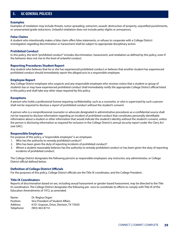### **Examples**

Examples of retaliation may include threats, rumor spreading, ostracism, assault, destruction of property, unjustified punishments, or unwarranted grade reductions. Unlawful retaliation does not include petty slights or annoyances.

#### **False Claims**

A student who intentionally makes a false claim offers false statements, or refuses to cooperate with a College District investigation regarding discrimination or harassment shall be subject to appropriate disciplinary action.

#### **Prohibited Conduct**

In this policy, the term "prohibited conduct" includes discrimination, harassment, and retaliation as defined by this policy, even if the behavior does not rise to the level of unlawful conduct.

#### **Reporting Procedures Student Report**

Any student who believes that he or she has experienced prohibited conduct or believes that another student has experienced prohibited conduct should immediately report the alleged acts to a responsible employee.

#### **Employee Report**

Any College District employee who suspects and any responsible employee who receives notice that a student or group of students has or may have experienced prohibited conduct shall immediately notify the appropriate College District official listed in this policy and shall take any other steps required by this policy.

#### **Exceptions**

A person who holds a professional license requiring confidentiality, such as a counselor, or who is supervised by such a person shall not be required to disclose a report of prohibited conduct without the student's consent.

A person who is a nonprofessional counselor or advocate designated in administrative procedures as a confidential source shall not be required to disclose information regarding an incident of prohibited conduct that constitutes personally identifiable information about a student or other information that would indicate the student's identity without the student's consent, unless the person is disclosing information as required for inclusion in the College District's annual security report under the Clery Act [see GAC].

#### **Responsible Employee**

For purpose of this policy, a "responsible employee" is an employee:

- 1. Who has the authority to remedy prohibited conduct?
- 2. Who has been given the duty of reporting incidents of prohibited conduct?
- 3. Whom a student reasonably believes has the authority to remedy prohibited conduct or has been given the duty of reporting incidents of prohibited conduct.

The College District designates the following persons as responsible employees: any instructor, any administrator, or College District official defined below.

#### **Definition of College District Officials**

For the purposes of this policy, College District officials are the Title IX coordinator, and the College President.

#### **Title IX Coordinators**

Reports of discrimination based on sex, including sexual harassment or gender-based harassment, may be directed to the Title IX coordinators. The College District designates the following per- sons to coordinate its efforts to comply with Title IX of the Education Amendments of 1972, as amended:

| Name:      | Dr. Regina Organ<br>Vice President of Student Affairs |  |
|------------|-------------------------------------------------------|--|
| Position:  |                                                       |  |
| Address:   | 6101 Grayson, Drive, Denison, TX 75020                |  |
| Telephone: | (903) 463-8714                                        |  |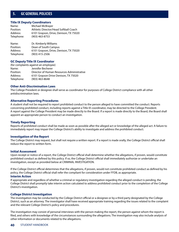### **Title IX Deputy Coordinators**

| Name:      | Michael McBrayer                       |  |
|------------|----------------------------------------|--|
| Position:  | Athletic Director/Head Softball Coach  |  |
| Address:   | 6101 Grayson, Drive, Denison, TX 75020 |  |
| Telephone: | $(903)$ 463-8753                       |  |
|            |                                        |  |

Name: Dr. Kimberly Williams Position: Dean of South Campus Address: 6101 Grayson, Drive, Denison, TX 75020 Telephone: (903) 415-2506

### **GC Deputy Title IX Coordinator**

(for complaints against an employee) Name: Jennifer Becherer Position: Director of Human Resources Administrative Address: 6101 Grayson Drive Denison, TX 75020 Telephone: (903) 463-8648

#### **Other Anti-Discrimination Laws**

The College President or designee shall serve as coordinator for purposes of College District compliance with all other antidiscrimination laws.

#### **Alternative Reporting Procedures**

A student shall not be required to report prohibited conduct to the person alleged to have committed the conduct. Reports concerning prohibited conduct, including reports against a Title IX coordinator, may be directed to the College President. A report against the College President may be made directly to the Board. If a report is made directly to the Board, the Board shall appoint an appropriate person to conduct an investigation.

#### **Timely Reporting**

Reports of prohibited conduct shall be made as soon as possible after the alleged act or knowledge of the alleged act. A failure to immediately report may impair the College District's ability to investigate and address the prohibited conduct.

#### **Investigation of the Report**

The College District may request, but shall not require a written report. If a report is made orally, the College District official shall reduce the report to written form.

#### **Initial Assessment**

Upon receipt or notice of a report, the College District official shall determine whether the allegations, if proven, would constitute prohibited conduct as defined by this policy. If so, the College District official shall immediately authorize or undertake an investigation, except as provided below at CRIMINAL INVESTIGATION.

If the College District official determines that the allegations, if proven, would not constitute prohibited conduct as defined by his policy, the College District official shall refer the compliant for consideration under FFDB, as appropriate.

#### **Interim Action**

If appropriate and regardless of whether a criminal or regulatory investigation regarding the alleged conduct is pending, the College District shall promptly take interim action calculated to address prohibited conduct prior to the completion of the College District's investigation.

#### **College District Investigation**

The investigation may be conducted by the College District official or a designee or by a third party designated by the College District, such as an attorney. The investigator shall have received appropriate training regarding the issues related to the complaint and the relevant College District's policy and procedures.

The investigation may consist of personal interviews with the person making the report, the person against whom the report is filed, and others with knowledge of the circumstances surrounding the allegations. The investigation may also include analysis of other information or documents related to the allegations.

### **40** STUDENT HANDBOOK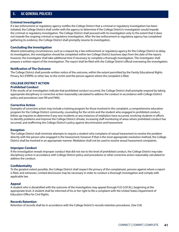### **Criminal Investigation**

If a law enforcement or regulatory agency notifies the College District that a criminal or regulatory investigation has been initiated, the College District shall confer with the agency to determine if the College District's investigation would impede the criminal or regulatory investigation. The College District shall proceed with its investigation only to the extent that it does not impede the ongoing criminal or regulatory investigation. After the law enforcement or regulatory agency has completed gathering its evidence, the College District shall promptly resume its investigation.

#### **Concluding the Investigation**

Absent extenuating circumstances, such as a request by a law enforcement or regulatory agency for the College District to delay its investigation, the investigation should be completed within ten College District business days from the date of the report; however, the investigator shall take additional time if necessary to complete a thorough investigation. The investigator shall prepare a written report of the investigation. The report shall be filed with the College District official overseeing the investigation.

#### **Notification of The Outcome**

The College District shall provide written notice of the outcome, within the extent permitted by the Family Educational Rights Privacy Act (FERPA) or other law, to the victim and the person against whom the complaint is filed.

## **COLLEGE DISTRICT ACTION**

## **Prohibited Conduct**

If the results of an investigation indicate that prohibited conduct occurred, the College District shall promptly respond by taking appropriate disciplinary or corrective action reasonably calculated to address the conduct in accordance with College District policy and procedures (see FM and FMA).

#### **Corrective Action**

Examples of corrective action may include a training program for those involved in the complaint, a comprehensive education program for the College District community, counseling for the victim and the student who engaged in prohibited conduct, follow-up inquiries to determine if any new incidents or any instances of retaliation have occurred, involving students in efforts to identify problems and improve the College District climate, increasing staff monitoring of areas where prohibited conduct has occurred, and reaffirming the College District's policy against discrimination and harassment.

#### **Exception**

The College District shall minimize attempts to require a student who complains of sexual harassment to resolve the problem directly with the person who engaged in the harassment; however if that is the most appropriate resolution method, the College District shall be involved in an appropriate manner. Mediation shall not be used to resolve sexual harassment complaints.

#### **Improper Conduct**

If the investigation reveals improper conduct that did not rise to the level of prohibited conduct, the College District may take disciplinary action in accordance with College District policy and procedures or other corrective action reasonably calculated to address the conduct.

#### **Confidentiality**

To the greatest extent possible, the College District shall respect the privacy of the complainant, persons against whom a report is filed, and witnesses. Limited disclosures may be necessary in order to conduct a thorough investigation and comply with applicable law.

#### **Appeal**

A student who is dissatisfied with the outcome of the investigation may appeal through FLD (LOCAL), beginning at the appropriate level. A student shall be informed of his or her right to file a complaint with the United States Department of Education Office for Civil Rights.

#### **Records Retention**

Retention of records shall be in accordance with the College District's records retention procedures. [See CIA]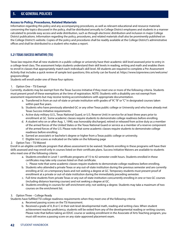### **Access to Policy, Procedures, Related Materials**

Information regarding this policy and any accompanying procedures, as well as relevant educational and resource materials concerning the topics discussed in the policy, shall be distributed annually to College District employees and students in a manner calculated to provide easy access and wide distribution, such as through electronic distribution and inclusion in major College District publications. Information regarding the policy, procedures, and related materials shall also be prominently published on the College District's website. Copies of the policy and procedures shall be readily available at the College District's administrative offices and shall be distributed to a student who makes a report.

# **5.21 TEXAS SUCCESS INITIATIVE (TSI)**

Texas law requires that all new students in a public college or university have their academic skill level assessed prior to entry in a college-level class. The assessment helps students understand their skill levels in reading, writing and math and enables them to enroll in classes that appropriately match each individual's skill level. All students are required to complete a Pre-Assessment Activity that includes a quick review of sample test questions; this activity can be found at: https://www.tsipreview.com/welcome/ graysoncollege

Students will enroll under one of these four options:

### 1. Option One – TSI Exempt

Currently, students may be exempt from the Texas Success Initiative if they meet one or more of the following criteria. Students must present proof of these exemptions at the time of registration. NOTE: Students with a disability are not exempt from assessment requirements but may receive testing accommodations with appropriate documentation.

- a. Transferred in from an out-of-state or private institution with grades of "A", "B" or "C" in designated courses taken within past five years.
- b. Students who have previously attended GC or any other Texas public college or University and who have already met Texas Success Initiative requirements.
- c. Active duty military (U.S., Texas National Guard, or U.S. Reserve Unit) in service for at least three years prior to enrollment at GC. Some academic classes require students to demonstrate college readiness before enrolling.
- d. A student who on or after Aug. 1, 1990, was honorably discharged, retired or released from active duty as a member of the armed forces of the United States or the Texas National Guard or service as a member of a reserve component of the armed forces of the U.S. Please note that some academic classes require students to demonstrate college readiness before enrolling.
- e. Earned an associate's or bachelor's degree or higher from a Texas public college or university.
- f. Eligible test scores as indicated on the table on the following page

### 2. Option Two – TSI Waived

Enroll in an eligible certificate program that allows assessment to be waived. Students enrolling in these programs will have their skills assessed and may enroll only in courses listed on their certificate plans. Success Initiative Waivers are available to students who meet one of the following criteria:

a. Students enrolled in Level 1 certificate programs of 15 to 42 semester credit hours. Students enrolled in these certificates may take only courses listed on that certificate.

i. Please note that some academic classes require students to demonstrate college readiness before enrolling.

- b. Students who attended a private Texas or any out-of-state institution during the previous semester and are currently enrolling at GC on a temporary basis and not seeking a degree at GC. Temporary students must present proof of enrollment at a private or out-of-state institution during the immediately preceding semester.
- c. Full-time students from private Texas or any out-of-state institution concurrently enrolling in one or two GC courses (including distance learning courses) and not seeking a degree at GC.
- d. Students enrolling in courses for self-enrichment only; not seeking a degree. Students may take a maximum of two courses on the enrichment list.

### 3. Option Three – College Ready

Students have fulfilled TSI college readiness requirements when they meet one of the following criteria:

- a. Received passing scores on the TSI Assessment.
- b. Received a grade of A, B or C in their exit-level developmental math, reading and writing class. When student achievement reaches proficiency, students will be exited from any of the developmental reading or writing courses. Please note that before taking an EDUC course or seeking enrollment in the Associate of Arts Teaching program, you must still receive a passing score on any state-approved placement exam.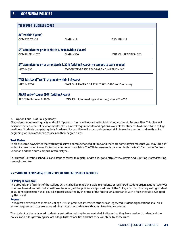| <b>TSI EXEMPT - ELIGIBLE SCORES</b>                      |                                                                                                                                      |                               |  |  |
|----------------------------------------------------------|--------------------------------------------------------------------------------------------------------------------------------------|-------------------------------|--|--|
|                                                          |                                                                                                                                      |                               |  |  |
| <b>ACT</b> (within 5 years)                              |                                                                                                                                      |                               |  |  |
| <b>COMPOSITE - 23</b>                                    | <b>MATH - 19</b>                                                                                                                     | ENGLISH - 19                  |  |  |
| SAT administered prior to March 5, 2016 (within 5 years) |                                                                                                                                      |                               |  |  |
| COMBINED - 1070                                          | MATH - 500                                                                                                                           | <b>CRITICAL READING - 500</b> |  |  |
| <b>MATH - 530</b>                                        | SAT administered on or after March 5, 2016 (within 5 years) - no composite score needed<br>EVIDENCED-BASED READING AND WRITING - 480 |                               |  |  |
|                                                          |                                                                                                                                      |                               |  |  |
| TAKS Exit-Level Test (11th grade) (within 3-5 years)     |                                                                                                                                      |                               |  |  |
| <b>MATH - 2200</b>                                       | ENGLISH LANGUAGE ARTS/ESSAY - 2200 and 3 on essay                                                                                    |                               |  |  |
| <b>STARR end-of-course (EOC) (within 5 years)</b>        |                                                                                                                                      |                               |  |  |
| ALGEBRA II - Level 2: 4000                               | ENGLISH III (for reading and writing) - Level 2: 4000                                                                                |                               |  |  |
|                                                          |                                                                                                                                      |                               |  |  |

### 4. Option Four – Not College Ready

All students who do not qualify under TSI Options 1, 2 or 3 will receive an individualized Academic Success Plan. This plan will describe the sequence of developmental classes, retest requirements, and options available for students to demonstrate college readiness. Students completing their Academic Success Plan will attain college-level skills in reading, writing and math while beginning work on academic courses on their degree plans.

### **Test Dates**

There are some days/times that you may reserve a computer ahead of time, and there are some days/times that you may "drop-in" without a reservation to see if a testing computer is available. The TSI Assessment is given on both the Main Campus in Denison-Sherman and the South Campus in Van Alstyne.

For current TSI testing schedules and steps to follow to register or drop-in, go to http://www.grayson.edu/getting-started/testingcenter/index.html

# **5.22 STUDENT EXPRESSION/ STUDENT USE OF COLLEGE DISTRICT FACILITIES**

## **GC Policy FLAA (Local)**

The grounds and facilities of the College District shall be made available to students or registered student organizations [see FKC] when such use does not conflict with use by, or any of the policies and procedures of, the College District. The requesting student or student organization shall pay all expenses incurred by their use of the facilities in accordance with a fee schedule developed by the Board.

### **Request**

To request permission to meet on College District premises, interested students or registered student organizations shall file a written request with the executive administrator in accordance with administrative procedures.

The student or the registered student organization making the request shall indicate that they have read and understand the policies and rules governing use of College District facilities and that they will abide by those rules.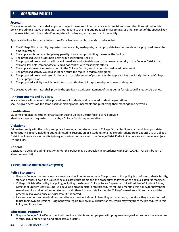## **Approval**

The executive administrator shall approve or reject the request in accordance with provisions of and deadlines set out in this policy and administrative procedures, without regard to the religious, political, philosophical, or other content of the speech likely to be associated with the student's or registered student organization's use of the facility.

Approval shall not be granted when the official has reasonable grounds to believe that:

- 1. The College District facility requested is unavailable, inadequate, or inappropriate to accommodate the proposed use at the time requested;
- 2. The applicant is under a disciplinary penalty or sanction prohibiting the use of the facility;
- 3. The proposed use includes non-permissible solicitation [see FI];
- 4. The proposed use would constitute an immediate and actual danger to the peace or security of the College District that available law enforcement officials could not control with reasonable efforts;
- 5. The applicant owes a monetary debt to the College District, and the debt is considered delinquent;
- 6. The proposed activity would disrupt or disturb the regular academic program;
- 7. The proposed use would result in damage to or defacement of property, or the applicant has previously damaged College District property; or
- 8. The proposed activity would constitute an unauthorized joint sponsorship with an outside group.

The executive administrator shall provide the applicant a written statement of the grounds for rejection if a request is denied.

### **Announcements and Publicity**

In accordance with administrative procedures, all students, and registered student organizations shall be given access on the same basis for making announcements and publicizing their meetings and activities.

### **Identification**

Students or registered student organizations using College District facilities shall provide identification when requested to do so by a College District representative.

### **Violations**

Failure to comply with the policy and procedures regarding student use of College District facilities shall result in appropriate administrative action, including but not limited to, suspension of a student's or a registered student organization's use of College District facilities and/or other disciplinary action in accordance with the College District's discipline policies and procedures [see FM and FMA].

### **Appeals**

Decisions made by the administration under this policy may be appealed in accordance with FLD (LOCAL). [For distribution of literature, see FLA]

### **5.23 VIOLENCE AGAINST WOMEN ACT (VAWA)**

### **Policy Statement**

- Grayson College condemns sexual assaults and will not tolerate them. The purpose of this policy is to inform students, faculty, staff, and others about the College's sexual assault programs and the procedures followed once a sexual assault is reported.
- College officials affected by this policy, including the Grayson College Police Department, Vice President of Student Affairs, Director of Student Life\Housing, will develop and administer office procedures for implementing this policy, for preventing sexual assaults, and for informing students and others in more detail about the College's sexual assault programs and the procedures followed once a sexual assault is reported.
- Law enforcement and medical personnel have extensive training in handling sexual assaults; therefore, they are authorized to use their own professional judgment with regard to individual circumstances, which may vary from the procedures in this Policy and Procedures.

### **Educational Programs**

1. Grayson College Police Department will provide students and employees with programs designed to promote the awareness of rape, acquaintance rape, and other sexual assaults.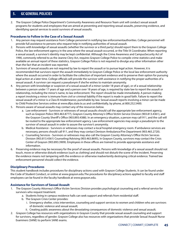2. The Grayson College Police Department's Community Awareness and Resource Team unit will conduct sexual assault programs for students and employees that are aimed at preventing and reporting sexual assaults, preserving evidence, and identifying special services to assist survivors of sexual assaults.

## **Procedures to Follow in the Case of a Sexual Assault**

- 1. Any person may request assistance from College personnel in notifying law enforcementauthorities. College personnel will provide full assistance to persons who request help in notifying authorities of sexual assault.
- 2. Persons with knowledge of sexual assaults (whether the survivor or a third party) should report them to the Grayson College Police, the law enforcement agency in the area where the sexual assault occurred, or the Title IX Coordinator. When reporting a sexual assault, a survivor's identity may be kept confidential. Although the Crime Awareness and CampusSecurity Act of 1990, commonly referred to as the Jeanne Clery Act, requires Grayson College Police to compile crime statistics and make available an annual report of these statistics, Grayson College Police is not required to divulge any other information other than the fact that an incident was reported.
- 3. Survivors of sexual assaults are not required by law to report the assault or to pursue legal action. However, it is recommended that survivors report the assault immediately to Grayson College Police or the local law enforcement authority where the assault occurred in order to facilitate the collection of important evidence and to preserve their option for pursuing legal action at a later time. College officials will provide the survivor with assistance in notifying the proper authorities of a sexual assault. A survivor can request a pseudonym if she/he wishes to maintain anonymity.
- 4. Any person with knowledge or suspicion of a sexual assault of a minor (under 18 years of age), or of a sexual relationship between a person under 17 years of age and a person over 18 years of age, is required by state law to report the assault or relationship, including the minor's name, to law enforcement. The report should be made immediately. A person making a report involving a minor is immune from civil or criminal liability if the report is made in good faith. Failure to report the sexual assault of a minor is a Class B misdemeanor, punishable by law. Sexual assault reports involving a minor can be made to Child Protective Services online at www.dfps.state.tx.us and confidentially, by phone, at 800.252.5400.
- 5. Persons aware of sexual assaults may contact any of the resources below.
	- a. Law enforcement Survivors or witnesses of sexual assaults should call the appropriate law enforcement agency, such as Grayson Police (903.463.8777), Grayson County Attorney's Office Victim Service Division (903.813.4361), and the Grayson County Sheriff's Office (903.893.4388). In an emergency situation, a person may call 911, and the call will be routed to the appropriate law enforcement agency. Law enforcement agencies may assign a pseudonym to the survivor of sexual assault in order to assure the survivor's anonymity.
	- b. Medical Assistance Survivors or witnesses may contact a local hospital emergency room. If ambulance services are necessary, persons should call 911, and they may contact Denison Ambulance/Fire Department (903.465.2720).
	- c. Counseling Services Survivors or witnesses may also call the Grayson County Attorney's Office Victim Services Division (903.813.4361) Counseling/Advising (903.463.8695), In Grayson County, survivors may contact the Crisis Center of Grayson (903.893.3909). Employees in these offices are trained to provide appropriate assistance and information.
- 6. Preserving evidence may be necessary for the proof of sexual assaults. Persons with knowledge of a sexual assault should not touch, move or otherwise disturb evidence (such as clothing) and should not disturb the scene of the incident. Preserving the evidence means not tampering with the evidence or otherwise inadvertently destroying critical evidence. Trained law enforcement personnel should collect the evidence.

### **Disciplinary Procedures**

This student handbook includes procedures for disciplinary actions used with Grayson College Students. It can be found under the Code of Student Conduct, or online at www.grayson.edu.The procedures for disciplinary actions applied to faculty and staff employees can be found in the faculty handbook at www.grayson.edu.

## **Assistance for Survivors of Sexual Assault**

- 1. The Grayson County Attorney's Office Victim Services Division provides psychological counseling and a referral service for survivors who request treatment.
	- a. Students living in campus residence halls can seek support and referrals from residential staff.
	- b. The Grayson Crisis Center provides:
		- i. Emergency shelter, crisis intervention, counseling and support services to women and children who are survivors of domestic violence and sexual assault;
		- ii. Creating public awareness about the devastating consequences of domestic violence and sexual assault;
- 2. Grayson College has resources with organizations in Grayson County that provide sexual assault counseling and support for survivors, regardless of gender. Grayson College also has resources with organizations that provide Sexual Assault Nurse Examiners (SANE) to perform SANE exams.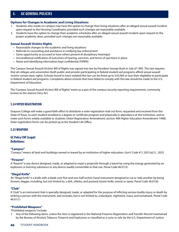## **Options for Changes in Academic and Living Situations**

- 1. Students who reside on campus may have the option to change their living situations after an alleged sexual assault incident upon request to the Housing Coordinator, provided such changes are reasonably available.
- 2. Students have the option to change their academic schedules after an alleged sexual assault incident upon request to the proper academic dean, provided such changes are reasonably available.

#### **Sexual Assault Victims Rights**

- Reasonable changes to the academic and living situations
- Referrals to counseling and assistance in notifying law enforcement
- Same opportunity as accused to have others present at disciplinary hearing(s)
- Unconditional notification of outcomes of hearing, sanction, and terms of sanctions in place
- Name and identifying information kept confidential (FERPA)

The Campus Sexual Assault Victims' Bill of Rights was signed into law by President George Bush in July of 1992. This law requires that all colleges and universities (both public and private) participating in federal student aid programs afford sexual assault victims certain basic rights. Schools found to have violated this law can be fined up to \$35,000 or lose their eligibility to participate in federal student aid programs. Complaints about schools that have failed to comply with this law should be made to the U.S. Department of Education.

The "Campus Sexual Assault Victims' Bill of Rights" exists as a part of the campus security reporting requirements, commonly known as the Jeanne Clery Act.

## **5.24 VOTER REGISTRATION**

Grayson College will make a good-faith effort to distribute a voter registration mail out form, requested and received from the State of Texas, to each student enrolled in a degree or certificate program and physically in attendance at the institution, and to make such forms widely available to students (Voter Registration Amendment; section 489 Higher Education Amendment-1998). Voter registration forms can be picked up at the Student Life Office.

### **5.25 WEAPONS**

# **GC Policy CHF (Legal) Definitions:**

### **"Campus"**

"Campus" means all land and buildings owned or leased by an institution of higher education. Gov't Code 411.2031(a)(1), .2032

#### **"Firearm"**

A "firearm" is any device designed, made, or adapted to expel a projectile through a barrel by using the energy generated by an explosion or burning substance or any device readily convertible to that use. Penal Code 46.01(3)

### **"Illegal Knife"**

An "illegal knife" is a knife with a blade over five and one-half inches; hand instrument designed to cut or stab another by being thrown; dagger, including, but not limited to, a dirk, stiletto, and poniard; bowie knife; sword; or spear. Penal Code 46.01(6)

### **"Club"**

A "club" is an instrument that is specially designed, made, or adapted for the purpose of inflicting serious bodily injury or death by striking a person with the instrument, and includes, but is not limited to, a blackjack, nightstick, mace, and tomahawk. Penal Code 46.01(1)

#### **"Prohibited Weapons"**

"Prohibited weapons" include:

1. Any of the following items, unless the item is registered in the National Firearms Registration and Transfer Record maintained by the Bureau of Alcohol, Tobacco, Firearms and Explosives or classified as a curio or relic by the U.S. Department of Justice: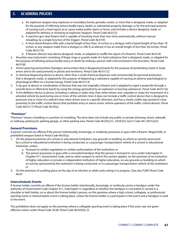- a. An explosive weapon (any explosive or incendiary bomb, grenade, rocket, or mine that is designed, made, or adapted for the purpose of inflicting serious bodily injury, death, or substantial property damage, or for the principal purpose of causing such a loud report as to cause undue public alarm or terror, and includes a device designed, made, or adapted for delivery or shooting an explosive weapon). Penal Code 46.01(2)
- b. A machine gun (any firearm that is capable of shooting more than two shots automatically, without manual reloading, by a single function of the trigger). Penal Code 46.01(9)
- c. A short-barrel firearm (rifle with a barrel length of less than 16 inches or a shotgun with a barrel length of less than 18 inches, or any weapon made from a shotgun or rifle if, as altered, it has an overall length of less than 26 inches). Penal Code 46.01(10)
- d. A firearm silencer (any device designed, made, or adapted to muffle the report of a firearm). Penal Code 46.01(4)
- 2. Knuckles (any instrument consisting of finger rings or guards made of a hard substance that is designed, made, or adapted for the purpose of inflicting serious bodily injury or death by striking a person with a fist enclosed in the knuckles). Penal Code 46.01(8)
- 3. Armor-piercing ammunition (handgun ammunition that is designed primarily for the purpose of penetrating metal or body armor and to be used primarily in pistols and revolvers). Penal Code 46.01(12)
- 4. A chemical dispensing device (a device, other than a small chemical dispenser sold commercially for personal protection, that is designed, made, or adapted for the purpose of dispensing a substance capable of causing an adverse psychological or physiological effect on a human being). Penal Code 46.01(14)
- 5. A zip gun (a device or combination of devices that was not originally a firearm and is adapted to expel a projectile through a smooth-bore or rifled-bore barrel by using the energy generated by an explosion or burning substance). Penal Code 46.01(16)
- 6. A tire deflation device (a device, including a caltrop or spike strip, that, when driven over, impedes or stops the movement of a wheeled vehicle by puncturing one or more of the vehicle's tires; it does not include a traffic control device that is designed to puncture one or more of a vehicle's tires when driven over in a specific direction, and has a clearly visible sign posted in close proximity to the traffic control device that prohibits entry or warns motor vehicle operators of the traffic control device). Penal Code 46.01(17) Penal Code 46.05(a)

## **"Premises"**

"Premises" means a building or a portion of a building. The term does not include any public or private driveway, street, sidewalk or walkway, parking lot, parking garage, or other parking area. Penal Code 46.03(c)(1), .035(f)(3); Gov't Code 441.2031(a)(3)

## **General Provisions**

A person commits an offense if the person intentionally, knowingly, or recklessly possesses or goes with a firearm, illegal knife, or prohibited weapon listed in Penal Code 46.05(a):

- 1. On the physical premises of a school or educational institution, any grounds or building on which an activity sponsored by a school or educational institution is being conducted, or a passenger transportation vehicle of a school or educational institution, unless:
	- a. Pursuant to written regulations or written authorization of the institution; or
	- b. The person possesses or goes with a concealed handgun that the person is licensed to carry under Subchapter H, Chapter 411, Government Code, and no other weapon to which this section applies, on the premises of an institution of higher education or private or independent institution of higher education, on any grounds or building on which an activity sponsored by the institution is being conducted, or in a passenger transportation vehicle of the institution; or
- 2. On the premises of a polling place on the day of an election or while early voting is in progress. [See also FLBF] Penal Code 46.03

### **Interscholastic Events**

A license holder commits an offense if the license holder intentionally, knowingly, or recklessly carries a handgun under the authority of Government Code Chapter 411, Subchapter H, regardless of whether the handgun is concealed or carried in a shoulder or belt holster, on or about the license holder's person, on the premises where a high school, collegiate, or professional sporting event or interscholastic event is taking place, unless the license holder is a participant in the event and a handgun is used in the event.

The prohibition does not apply on the premises where a collegiate sporting event is taking place if the actor was not given effective notice under Penal Code 30.06. Penal Code 46.035(b), (l)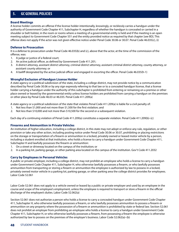### **Board Meetings**

A license holder commits an offense if the license holder intentionally, knowingly, or recklessly carries a handgun under the authority of Government Code Chapter 411, Subchapter H, regardless of whether the handgun is concealed or carried in a shoulder or belt holster, in the room or rooms where a meeting of a governmental entity is held and if the meeting is an open meeting subject to Government Code Chapter 551 and the entity provided notice as required by that chapter [see BD]. This offense does not apply if the actor was not given effective notice under Penal Code 30.06 or 30.07. Penal Code 46.035(c), (i)

## **Defense to Prosecution**

It is a defense to prosecution under Penal Code 46.035(b) and (c), above that the actor, at the time of the commission of the offense, was:

- 1. A judge or justice of a federal court;
- 2. An active judicial officer, as defined by Government Code 411.201;
- 3. A district attorney, assistant district attorney, criminal district attorney, assistant criminal district attorney, county attorney, or assistant county attorney; or
- 4. A bailiff designated by the active judicial officer and engaged in escorting the officer. Penal Code 46.035(h-1)

## **Wrongful Exclusion of Handgun License Holder**

A state agency or a political subdivision of the state, including a college district, may not provide notice by a communication described by Penal Code 30.06 or by any sign expressly referring to that law or to a concealed handgun license, that a license holder carrying a handgun under the authority of this subchapter is prohibited from entering or remaining on a premise or other place owned or leased by the governmental entity unless license holders are prohibited from carrying a handgun on the premises or other place by Penal Code 46.03 or 46.035. Penal Code 411.209(a)

A state agency or a political subdivision of the state that violates Penal Code 411.209(a) is liable for a civil penalty of:

- 1. Not less than \$1,000 and not more than \$1,500 for the first violation; and
- 2. Not less than \$10,000 and not more than \$10,500 for the second or a subsequent violation.

Each day of a continuing violation of Penal Code 411.209(a) constitutes a separate violation. Penal Code 411.209(b)–(c)

## **Firearms and Ammunition in Private Vehicles**

An institution of higher education, including a college district, in this state may not adopt or enforce any rule, regulation, or other provision or take any other action, including posting notice under Penal Code 30.06 or 30.07, prohibiting or placing restrictions on the storage or transportation of a firearm or ammunition in a locked, privately owned or leased motor vehicle by a person, including a student enrolled at that institution, who holds a license to carry a handgun under Government Code Chapter 411, Subchapter H and lawfully possesses the firearm or ammunition:

- 1. On a street or driveway located on the campus of the institution; or
- 2. In a parking lot, parking garage, or other parking area located on the campus of the institution. Gov't Code 411.2032

### **Carry by Employees in Personal Vehicles**

A public or private employer, including a college district, may not prohibit an employee who holds a license to carry a handgun under Government Code Chapter 411, Subchapter H, who otherwise lawfully possesses a firearm, or who lawfully possesses ammunition from transporting or storing a firearm or ammunition the employee is authorized by law to possess in a locked, privately owned motor vehicle in a parking lot, parking garage, or other parking area the college district provides for employees. Labor Code 52.061

Labor Code 52.061 does not apply to a vehicle owned or leased by a public or private employer and used by an employee in the course and scope of the employee's employment, unless the employee is required to transport or store a firearm in the official discharge of the employee's duties. Labor Code 52.062(a)

Section 52.061 does not authorize a person who holds a license to carry a concealed handgun under Government Code Chapter 411, Subchapter H, who otherwise lawfully possesses a firearm, or who lawfully possesses ammunition to possess a firearm or ammunition on any property where the possession of a firearm or ammunition is prohibited by state or federal law. Section 52.061 does not prohibit an employer from prohibiting an employee who holds a license to carry a handgun under Government Code Chapter 411, Subchapter H, or who otherwise lawfully possesses a firearm, from possessing a firearm the employee is otherwise authorized by law to possess on the premises of the employer's business. Labor Code 52.062(a)–(b)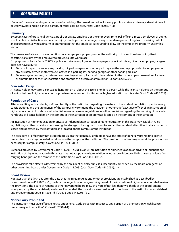"Premises" means a building or a portion of a building. The term does not include any public or private driveway, street, sidewalk or walkway, parking lot, parking garage, or other parking area. Penal Code 46.035(f)(3)

## **Immunity**

Except in cases of gross negligence, a public or private employer, or the employer's principal, officer, director, employee, or agent, is not liable in a civil action for personal injury, death, property damage, or any other damages resulting from or arising out of an occurrence involving a firearm or ammunition that the employer is required to allow on the employer's property under this section.

The presence of a firearm or ammunition on an employer's property under the authority of this section does not by itself constitute a failure by the employer to provide a safe workplace.

For purposes of Labor Code 52.063, a public or private employer, or the employer's principal, officer, director, employee, or agent, does not have a duty:

- 1. To patrol, inspect, or secure any parking lot, parking garage, or other parking area the employer provides for employees or any privately owned motor vehicle located in a parking lot, parking garage, or other parking area; or
- 2. To investigate, confirm, or determine an employee's compliance with laws related to the ownership or possession of a firearm or ammunition or the transportation and storage of a firearm or ammunition. Labor Code 52.063

## **Concealed Carry**

A license holder may carry a concealed handgun on or about the license holder's person while the license holder is on the campus of an institution of higher education or private or independent institution of higher education in this state. Gov't Code 441.2031(b)

## **Regulation of Carry**

After consulting with students, staff, and faculty of the institution regarding the nature of the student population, specific safety considerations, and the uniqueness of the campus environment, the president or other chief executive officer of an institution of higher education in this state shall establish reasonable rules, regulations, or other provisions regarding the carrying of concealed handguns by license holders on the campus of the institution or on premises located on the campus of the institution.

An institution of higher education or private or independent institution of higher education in this state may establish rules, regulations, or other provisions concerning the storage of handguns in dormitories or other residential facilities that are owned or leased and operated by the institution and located on the campus of the institution.

The president or officer may not establish provisions that generally prohibit or have the effect of generally prohibiting license holders from carrying concealed handguns on the campus of the institution. The president or officer may amend the provisions as necessary for campus safety. Gov't Code 441.2031(d)-(d-1)

Except as provided by Government Code 411.2031(d), (d-1), or (e), an institution of higher education or private or independent institution of higher education in this state may not adopt any rule, regulation, or other provision prohibiting license holders from carrying handguns on the campus of the institution. Gov't Code 441.2031(c)

The provisions take effect as determined by the president or officer unless subsequently amended by the board of regents or other governing board under Government Code 411.2031(d-2). Gov't Code 441.2031(d-1)

### **Board Review**

Not later than the 90th day after the date that the rules, regulations, or other provisions are established as described by Government Code 411.2031(d-1), the board of regents or other governing board of the institution of higher education shall review the provisions. The board of regents or other governing board may, by a vote of not less than two-thirds of the board, amend wholly or partly the established provisions. If amended, the provisions are considered to be those of the institution as established under Government Code 411.2031(d-1). Gov't Code 441.2031(d-2)

### **Notice Carry Prohibited**

The institution must give effective notice under Penal Code 30.06 with respect to any portion of a premises on which license holders may not carry. Gov't Code 441.2031(d-1)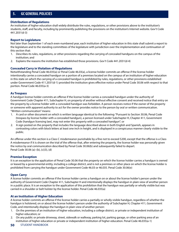## **Distribution of Regulations**

An institution of higher education shall widely distribute the rules, regulations, or other provisions above to the institution's students, staff, and faculty, including by prominently publishing the provisions on the institution's Internet website. Gov't Code 441.2031(d-3)

## **Report to Legislature**

Not later than September 1 of each even-numbered year, each institution of higher education in this state shall submit a report to the legislature and to the standing committees of the legislature with jurisdiction over the implementation and continuation of this section that:

- 1. Describes its rules, regulations, or other provisions regarding the carrying of concealed handguns on the campus of the institution; and
- 2. Explains the reasons the institution has established those provisions. Gov't Code 441.2031(d-4)

## **Concealed Carry in Violation of Regulations**

Notwithstanding Penal Code 46.035(a) or Penal Code 46.03(a), a license holder commits an offense if the license holder intentionally carries a concealed handgun on a portion of a premises located on the campus of an institution of higher education in this state on which the carrying of a concealed handgun is prohibited by rules, regulations, or other provisions established under Government Code 411.2031(d-1) provided the institution gives effective notice under Penal Code 30.06 with respect to that portion. Penal Code 46.035(a-3)

### **As Trespass**

A handgun license holder commits an offense if the license holder carries a concealed handgun under the authority of Government Code Chapter 411, Subchapter H, on property of another without effective consent and received notice that entry on the property by a license holder with a concealed handgun was forbidden. A person receives notice if the owner of the property or someone with apparent authority to act for the owner provides notice to the person by oral or written communication. "Written communication" means:

- 1. A card or other document on which is written language identical to the following: "Pursuant to Section 30.06, Penal Code (trespass by license holder with a concealed handgun), a person licensed under Subchapter H, Chapter 411, Government Code (handgun licensing law), may not enter this property with a concealed handgun"; or
- 2. A sign posted on the property that includes the language described above in both English and Spanish, appears in contrasting colors with block letters at least one inch in height, and is displayed in a conspicuous manner clearly visible to the public.

An offense under this section is a Class C misdemeanor punishable by a fine not to exceed \$200, except that the offense is a Class A misdemeanor if it is shown on the trial of the offense that, after entering the property, the license holder was personally given the notice by oral communication described by Penal Code 30.06(b) and subsequently failed to depart. Penal Code 30.06 (a)–(b), (c)(3), (d)

### **Premise Exception**

It is an exception to the application of Penal Code 30.06 that the property on which the license holder carries a handgun is owned or leased by a governmental entity, including a college district, and is not a premises or other place on which the license holder is prohibited from carrying the handgun under Government Code 46.03 or 46.035. Penal Code 30.06(e)

### **Open Carry**

A license holder commits an offense if the license holder carries a handgun on or about the license holder's person under the authority of Government Code Chapter 411, Subchapter H and intentionally displays the handgun in plain view of another person in a public place. It is an exception to the application of this prohibition that the handgun was partially or wholly visible but was carried in a shoulder or belt holster by the license holder. Penal Code 46.035(a)

### **At an Institution of Higher Education**

A license holder commits an offense if the license holder carries a partially or wholly visible handgun, regardless of whether the handgun is holstered, on or about the license holder's person under the authority of Subchapter H, Chapter 411, Government Code, and intentionally displays the handgun in plain view of another person:

- 1. On the premises of an institution of higher education, including a college district, or private or independent institution of higher education; or
- 2. On any public or private driveway, street, sidewalk or walkway, parking lot, parking garage, or other parking area of an institution of higher education or private or independent institution of higher education. Penal Code 46.035(a-1)
- **50** STUDENT HANDBOOK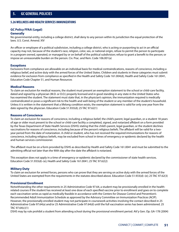## **5.26 WELLNESS AND HEALTH SERVICES IMMUNIZATIONS**

### **GC Policy FFAA (Legal) Generally**

No governmental entity, including a college district, shall deny to any person within its jurisdiction the equal protection of the laws. U.S. Const. Amend. XIV

An officer or employee of a political subdivision, including a college district, who is acting or purporting to act in an official capacity may not, because of the student's race, religion, color, sex, or national origin, refuse to permit the person to participate in a program owned, operated, or managed by or on behalf of the political subdivision; refuse to grant a benefit to the person; or impose an unreasonable burden on the person. Civ. Prac. and Rem. Code 106.001(a)

### **Exceptions**

Exclusions from compliance are allowable on an individual basis for medical contraindications, reasons of conscience, including a religious belief, and active duty with the armed forces of the United States. Children and students in these categories must submit evidence for exclusion from compliance as specified in the Health and Safety Code 161.004(d), Health and Safety Code 161.0041, Education Code Chapter 51, and Human Resources

#### **Medical Reasons**

To claim an exclusion for medical reasons, the student must present an exemption statement to the school or child-care facility, dated and signed by a physician (M.D. or D.O.) properly licensed and in good standing in any state in the United States who has examined the student. The statement must state that, in the physician's opinion, the immunization required is medically contraindicated or poses a significant risk to the health and well-being of the student or any member of the student's household. Unless it is written in the statement that a lifelong condition exists, the exemption statement is valid for only one year from the date signed by the physician. Education Code 51.933(d); 25 TAC 97.62(1)

#### **Reasons of Conscience**

To claim an exclusion for reasons of conscience, including a religious belief, the child's parent, legal guardian, or a student 18 years of age or older must present to the school or child-care facility a completed, signed, and notarized affidavit on a form provided by the Texas Department of State Health Services (DSHS) stating that the child's parent, legal guardian, or the student declines vaccinations for reasons of conscience, including because of the person's religious beliefs. The affidavit will be valid for a twoyear period from the date of notarization. A child or student, who has not received the required immunizations for reasons of conscience, including religious beliefs, may be excluded from school in times of emergency or epidemic declared by the health and human services commissioner.

The affidavit must be on a form provided by DSHS as described by Health and Safety Code 161.0041 and must be submitted to the admitting official not later than the 90th day after the date the affidavit is notarized.

This exception does not apply in a time of emergency or epidemic declared by the commissioner of state health services. Education Code 51.933(d)–(e); Health and Safety Code 161.0041; 25 TAC 97.62(2)

#### **Military Duty**

To claim an exclusion for armed forces, persons who can prove that they are serving on active duty with the armed forces of the United States are exempted from the requirements in the statutes described above. Education Code 51.933(d)–(e); 25 TAC 97.62(3)

#### **Provisional Enrollment**

Notwithstanding the other requirements in 25 Administrative Code 97.64, a student may be provisionally enrolled in the healthrelated courses if the student has received at least one dose of each specified vaccine prior to enrollment and goes on to complete each vaccination series as rapid as medically feasible in accordance with the Centers for Disease Control and Prevention's Recommended Adult Immunization Schedule as approved by the Advisory Committee on Immunization Practices (ACIP). However, the provisionally enrolled student may not participate in coursework activities involving the contact described in 25 Administrative Code 97.64(a) and/or 25 Administrative Code 97.64(d) until the full vaccination series has been administered. 25 TAC 97.64(c)(1)

DSHS may by rule prohibit a student from attending school during the provisional enrollment period. Att'y Gen. Op. GA-178 (2004)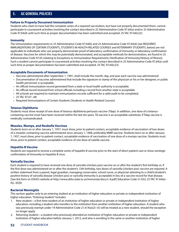### **Failure to Properly Document Immunization**

Students who claim to have had the complete series of a required vaccination, but have not properly documented them, cannot participate in coursework activities involving the contact described in 25 Administrative Code 97.64(a) and/or 25 Administrative Code 97.64(d) until such time as proper documentation has been submitted and accepted. 25 TAC 97.64(c)(2)

### **Immunity**

The immunization requirements in 25 Administrative Code 97.64(b) and 25 Administrative Code 97.64(d) [see REQUIRED IMMUNIZATIONS OF CERTAIN STUDENTS, STUDENTS IN HEALTH-RELATED COURSES and VETERINARY STUDENTS, below] are not applicable to individuals who can properly demonstrate proof of laboratory confirmation of immunity or laboratory confirmation of disease. Vaccines for which this may be potentially demonstrated, and acceptable methods for demonstration, are found in 25 Administrative Code 97.65 (relating to Exceptions to Immunization Requirements (Verification of Immunity/History of Illness)). Such a student cannot participate in coursework activities involving the contact described in 25 Administrative Code 97.64(a) until such time as proper documentation has been submitted and accepted. 25 TAC  $97.64(c)(3)$ 

## **Acceptable Documents of Immunization**

- Vaccines administered after September 1, 1991, shall include the month, day, and year each vaccine was administered.
- Documentation of vaccines administered that include the signature or stamp of the physician or his or her designee, or public health personnel, is acceptable.
- An official immunization record generated from a state or local health authority is acceptable.
- An official record received from school officials including a record from another state is acceptable.
- All schools are required to maintain immunization records sufficient for a valid audit to be completed.
- 25 TAC 97.67–.68
- Required Immunizations of Certain Students (Students in Health-Related Courses)

## **Tetanus Diphtheria**

Students must show receipt of one dose of tetanus-diphtheria-pertussis vaccine (Tdap). In addition, one dose of a tetanuscontaining vaccine must have been received within the last ten years. Td vaccine is an acceptable substitute, if Tdap vaccine is medically contraindicated.

### **Measles, Mumps, and Reubella Vaccines**

Students born on or after January 1, 1957, must show, prior to patient contact, acceptable evidence of vaccination of two doses of a measles-containing vaccine administered since January 1, 1968, preferably MMR vaccine. Students born on or after January 1, 1957, must show, prior to patient contact, acceptable evidence of vaccination of one dose of a mumps vaccine. Students must show, prior to patient contact, acceptable evidence of one dose of rubella vaccine.

## **Hepatitis B Vaccine**

Students are required to receive a complete series of hepatitis B vaccine prior to the start of direct patient care or show serologic confirmation of immunity to hepatitis B virus.

### **Varicella Vaccine**

Each student is required to have received one dose of varicella (chicken pox) vaccine on or after the student's first birthday or, if the first dose was administered on or after the student's 13th birthday, two doses of varicella (chicken pox) vaccine are required. A written statement from a parent, legal guardian, managing conservator, school nurse, or physician attesting to a child's/student's positive history of varicella disease (chicken pox) or varicella immunity is acceptable in lieu of a vaccine record for that disease. [See the form on DSHS's website at http://www.dshs.state.tx.us/immunize/docs/c-9.pdf] Education Code 51.933; 25 TAC 97.64(a)– (b), .65(b)

### **Bacterial Meningitis**

This section applies only to an entering student at an institution of higher education or private or independent institution of higher education. "Entering student" includes:

- 1. New student—a first-time student of an institution of higher education or private or independent institution of higher education, including a student who transfers to the institution from another institution of higher education. A student who was previously exempt under 19 Administrative Code 21.614(a)(2)-(5) will be treated as a new student, should the exception no longer apply.
- 2. Returning student—a student who previously attended an institution of higher education or private or independent institution of higher education before January 1, 2012, and who is enrolling in the same or another institution of higher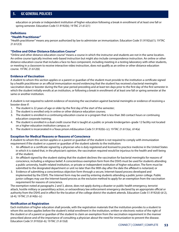education or private or independent institution of higher education following a break in enrollment of at least one fall or spring semester. Education Code 51.9192(b); 19 TAC 21.612(1)

## **Definitions**

## **"Health Practitioner"**

"Health practitioner" means any person authorized by law to administer an immunization. Education Code 51.9192(a)(1); 19 TAC 21.612(3)

## **"Online and Other Distance Education Course"**

"Online and other distance education course" means a course in which the instructor and students are not in the same location. An online course typically involves web-based instruction but might also include correspondence instruction. An online or other distance education course that includes a face-to-face component, including meeting in a testing laboratory with other students, or meeting in a classroom to receive interactive video instruction, does not qualify as an online or other distance education course. 19 TAC 21.612(6)

## **Evidence of Vaccination**

A student to whom this section applies or a parent or guardian of the student must provide to the institution a certificate signed by a health practitioner or an official immunization record evidencing that the student has received a bacterial meningitis vaccination dose or booster during the five-year period preceding and at least ten days prior to the first day of the first semester in which the student initially enrolls at an institution, or following a break in enrollment of at least one fall or spring semester at the same or another institution.

A student is not required to submit evidence of receiving the vaccination against bacterial meningitis or evidence of receiving a booster dose if:

- 1. The student is 22 years of age or older by the first day of the start of the semester;
- 2. The student is enrolled only in online or other distance education courses;
- 3. The student is enrolled in a continuing education course or a program that is less than 360 contact hours or continuing education corporate training;
- 4. The student is enrolled in a dual credit course that is taught at a public or private kindergarten–grade 12 facility not located on a higher education institution campus; or
- 5. The student is incarcerated in a Texas prison.mEducation Code 51.9192(b)–(c); 19 TAC 21.613(a), .614(a)

### **Exception for Medical Reasons or Reasons of Conscience**

A student to whom this section applies or a parent or guardian of the student is not required to comply with immunization requirement if the student or a parent or guardian of the student submits to the institution:

- 1. An affidavit or a certificate signed by a physician who is duly registered and licensed to practice medicine in the United States in which it is stated that, in the physician's opinion, the vaccination required would be injurious to the health and well-being of the student;
- 2. An affidavit signed by the student stating that the student declines the vaccination for bacterial meningitis for reasons of conscience, including a religious belief. A conscientious exemption form from the DSHS must be used for students attending a public university, health-related institution, or private or independent institution of higher education. The form must be submitted to the designated department or unit no later than the 90th day after the date the affidavit is notarized; or
- 3. Evidence of submitting a conscientious objection form through a secure, Internet-based process developed and implemented by the DSHS. The Internet form may be used by entering students attending a public junior college. Public junior colleges may use the Internet-based process as the exclusive method to apply for an exemption from the vaccination requirement for reasons of conscience.

The exemption noted at paragraphs 2 and 3, above, does not apply during a disaster or public health emergency, terrorist attack, hostile military or paramilitary action, or extraordinary law enforcement emergency declared by an appropriate official or authority from the DSHS and in effect for the location of the college district the student attends. Education Code 51.9192(d)-(d-2), (d-4); 19 TAC 21.614(b)–(c)

### **Notification at Registration**

Each institution of higher education shall provide, with the registration materials that the institution provides to a student to whom this section applies before the student's initial enrollment in the institution, written or electronic notice of the right of the student or of a parent or guardian of the student to claim an exemption from the vaccination requirement in the manner prescribed above and of the importance of consulting a physician about the need for immunization to prevent the disease. Education Code 51.9192(d–6); 19 TAC 21.613(d)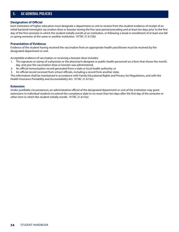## **Designation of Official**

Each institution of higher education must designate a department or unit to receive from the student evidence of receipt of an initial bacterial meningitis vaccination dose or booster during the five-year period preceding and at least ten days prior to the first day of the first semester in which the student initially enrolls at an institution, or following a break in enrollment of at least one fall or spring semester at the same or another institution. 19 TAC 21.613(b)

### **Presentation of Evidence**

Evidence of the student having received the vaccination from an appropriate health practitioner must be received by the designated department or unit.

Acceptable evidence of vaccination or receiving a booster dose includes:

- 1. The signature or stamp of a physician or the physician's designee or public health personnel on a form that shows the month, day, and year the vaccination dose or booster was administered;
- 2. An official immunization record generated from a state or local health authority; or
- 3. An official record received from school officials, including a record from another state.

This information shall be maintained in accordance with Family Educational Rights and Privacy Act Regulations, and with the Health Insurance Portability and Accountability Act. 19 TAC 21.613(c)

#### **Extension**

Under justifiable circumstances, an administrative official of the designated department or unit of the institution may grant extensions to individual students to extend the compliance date to no more than ten days after the first day of the semester or other term in which the student initially enrolls. 19 TAC 21.613(e)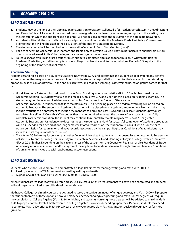## **6.1 ACADEMIC FRESH START**

- 1. Students may, at the time of their application for admission to Grayson College, file for Academic Fresh Start in the Admissions and Records Office. All academic course credits or course grades earned exactly ten or more years prior to the starting date of the semester in which the applicant seeks to enroll will not be considered in the calculation of the grade point average.
- 2. A student will forfeit the use of all credits earned prior to enrollment under the Academic Fresh Start Policy. Courses taken prior to this time will not be used in the calculations of the student's grade point average.
- 3. The student's record will be inscribed with the notation "Academic Fresh Start Granted (date)."
- 4. Policies concerning Academic Fresh Start are applicable only to Grayson College. They do not pertain to financial aid history or accumulated award limits. Other colleges may not recognize the reprieve.
- 5. To request Academic Fresh Start, a student must submit a completed application for admission, a written petition for Academic Fresh Start, and all transcripts or prior college or university work to the Admissions, Records Office prior to the beginning of the semester of application.

## **Academic Standing**

Academic standing is based on a student's Grade Point Average (GPA) and determines the student's eligibility for many benefits and/or whether they may continue their enrollment. It is the student's responsibility to monitor their academic good standing, probation, suspension or dismissal. At the end of each term, an academic standing is determined based on grades earned for that term.

- Good Standing A student is considered to be in Good Standing when a cumulative GPA of 2.0 or higher is maintained.
- Academic Warning A student who fails to maintain a cumulative GPA of 2.0 or higher is placed on Academic Warning. The student may continue to enroll while on warning unless/until a less than 2.0 term GPA is earned.
- Academic Probation A student who fails to maintain a 2.0 GPA after being placed on Academic Warning will be placed on Academic Probation. The student on Academic Probation will be placed on an Academic Improvement Program which may include restrictions on enrollment to include the mandate to enroll and pass Psyc/Educ 1300. If a student has previously completed Psyc/Educ 1300 with a "C" or better, they are not required to repeat the course. After a student successfully completes academic probation, the student may continue to re-enroll by maintaining a term GPA of 2.0 or greater.
- Academic Suspension A student who does not meet the required standard for successful completion of academic probation will be suspended for a period of one long semester. Prior to readmission, the student must consult with a Counselor to obtain permission for readmission and have records reactivated by the campus Registrar. Conditions of readmissions may include special requirements or restrictions.
- Transfer to GC Following Suspension at Another College/University: A student who has been placed on Academic Suspension or Dismissal by another college or university must maintain Academic Good Standing at Grayson College with a cumulative GPA of 2.0 or higher. Depending on the circumstances of the suspension, the Counselor, Registrar, or Vice President of Student Affairs may require an interview and/or may direct the applicant for additional review through campus channels. Conditions of admission may include special requirements and/or restrictions.

## **6.2 ACADEMIC SUCCESS PLAN**

Students who are not TSI Exempt must demonstrate College Readiness for reading, writing, and math with EITHER:

- 1. Passing scores on the TSI Assessment for reading, writing, and math
- 2. A grade of A, B, or C in an exit-level course (Math 0340, INRW 0320)

When students are "college ready" in all three areas, Texas Success Initiative requirements will have been completed and students will no longer be required to enroll in developmental classes.

Mathways: College level math courses are designed to serve the curriculum needs of unique degrees, and Math 0420 will prepare the student for most of these options; however, many sciences, technology, engineering, and math (STEM) degrees will require the completion of College Algebra (Math 1314) or higher, and students pursuing those degrees will be advised to enroll in Math 0340 to prepare for the level of math covered in College Algebra. However, depending upon their TSI score, students may need to complete Math 0420 prior to Math 0340. Please review your degree plan/ Pathway and/or speak with your advisor for more guidance.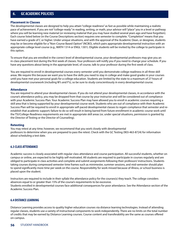#### **Placement in Classes**

The developmental classes are designed to help you attain "college readiness" as fast as possible while maintaining a realistic pace of achievement. If you are not "college-ready" in reading, writing, or math, your advisor will "place" you in a level or pathway where you will be learning new material (or reviewing material that you may have studied several years ago and have forgotten). Each course listed below (in the Course Descriptions section) requires one semester to complete. "Completion" means that you have earned a grade of C or higher. Under unique situations, and with the approval of the Academic Dean, or designee, students may be or become eligible for a "Non-Course Based Option" (NCBO), which pairs appropriate developmental instruction with an appropriate college level course (e.g., MATH 1314 or ENGL 1301). Eligible students will be invited by the college to participate in this option.

To ensure that you are enrolled in the correct level of developmental course, your developmental professors may give you an in-class placement test during the first week of classes. Your professors will notify you if you need to change your schedule. If you have any questions about being in the appropriate level, of course, talk to your professor during the first week of class.

You are required to enroll in developmental courses every semester until you demonstrate college readiness in all three skill areas. We require this because we want you to have the skills you need to stay in college and make good grades in your courses until you have met your personal goals for a college education. Students are limited by the state to a maximum of 27 hours of developmental coursework (including W's and F's), so be sure to study conscientiously in every developmental course.

#### **Attendance**

You are required to attend your developmental classes. If you do not attend your developmental classes, in accordance with the course's attendance policy, you may be dropped from that course by your instructor and will be considered out of compliance with your Academic Success Plan. Your Academic Success Plan may have allowed you to enroll in academic courses requiring a skill area that is being supported by your developmental course work. Students who are out of compliance with their Academic Success Plan will be required to enroll in appropriate self-paced developmental classes to regain compliance that semester and reestablish that academic support; failure to do so will result in being barred from future enrollment in academic course work until the TSI/College-Readiness requirements are met in appropriate skill areas (or, under special situations, permission is granted by the Director of Testing or the Director of Counseling).

#### **Retesting**

You may retest at any time; however, we recommend that you work closely with developmental professors to determine when you are prepared to pass the retest. Check with the GC Testing (903-463-8724) for information about scheduling a test date.

## **6.3 CLASS ATTENDANCE**

Academic success is closely associated with regular class attendance and course participation. All successful students, whether on campus or online, are expected to be highly self-motivated. All students are required to participate in courses regularly and are obliged to participate in class activities and complete and submit assignments following their professors' instructions. Students taking courses during compressed semester time frames such as minimester, summer sessions, and mid-semester should plan to spend significantly more time per week on the course. Responsibility for work missed because of illness, or school business is placed upon the student.

Instructors are required to include in their syllabi the attendance policy for the courses(s) they teach. The college considers absences equal to or greater than 15% of the course's requirements to be excessive. Students enrolled in developmental courses face additional consequences for poor attendance. See the Attendance section of the Academic Success Plan.

### **6.4 DISTANCE LEARNING**

Distance Learning provides access to quality higher education courses via distance learning technologies. Instead of attending regular classes, students use a variety of instructional components to work independently. There are no limits on the total number of credits that may be earned by Distance Learning courses. Course content and transferability are the same as courses offered on-campus.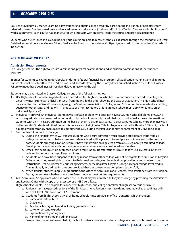Courses provided via Distance Learning allow students to obtain college credit by participating in a variety of non-classroom oriented courses. Students read texts and related materials, take exams (on-line and/or in the Testing Center), and submit papers/ work assignments. Each course has an instructor who interacts with students, leads the course and provides assistance.

Students who are enrolled in a GC Online or Hybrid course are able to receive technical assistance through the college's Help Desk. Detailed information about Grayson's Help Desk can be found on the website at https://grayson.edu/current-students/help-desk/ index.html

## **6.5 GENERAL ACADEMIC POLICIES**

## **Admission Requirements**

The College reserves the right to require vaccinations, physical examinations, and admission examinations at the student's expense.

In order for students to charge tuition, books, or dorm to federal financial aid programs, all application materials and all required transcripts must be submitted to the Admissions and Records Office by the priority dates published in the Schedule of Classes. Failure to meet these deadlines will result in delays in receiving the aid.

Students may be admitted to Grayson College by one of the following methods:

- 1. U.S. High School Graduate. A graduate of an accredited U.S. high school who has never attended an accredited college or university must submit an official transcript from the U.S. high school showing the date of graduation. The high school must be accredited by the Texas Education Agency, the Southern Association of Colleges and Schools or the equivalent accrediting agency for other states and regions. (A graduate of a non-accredited or foreign high school must apply for admission by Individual Approval.)
- 2. Individual Approval. An individual eighteen years of age or older who does not have a U.S. high school diploma or G.E.D. or who is a graduate of a non-accredited or foreign high school may apply for admissions on individual approval. International students with an F-1 visa are admitted on the basis of their TOEFL or ELS scores. TOEFL scores must be no more than five years old to be valid. Students admitted under this policy are not eligible for Title IV. Anyone admitted without a GED or high school diploma will be strongly encouraged to complete the GED during the first year of his/her enrollment at Grayson College.
- 3. Transfer from Another U.S. College:
	- a. During their initial term at GC, transfer students who desire admission must provide official transcripts from all colleges attended on or before the census date. A hold will be placed if transcripts are not received by the census date. Students applying as a transfer must have transferable college credit from a U.S. regionally accredited college. Developmental courses and continuing education courses are not considered transferable.
	- b. Official test scores must be submitted prior to registration. Transfer students must follow Texas Success Initiative policies for demonstrating college readiness.
	- c. Students who have been suspended for any reason from another college will not be eligible for admission at Grayson College until they are eligible to return to their previous college or they obtain approval for admission from their Instructional Dean, Director of Counseling Services, or the Registrar. Grayson College accepts college-level credits from regionally accredited institutions provided that the courses were completed successfully.
	- d. When transfer students apply for graduation, the Office of Admissions and Records, with assistance from Instructional Deans, determines whether or not transferred courses meet degree requirements.
- 4. GED Admission. An applicant who has passed the GED test may be admitted to Grayson College by providing the Admissions and Records Office with a copy of the test scores or GED certificate.
- 5. High School Students. To be eligible for concurrent high school and college enrollment, high school students must:
	- a. Juniors must have passed sections of the TSI Assessment. Seniors must have demonstrated college readiness skills with exit-level TAKS scores or TSI Assessment.
	- b. Students from high schools as well as home schools must provide an official transcript which includes:
		- i. Name and Date of birth
		- ii. Grade level
		- iii. Academic history up to and including graduation date
		- iv. Letter or percentile grades
		- v. Explanations of grading scale
		- vi. Name of home schooling administrator
	- c. Prospective concurrently-enrolled high school students must demonstrate college readiness skills based on scores on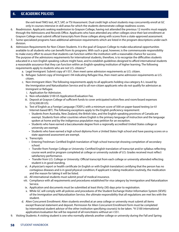the exit-level TAKS test, ACT, SAT, or TSI Assessment. Dual credit high school students may concurrently enroll at GC only in courses intensive in skill areas for which the students demonstrate college readiness scores.

- 6. Readmission. Applicants seeking readmission to Grayson College, having not attended the previous 12 months must reapply through the Admissions and Records Office. Applicants who have attended any other colleges since their last enrollment at Grayson College must submit official transcripts from those colleges along with scores from a state-approved assessment.
- 7. Some specialized programs have additional admission requirements which are listed in the program descriptions under each division.
- 8. Admission Requirements for Non-Citizen Students. It is the goal of Grayson College to make educational opportunities available to all students who can benefit from its programs. With such a goal, however, is the commensurate responsibility to make every effort to assure that students can function within the institution with a reasonable chance for success. The purpose of the admissions requirements for international students, therefore, is to recognize the difficulties students educated in a non-English speaking culture might have, and to establish guidelines designed to afford international students a reasonable assurance that they can function within an English-speaking institution of higher learning. The following requirements apply to students who are not U.S. citizens:\*
	- a. Legal Immigrant: Submit copy of I-551, then meet same admission requirements as U.S. citizen.
	- b. Refugee: Submit copy of Immigrant I-94 indicating Refugee Visa, then meet same admission requirements as U.S. citizen.
	- c. Non-Immigrant Alien: The following requirements apply to all applicants holding visa category A-L issued by the Immigration and Naturalization Service and to all non-citizen applicants who do not qualify for admission as Immigrant or Refugee.
		- i. Application for Admission.
		- ii. Non-refundable \$100 US Application/Evaluation Fee.
		- iii. Deposit at Grayson College of sufficient funds to cover anticipated tuition/fees and room/board expenses (\$16,500.00 US).
		- iv. Test of English as a Foreign Language (TOEFL) with a minimum score of 500 on paper-based testing (or 61 Internet-based IBT). The following exceptions apply to the English proficiency requirement:
			- Students from Australia, New Zealand, the British Isles, and the English-speaking provinces of Canada are exempt. Students from other countries where English is the primary language of instruction and the language spoken at home and by the indigenous population may petition for an exception.
			- Students who have earned a baccalaureate degree from a regionally accredited United States college or university are exempt.
			- Students who have earned a high school diploma from a United States high school and have passing scores on a state-approved assessment are exempt.
		- v. Transcripts
			- Entering Freshman: Certified English translation of high school transcript showing completion of secondary school.
			- Transfer from Foreign College or University: Certified English translation of transcript and/or syllabus reflecting course work and/or program completed at college or university outside of U.S. Grades received must reflect satisfactory performance.
			- Transfer from U.S. College or University: Official transcript from each college or university attended reflecting student is in good standing.
		- vi. A physician's report or health certificate (in English or with English translation) certifying that the person has no contagious diseases and is in good physical condition; if applicant is taking medication routinely, the medication and the reason for taking it will be listed.
		- vii. All international students must submit proof of medical insurance.
		- viii. Compliance with all requirements and procedures established for visa category by Immigration and Naturalization Service.
		- ix. Application and documents must be submitted at least thirty (30) days prior to registration.
		- x. While GC will comply with all policies and procedures of the Student Exchange Visitor Information System (SEVIS) of the Immigration and Naturalization Service, the ultimate responsibility that all regulations are met lies with the student.
	- d. Alien Concurrent Enrollment: Alien students enrolled at an area college or university must submit all items except financial statement and deposit. Permission for Alien Concurrent Enrollment form must be completed by international student advisor of the other institution specifying course(s) to be taken. \*A \$100 international application/evaluation fee will be required of all noncitizens without an I-551.
- 9. Visiting Students: A visiting student is one who normally attends another college or university during the Fall and Spring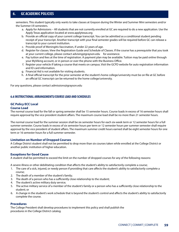semesters. This student typically only wants to take classes at Grayson during the Winter and Summer Mini semesters and/or the Summer I/II semesters.

- a. Apply for Admissions All students that are not currently enrolled at GC are required to do a new application. Use the Apply Texas application located at www.applytexas.org
- b. Provide an official copy of your current college transcript. You can be admitted as a conditional student pending receipt of your transcript. Another transcript with your final semester grades will be required before GC can release a transcript to your current institution.
- c. Provide proof of Meningitis Vaccination, if under 22 years of age.
- d. Register for classes. View the Registration Guide and Schedule of Classes. If the course has a prerequisite that you took at your current college, please contact advising@grayson.edu for assistance.
- e. Pay tuition and fees at the time of registration. A payment plan may be available. Tuition may be paid online through your MyViking account, or in person or over the phone with the Business Office.
- f. Register your vehicle if taking a course that meets on campus. Visit the GCPD website for auto registration information and ID card information.
- g. Financial Aid is not available for visiting students.
- h. A final official transcript for the prior semester at the student's home college/university must be on file at GC before an official GC transcript can be returned to the home college/university.

For any questions, please contact admissions@grayson.edu

# **6.6 INSTRUCTIONAL ARRANGEMENTS/COURSE LOAD AND SCHEDULES**

### **GC Policy ECC Local Course Load**

The normal course load for the fall or spring semester shall be 15 semester hours. Course loads in excess of 16 semester hours shall require approval by the vice president student affairs. The maximum course load shall be no more than 21 semester hours.

The normal course load for the summer session shall be six semester hours for each six-week term or 12 semester hours for a full summer semester. Course loads in excess of six semester hours per term or 12 semester hours per summer semester shall require approval by the vice president of student affairs. The maximum summer credit hours earned shall be eight semester hours for one term or 16 semester hours for a full summer semester.

## **Limitation on Number of Dropped Courses**

A College District student shall not be permitted to drop more than six courses taken while enrolled at the College District or another public institution of higher education.

## **Exceptions for Good Cause**

A student shall be permitted to exceed the limit on the number of dropped courses for any of the following reasons:

A severe illness or other debilitating condition that affects the student's ability to satisfactorily complete a course;

- 1. The care of a sick, injured, or needy person if providing that care affects the student's ability to satisfactorily complete a course;
- 2. The death of a member of the student's family;
- 3. The death of a person who has a sufficiently close relationship to the student;
- 4. The student's active military duty service;
- 5. The active military service of a member of the student's family or a person who has a sufficiently close relationship to the student; or
- 6. A change in the student's work schedule that is beyond the student's control and affects the student's ability to satisfactorily complete the course.

### **Procedures**

The College President shall develop procedures to implement this policy and shall publish the procedures in the College District catalog.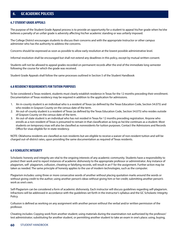## **6.7 STUDENT GRADE APPEALS**

The purpose of the Student Grade Appeal process is to provide an opportunity for a student to appeal his/her grade when he/she believes a penalty of an unfair grade is adversity affecting his/her academic standing or was unfairly imposed.

The College District encourages students to discuss their concerns and with the appropriate Instructor or other campus administer who has the authority to address the concerns.

Concerns should be expressed as soon as possible to allow early resolution at the lowest possible administrative level.

Informal resolution shall be encouraged but shall not extend any deadlines in this policy, except by mutual written consent.

Students will not be allowed to appeal grades recorded on permanent records after the end of the immediate long semester following the course for which the grade was received.

Student Grade Appeals shall follow the same processes outlined in Section 5 of the Student Handbook

## **6.8 RESIDENCY REQUIREMENTS FOR TUITION PURPOSES**

To be considered a Texas resident, students must clearly establish residence in Texas for the 12 months preceding their enrollment. Documentation of Texas residency may be required in addition to the application for admissions.

- 1. An in-county student is an individual who is a resident of Texas (as defined by the Texas Education Code, Section 54.075) and who resides in Grayson County on the census date of the term.
- 2. An out-of-county student is a resident of Texas (as defined by the Texas Education Code, Section 54.075) who resides outside of Grayson County on the census date of the term.
- 3. An out-of-state student is an individual who has not resided in Texas for 12 months preceding registration. Anyone who enrolls as a non-resident of Texas is presumed to remain in that classification as long as he/she continues as a student. Most students on temporary visas will also be classified as nonresidents for tuition purposes. Contact the Admissions and Records Office for visas eligible for in-state residency.

NOTE: Oklahoma residents are classified as non-residents but are eligible to receive a waiver of non-resident tuition and will be charged out-of-district rates, upon providing the same documentation as required of Texas residents.

## **6.9 SCHOLASTIC INTEGRITY**

Scholastic honesty and integrity are vital to the ongoing interests of any academic community. Students have a responsibility to protect their work and to report instances of academic dishonesty to the appropriate professor or administrator. Any instance of plagiarism, self- plagiarism, collusion, cheating or falsifying records, will result in an F for the assignment. Further action may be taken as needed. The same principle of honesty applies to the use of modern technologies, such as the computer.

Plagiarism includes: using three or more consecutive words of another without placing quotation marks around the words or without giving credit to the author; using another person's ideas without giving him or her credit; submitting another person's work as one's own.

Self-Plagiarism can be considered a form of academic dishonesty. Each instructor will discuss guidelines regarding self-plagiarism. Infractions will be addressed in accordance with the guidelines set forth in the instructor's syllabus and the GC Scholastic Integrity Policy.

Collusion is defined as working on any assignment with another person without the verbal and/or written permission of the professor.

Cheating includes: Copying work from another student; using materials during the examination not authorized by the professor/ test administrator; substituting for another student, or permitting another student to take an exam in one's place; using, buying,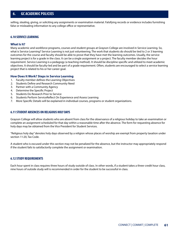selling, stealing, giving, or soliciting any assignments or examination material. Falsifying records or evidence includes furnishing false or misleading information to any college office or representative.

## **6.10 SERVICE LEARNING**

### **What Is It?**

Many academic and workforce programs, courses and student groups at Grayson College are involved in Service Learning. So, what is Service Learning? Service Learning is not just volunteering. The work that students do should be tied to 2 or 3 learning outcomes for the course and faculty should be able to prove that they have met the learning outcomes. Usually, the service learning project is for a grade in the class. It can be a single assignment or a project. The faculty member decides the hour requirement. Service Learning is a pedagogy (a teaching method). It should be discipline specific and utilized to meet academic objectives. It should be faculty-led and be part of a grade requirement. Often, students are encouraged to select a service learning project that is related to his or her career goal.

## **How Does It Work? Steps in Service Learning**

- 1. Faculty member defines the Learning Objectives
- 2. Students Define and Research Community Need
- 3. Partner with a Community Agency
- 4. Determine the Specific Project
- 5. Students Do Research Prior to Service
- 6. Students Perform ServiceReflect On Experience and Assess Learning
- 7. More Specific Details will be explained in individual courses, programs or student organizations.

## **6.11 STUDENT ABSENCES ON RELIGIOUS HOLY DAYS**

Grayson College will allow students who are absent from class for the observance of a religious holiday to take an examination or complete an assignment scheduled for that day within a reasonable time after the absence. The form for requesting absence for holy days may be obtained from the Vice President for Student Services.

"Religious holy day" denotes holy days observed by a religion whose places of worship are exempt from property taxation under section 11:20, Tax Code.

A student who is excused under this section may not be penalized for the absence, but the instructor may appropriately respond if the student fails to satisfactorily complete the assignment or examination.

## **6.12 STUDY REQUIREMENTS**

Each hour spent in class requires three hours of study outside of class. In other words, if a student takes a three-credit hour class, nine hours of outside study will is recommended in order for the student to be successful in class.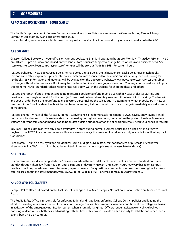# **7.1 ACADEMIC SUCCESS CENTER – SOUTH CAMPUS**

The South Campus Academic Success Center has several functions. This space serves as the Campus Testing Center, Library, Computer Lab, Math Hub, and also offers open study

spaces. Tutoring services are available based on request and availability. Printing and copying are also available in the ASC.

# **7.2 BOOKSTORE**

Grayson College Bookstore is your official on-campus bookstore. Standard operating hours are, Monday – Thursday, 7:30 am – 4:30 pm, 10 am – 3 pm on Friday and closed on weekends. Store hours are subject to change based on class and business need. See store website www.bkstr.com/graysonstore/home or call the store at (903) 463-8631 for current hours.

Textbook Choices – New Books, Used Books, Rental Books, Digital Books, Digital Reader, Sell Back Books, Price Match Books Textbook and other required/supplemental course materials are connected to the course and its delivery method. Pricing for textbooks, ISBN information and materials will be available on the bookstore website, www.graysonstore.com. Prices are subject to change without advance notice. Books may be purchased online at www.graysonstore.com. You may choose in-store pickup or ship to home. NOTE: Standard FedEx shipping rates will apply. Watch the website for shipping deals and offers!

Textbook Returns/Refunds - Students needing to return a book for a refund must do so within 7 days of classes starting and provide a current register receipt for the book(s). Books must be in an absolutely new condition free of ALL markings. Trademarks and special order books are not refundable. Bookstore personnel are the sole judge in determining whether books are in new or used condition. Should a defective book be purchased or rented, it should be returned for exchange immediately upon discovery of the defect.

Textbook Rental– What's all the fuss about rental? Convenience! Freedom! Hassle Free! Rent To Own! Save Money! NOTE: Rental books must be checked in to bookstore staff for processing during business hours, on or before the posted due date. Bookstore staff are not responsible for damaged books, books left outside our door, or for late or charged rentals. Keep your check-in receipt!

Buy Back – Need extra cash? We buy books every day. In-store during normal business hours and on-line anytime, at www. buyback.com. NOTE: Price quotes online and in store are not always the same, online prices are only available for online buy back transactions.

Price Match – Found a deal? f you find an identical (same 13 digit ISBN) in-stock textbook for rent or purchase priced lower elsewhere, tell us. We'll match it, right at the register! (Some restrictions apply, see store associate for details)

## **7.3 GC PERKS**

Our on campus "Proudly Serving Starbucks" café is located on the second floor of the Student Life Center. Standard hours are Monday through Thursday, from 7:30 a.m. until 3 p.m. and Friday from 7:30 am until noon. Hours may vary based on campus needs and will be posted on our website, www.graysonstore.com For questions, comments or request concerning bookstore or café, please contact the store manager, Venus McGuire, at (903) 463-8631, or email at mcguirev@grayson.edu.

## **7.4 GC CAMPUS POLICE/SAFETY**

Campus Police Office Is Located on the East Side of Parking Lot P-6, Main Campus. Normal hours of operation are from 7 a.m. until 5 p.m.

The Public Safety Office is responsible for enforcing federal and state laws, enforcing College District policies and leading the effort in providing a safe environment for education. College Police Officers monitor weather conditions at the college and assist in activation of the emergency notification system when a tornado is sighted. Officers render assistance on vehicle lock-outs, boosting of dead vehicle batteries, and assisting with flat tires. Officers also provide on-site security for athletic and other special events being held on campus.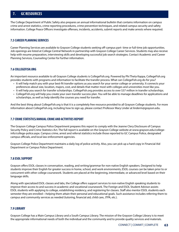# **7. GC RESOURCES**

The College Department of Public Safety also prepares an annual informational bulletin that contains information on campus crime and arrest statistics, crime reporting procedures, crime prevention techniques, and related campus security and safety information. College Peace Officers investigate offenses, incidents, accidents, submit reports and make arrests where required.

# **7.5 CAREER PLANNING SERVICES**

Career Planning Services are available to Grayson College students seeking off-campus part- time or full-time job opportunities. Job openings are listed at College Central Network in partnership with Grayson College Career Services. Students may also receive help with resume preparation, interviewing skills and developing successful job search strategies. Contact Academic and Career Planning Services, Counseling Center for further information.

## **7.6 COLLEGEFISH.ORG**

An important resource available to all Grayson College students is CollegeFish.org. Powered by Phi Theta Kappa, CollegeFish.org provides students with programs and information to facilitate the transfer process. What can CollegeFish.org do for you?

- It will help match you with your best-fit transfer options as you search for your senior college or university. It connects your preferences about size, location, majors, cost, and details that matter most with colleges and universities most like you.
- It will help you search for transfer scholarships. CollegeFish.org provides access to over \$37 million in transfer scholarships.
- CollegeFish.org will help you create your own transfer success plan. You will be able to manage deadlines for applications and scholarships, as well as help identify the courses you need for transfer.

And the best thing about CollegeFish.org is that it is a completely free resource provided to all Grayson College students. For more information about CollegeFish.org, including how to sign up, please contact Professor Mary Linder at linderm@grayson.edu.

## **7.7 CRIME STATISTICS/ANNUAL CRIME AND ACTIVITIES REPORT**

The Grayson College Campus Police Department prepares this report to comply with the Jeanne Clery Disclosure of Campus Security Policy and Crime Statistics Act. The full report is available on the Grayson College website at www.grayson.edu/collegeinfo/college-police.aspx. Campus crime, arrest and referral statistics include those reported to GC Campus Police, designated campus officials, and local law enforcement agencies.

Grayson College Police Department maintains a daily log of police activity. Also, you can pick up a hard copy in Financial Aid Department or Campus Police Department.

### **7.8 ESOL SUPPORT**

Grayson offers ESOL classes in conversation, reading, and writing/grammar for non-native English speakers. Designed to help students improve their English for greater success in home, school, and work environments, ESOL courses can be taken prior to or concurrent with other college coursework. Students are placed at the beginning, intermediate, or advanced level based on their language skills.

Along with specialized ESOL classes and labs, the College offers support services to non-native English speaking students to improve their access to and success in academic and vocational coursework. The Foreign and ESOL Student Advisor assists ESOL students with applying to college, establishing residency, and registering for classes. Staff also mentor ESOL students each semester they are enrolled—helping them attain their personal and educational goals. Such assistance includes referring them to campus and community services as needed (tutoring, financial aid, child care, JTPA, etc.).

## **7.9 LIBRARY**

Grayson College has a Main Campus Library and a South Campus Library. The mission of the Grayson College Library is to meet the appropriate informational needs of both the individual and the community and to provide quality services and materials.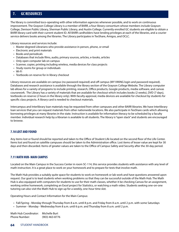# **7. GC RESOURCES**

The library is committed toco-operating with other information agencies whenever possible, and to work on continuous improvement. The Grayson College Library is a member of BARR, a four-library consortium whose members include Grayson College, Denison Public Library, Sherman Public Library, and Austin College. Currently enrolled GC students are eligible to obtain a BARR library card with their current student ID. All BARR cardholders have lending privileges at each of the libraries, and a courier service delivers books among the libraries. The Library participates in TexShare, Amigos, and OCLC.

Library resources and services include:

- Master degreed Librarians who provide assistance in person, phone, or email
- Electronic and print materials
- Books and periodicals
- Databases that include films, audio, primary sources, articles, e-books, articles
- Only open computer lab on campus
- Scanner, copier, printing including wireless, media devices for class projects
- Study rooms for group or individuals
- Wi-Fi
- Textbooks on reserve for in library checkout

Library resources are available on campus (no password required) and off campus (MY VIKING login and password required). Databases and research assistance is available through the library section of the Grayson College Website. The Library computer lab allows for a variety of programs to include printing, research, Office products, Google products, media software, and canvas coursework. The Library has a variety of materials that are available for checkout which includes books (2 weeks), DVD (7 days), textbooks on reserve (2 hours in the library only). With faculty approval, media devices are available for checkout by students for specific class projects. A library card is needed to checkout materials.

Intercampus and Interlibrary loan materials may be requested from other campuses and other BARR libraries. We have Interlibrary loan services that you can request materials from other nationwide locations. We also participate in TexShare cards which allowing borrowing privileges at many libraries in the state. Instruction is available for information literacy to be scheduled by a faculty member. Individual research help by a librarian is available to all students. The library is "open stack" and students are encouraged to browse.

## **7.10 LOST AND FOUND**

Any items lost or found should be reported and taken to the Office of Student Life located on the second floor of the Life Center. Items lost and found on satellite campuses should be taken to the Administration office. Lost items of lesser value are kept for 30 days and then discarded. Items of greater values are taken to the Office of Campus Safety and Security after the 30-day period.

# **7.11 MATH HUB- MAIN CAMPUS**

Located on the Main Campus in the Success Center in room SC-114, this service provides students with assistance with any level of math instruction. It is a great place to work on your homework and to prepare for tests that involve math.

The Math Hub provides a suitably quite space for students to work on homework or lab work and have questions answered upon request. Our goal is to lead students when working problems so that they can be successful outside of the Math Hub. The Math Hub is also equipped with computers for students to use for their math classes, whether it be checking Canvas for an assignment, working online homework, completing an Excel project for Statistics, or watching a math video. Students seeking one-on-one tutoring can also visit the Math Hub to sign up for a weekly, one-hour time slot.

Operating Hours and Contact Information for the Main Campus:

- Fall/Spring Monday through Thursday from 8 a.m. until 8 p.m. and Friday from 8 a.m. until 2 p.m. with some Saturdays
- Summer Monday Wednesday from 8 a.m. until 6 p.m. and Thursday from 8 a.m. until 2 p.m.

Math Hub Coordinator: Michelle Burt Phone Number: (903) 463-8776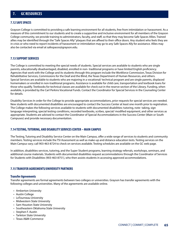# **7. GC RESOURCES**

## **7.12 SAFE SPACES**

Grayson College is committed to providing a safe learning environment for all students, free from intimidation or harassment. As a measure of this commitment to our students and to create a supportive and inclusive environment for all members of the Grayson College community, we provide training to administrators, faculty, and staff, so that they may become Safe Spaces Allies. Trained allies may be identified through the "Safe Spaces Ally" plaques that are affixed to their office doors. Any student who feels they are in crisis or who need to report incidents of harassment or intimidation may go to any Safe Spaces Ally for assistance. Allies may also be contacted via email at safespaces@grayson.edu.

## **7.13 SUPPORT SERVICES**

The College is committed to meeting the special needs of students. Special services are available to students who are single parents, educationally disadvantaged, disabled, enrolled in non- traditional programs or have limited English proficiency. Agencies that work with the College and its students through this program include the Workforce Commission, Texas Division for Rehabilitative Services, Commissions for the Deaf and the Blind, the Texas Department of Human Resources, and others. Special Services are available to students who are majoring in a vocational/ technical program and are single parents, displaced homemakers or enrolled in non-traditional programs. Assistance is available for child care, transportation and textbook loans for those who qualify. Textbooks for technical classes are available for check out in the reserve section of the Library. Funding, when available, is provided by the Carl Perkins Vocational Funds. Contact the Coordinator for Special Services in the Counseling Center for details.

Disability Services In order for the College to provide appropriate accommodations, prior requests for special services are needed. New students with documented disabilities are encouraged to contact the Success Center at least one month prior to registration. The College makes the following services available to students with documented disabilities: tutoring, note- taking, sign language interpreting, special testing conditions, recorded textbooks, scribes, special/ modified equipment, and other services as appropriate. Students are advised to contact the Coordinator of Special Accommodations in the Success Center (Main or South Campuses) and provide necessary documentation.

## **7.14 TESTING, TUTORING, AND DISABILITY SERVICES CENTER – MAIN CAMPUS**

The Testing, Tutoring and Disability Service Center on the Main Campus, offer a wide range of services to students and community members. Testing services include the TSI Assessment as well as make-up and distance education tests. Testing services on the Main Campus vary; call 903-463-8724 to check on services available. Testing schedules are available on the GC web page.

In addition, disabilities services, tutoring, and the Super Student programs, learning strategy referrals, workshops, seminars, and additional course materials. Students with documented disabilities request accommodations through the Coordinator of Services for Students with Disabilities (903-463-8751), who then assists students in accessing approved accommodations.

### **7.15 TRANSFER AGREEMENTS/UNIVERSITY PARTNERS**

### **Transfer Agreements**

Transfer agreements are formal agreements between two colleges or universities. Grayson has transfer agreements with the following colleges and universities. Many of the agreements are available online.

- Amberton University
- Austin College
- LeTourneau University
- Midwestern State University
- Sam Houston State University
- Southeastern Oklahoma State University
- Stephen F. Austin
- Tarleton State University
- Texas A&M-Commerce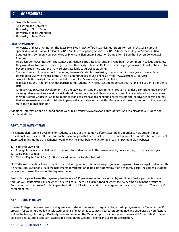- Texas Tech University
- Texas Woman's University
- University of North Texas
- University of Texas-Arlington
- University of Texas-Dallas

## **University/Partners**

- University of Texas at Arlington: The Texas Two-Step Project offers a seamless transition from an Associate's Degree in specified areas at Grayson College to a BA/BS in Interdisciplinary Studies or a BA/BS from the College of Science at UTA.
- Southeastern: Complete your Bachelors of Science in Elementary Education Degree from SE on the Grayson College Main Campus.
- UT Dallas: Comet Connection- The Comet Connection is specifically for students who begin at community college and know they would like to complete their degree at The University of Texas at Dallas. This unique program invites transfer students to become acquainted with the many services available to UT Dallas students.
- Stephen F. Austin: Education Articulation Agreement- Students transferring from community colleges find a seamless transition to SFA with the use of the 2-Year Planning Guides, found online at, http://www.sfasu.edu/1568.asp.
- Texas A & M University-Commerce: Bachelor of Applied Sciences Degree Articulation.
- UNT Eagle Bound Program provides participating students with resources and opportunities that make it easier to transfer to UNT.
- Choctaw Nation Career Development: The Choctaw Nation Career Development Program provides a comprehensive array of career guidance services, workforce skills development, academic skills enhancement, and financial education that enables members of the Choctaw Nation to obtain recognized certifications needed to enter careers and/or advance existing careers that are self-sustaining and contribute to personal financial security, healthy lifestyles, and the enhancement of the regional, state and national economy.

Additional Information can be found on the website at, https://www.grayson.edu/programs-and-majors/general-studies-andtransfers/index.html

# **7.16 TUITION PAYMENT PLAN**

A payment plan system is available for students to pay out their tuition before classes begin. In order to help students meet educational expenses GC offers an automatic payment plan that can be set up to use a bank account or credit/debit card. Students interested in this method of payment should follow the steps below to get to the e-Cashier payment plan website:

- 1. Sign into MyViking
- 2. Change term located in left hand corner next to student name to the term in which you are setting up the payment plan.
- 3. Click on My Ledger
- 4. Click on Pay by Credit Card (button located under the total on ledger)

FACTS/Nelnet provides a low-cost option for budgeting tuition. It is not a loan program. All payment plans are legal contracts with Nelnet Business Solutions. It allows installments toward tuition to be paid automatically on a monthly basis. The earlier a student registers for classes, the longer the payment period.

Cost to Participate: To use the payment plan there is a \$30 per semester (non-refundable) enrollment fee for payments made through ACH (automatic bank payment) or credit card. There is a \$30 returned payment fee every time a payment is returned. Another option is to use e- Cashier to pay the tuition in full with a checking or savings account or credit/ debit card. There is a \$2 enrollment fee.

# **7.17 TUTORING PROGRAM**

Grayson College offers free peer tutoring services to students enrolled in regular college credit programs and a "Super Student" program for students enrolled in selected sections of mathematics courses. Peer tutors are trained and supervised by professional staff in the Testing, Tutoring & Disability Services Center on the Main Campus. For information, please call 903- 463-8751. Grayson College's peer tutoring program is accredited through the College Reading and Learning Association.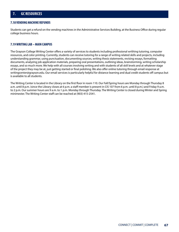## **7.18 VENDING MACHINE REFUNDS**

Students can get a refund on the vending machines in the Administrative Services Building, at the Business Office during regular college business hours.

## **7.19 WRITING LAB – MAIN CAMPUS**

The Grayson College Writing Center offers a variety of services to students including professional writhing tutoring, computer resources, and color printing. Currently, students can receive tutoring for a range of writing related skills and projects, including understanding grammar, using punctuation, documenting sources, writing thesis statements, revising essays, formatting documents, analyzing job application materials, preparing oral presentations, outlining ideas, brainstorming, writing scholarship essays, and so much more. We help with all courses involving writing and with students of all skill levels and at whatever stage of the project they may be at, just getting started or final polishing. We also offer online tutoring through email response at writingcenter@grayson.edu. Our email services is particularly helpful for distance learning and dual credit students off campus but is available to all students.

The Writing Center is located in the Library on the first floor in room 110. Our Fall/Spring hours are Monday through Thursday 8 a.m. until 8 p.m. (since the Library closes at 6 p.m. a staff member is present in CIS 107 from 6 p.m. until 8 p.m.) and Friday 9 a.m. to 2 p.m. Our summer hours are 9 a.m. to 1 p.m. Monday through Thursday. The Writing Center is closed during Winter and Spring minimester. The Writing Center staff can be reached at (903) 415-2541.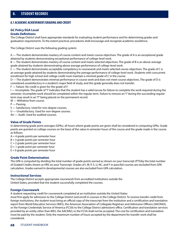## **8.1 ACADEMIC ACHIEVEMENT/GRADING AND CREDIT**

#### **GC Policy EGA Local Grade Definitions**

The College District shall have appropriate standards for evaluating student performance and for determining grades and graduation requirements. To the extent practical, procedures shall encourage and recognize academic excellence.

The College District uses the following grading system:

A — The student demonstrates mastery of course content and meets course objectives. The grade of A is an exceptional grade attained by students demonstrating exceptional performance of college-level work.

B — The student demonstrates mastery of course content and meets selected objectives. The grade of B is an above-average grade attained by students demonstrating above average performance of college-level work.

C — The student demonstrates acceptable competency in coursework and meets selected course objectives. The grade of C is an average grade attained by students demonstrating the average performance of college-level work. Students with concurrent enrollment for high school and college credit must maintain a minimal grade of C in the course.

D — The student demonstrates minimal performance in course work and does not meet course objectives. The grade of D is considered unsatisfactory in a student's major field of study, and this grade generally does not transfer.

F — Failure. No credit is given for the grade of F.

I — Incomplete. The grade of "I" indicates that the student has a valid excuse for failure to complete the work required during the semester. Incomplete work should be completed within the regular term. Failure to remove an "I" during the succeeding regular term may result in an "F" being placed on the permanent record.

W — Withdrew from course.

P — Passing.

S — Satisfactory. Used for non-degree courses.

U — Unsatisfactory. Used for non-degree courses.

AU — Audit. Used for audited courses.

### **Value of Grade Points**

In determining grade point averages (GPAs), all hours where grade points are given shall be considered in computing GPAs. Grade points are granted on college courses on the basis of the value in semester hours of the course and the grade made in the course as follows:

 $A = 4$  grade points per semester hour

 $B = 3$  grade points per semester hour

 $C = 2$  grade points per semester hour

 $D = 1$  grade point per semester hour

 $E = 0$  grade points per semester hour

### **Grade Point Determination**

The GPA is computed by dividing the total number of grade points earned as shown on your transcript (PTS)by the total number of Graded Credits shown as HRS on your Transcript. Grades of I, W, P, S, U, NC, and F in pass/fail courses are excluded from GPA calculation. Grades earned in developmental courses are also excluded from GPA calculation.

### **Instructional Services**

The College District accepts appropriate coursework from accredited institutions outside the United States, provided that the student successfully completed the courses.

### **Foreign Coursework**

A student requesting credit for coursework completed at an institution outside the United States

must first apply for admission to the College District and enroll in courses in the College District. To receive transfer credit from foreign institutions, the student must bring an official copy of the transcript from the institution and a certification and translation report from World Education Services (WES), the American Association of Collegiate Registrars and Admission Officers (AACRAO), or the Foreign Credentials Service of America (FCSA) to the College District admissions office. Certification and translation services provided by an entity other than WES, the AACRAO, or the FCSA shall not be accepted. The cost for certification and translation must be paid by the student. Only the maximum number of hours accepted by the department for transfer work shall be considered.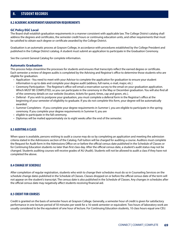# **8. STUDENT RECORDS**

### **8.2 ACADEMIC ACHIEVEMENT/GRADUATION REQUIREMENTS**

### **GC Policy EGC Local**

The Board shall establish graduation requirements in a manner consistent with applicable law. The College District catalog shall address the degrees and certificates, the semester credit hours or continuing education units, and other requirements that must be satisfied to obtain each degree or certificate awarded by the College District.

Graduation is an automatic process at Grayson College, in accordance with procedures established by the College President and published in the College District catalog. A student must submit an application to participate in the Graduation Ceremony.

See the current General Catalog for complete information.

### **Automatic Graduation**

This process helps streamline the processes for students and ensures that transcripts reflect the earned degree or certificate. Each semester a review of degree audits is completed by the Advising and Registrar's office to determine those students who are eligible for graduation.

- Application You need to meet with your Advisor to complete the application for graduation to ensure your student information is up to date and complete your degree audit (address, full name, e-mail, major, etc.)
- Ceremony Participation The Registrar's office will email a reservation survey to the email on your graduation application. Which MUST BE COMPLETED, so you can participate in the ceremony in the May or December graduation. You will also find all of the ceremony details on our website (location, tickets for guest, times, cap and gown, etc.).
- Deferral If you wish to postpone your graduation, you must complete a deferral form in the Registrar's office at the beginning of your semester of eligibility to graduate. If you do not complete this form, your degree will be automatically awarded.
- Summer Completers If you complete your degree requirements in Summer I, you are eligible to participate in the spring ceremony. If you complete your degree requirements in Summer II, you are
- eligible to participate in the fall ceremony.
- Diplomas will be mailed approximately six to eight weeks after the end of the semester.

## **8.3 AUDITING A CLASS**

When space is available, persons wishing to audit a course may do so by completing an application and meeting the admission criteria stated in the Admissions section of the Catalog. Full tuition will be charged for auditing a course. Auditors must complete the Request for Audit form in the Admissions Office on or before the official census date published in the Schedule of Classes or for Continuing Education students no later than first class day. After the official census date, a student's audit status may not be changed. Students auditing courses will receive grades of AU (Audit). Students will not be allowed to audit a class if they have not completed the above.

### **8.4 CHANGE OF SCHEDULE**

After completion of regular registration, students who wish to change their schedules must do so in Counseling Services on the schedule change dates published in the Schedule of Classes. Classes dropped on or before the official census date of the term will not appear on the student's transcript. The census date is also published in the Schedule of Classes. Any changes in schedules after the official census date may negatively affect students receiving financial aid.

### **8.5 CREDIT FOR COURSES**

Credit is granted on the basis of semester hours at Grayson College. Generally, a semester hour of credit is given for satisfactory performance in one lecture period of 50 minutes per week for a 16-week semester or equivalent. Two hours of laboratory work are usually considered to be the equivalent of one hour of lecture. For Continuing Education students, 10 class hours equal one CEU.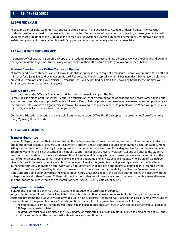# **8. STUDENT RECORDS**

### **8.6 DROPPING A CLASS**

Prior to the Census date, students may request to drop a course in the Counseling/ Academic Advising office. After Census, students must initiate the drop process with their instructor. Students cannot drop a course by leaving a message on voicemail. Students must drop prior to the Drop deadline to receive a "W". Distance Learning students or emergency withdrawals can seek assistance by contacting an adviser via email. Dropping a course may negatively affect your financial aid.

## **8.7 GRADE REPORTS AND TRANSCRIPTS**

A transcript of college work is an official copy of the student's permanent record listing all course work at the College and bearing the signature of the Registrar. Students may obtain copies of their official transcripts by following the steps below.

### **Student Clearinghouse Online Transcript Request:**

All former and current students can visit www.studentclearinghouse.org to request a transcript. Submit your request for an official transcript for a \$2.25 fee paid by major credit card. Requests are handled typically within 3 business days. Some record holds can prevent you from obtaining your official GC transcript. You will be notified by Email if you have any holds. Please monitor your Email account for updates on your request.

#### **Walk Up Request:**

You may come to the Office of Admissions and Records on the main campus. The South

Campus is also able to print transcripts. Request an official transcript by coming to the Admissions and Records office, filling out a request form and showing a photo ID with a full name. Due to federal privacy laws, we can only release the transcript directly to the student, unless we have a signed release form on file allowing us to release records to parents/others. When you pick up your transcript, you will also be required to show you're ID.

Continuing Education transcripts are available from the Admissions Office. Unofficial copies may be obtained free of charge by using MyViking student portal.

### **8.8 GRADUATE GUARANTEES**

### **Transfer Guarantee**

Grayson College guarantees that courses taken at the College, selected from an official degree plan, will transfer to any selected public-supported college or university in Texas. When a student and an authorized counselor or division dean signs a document listing the student's course of study for a program, this document is considered an official degree plan. If a student takes courses accordingly and he/she is not accepted at the public-supported college or university Grayson College will offer to the student, from curriculum as shown in the appropriate edition of the General Catalog, alternate courses that are acceptable, without the cost of tuition/fees to the student. The College will make this guarantee for all new college students who file an official degree plan with the GC Counseling Services Center. The College will make this guarantee for all presently enrolled students after an authorized counselor, or division dean reviews an up-to- date transcript and develops an official degree plan, presented by the student to the College Counseling Services. In the event of a dispute over the transferability of a Grayson College course at a state-supported college or university, the student must notify Grayson College. If the College cannot resolve the dispute with the college or university, then Grayson College will provide the student — within one year from the time of the dispute — alternate and appropriate courses without the cost of tuition/fees. (See 2016/2017 Catalog, page 54).

### **Employment Guarantee**

If an Associate of Applied Science (A.A.S.) graduate or graduate of a certificate program is judged by his/her employer to be lacking in technical job skills identified as exit competencies for his/her specific degree or certificate programs, the graduate will be provided up to nine tuition/fee-free credit hours of additional skill training by GC under the conditions of the guarantee policy. Special conditions that apply to the guarantee include the following:

- The student must earn his/her degree/certificate in an occupational program listed in Grayson College General Catalog as of 1993-spring semester or later.
- The graduate must have completed the A.A.S. degree or certificate at GC (with a majority of credits being earned at GC) and must have completed the degree/certificate within a four-year time span.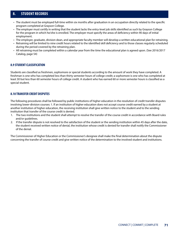# **8. STUDENT RECORDS**

- The student must be employed full-time within six months after graduation in an occupation directly related to the specific program completed at Grayson College.
- The employer must certify in writing that the student lacks the entry-level job skills identified as such by Grayson College for the program in which he/she is enrolled. The employer must specify the areas of deficiency within 90 days of initial employment.
- The employer, graduate, division dean, and appropriate faculty member will develop a written educational plan for retraining.
- Retraining will be limited to nine credit hours related to the identified skill deficiency and to those classes regularly scheduled during the period covered by the retraining plan.
- All retraining must be completed within a calendar year from the time the educational plan is agreed upon. (See 2016/2017 Catalog, page 54)

## **8.9 STUDENT CLASSIFICATION**

Students are classified as freshmen, sophomore or special students according to the amount of work they have completed. A freshman is one who has completed less than thirty semester hours of college credit; a sophomore is one who has completed at least 30 but less than 60 semester hours of college credit. A student who has earned 60 or more semester hours is classified as a special student.

## **8.10 TRANSFER CREDIT DISPUTES**

The following procedures shall be followed by public institutions of higher education in the resolution of credit transfer disputes involving lower-division courses: 1. If an institution of higher education does not accept course credit earned by a student at another institution of higher education, the receiving institution shall give written notice to the student and to the sending institution that transfer of the course credit is denied.

- 1. The two institutions and the student shall attempt to resolve the transfer of the course credit in accordance with Board rules and/or guidelines.
- 2. If the transfer dispute is not resolved to the satisfaction of the student or the sending institution within 45 days after the date, the student received written notice of denial, the institution whose credit is denied for transfer shall notify the Commissioner of the denial.

The Commissioner of Higher Education or the Commissioner's designee shall make the final determination about the dispute concerning the transfer of course credit and give written notice of the determination to the involved student and institutions.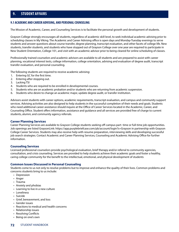# **9. STUDENT AFFAIRS**

## **9.1 ACADEMIC AND CAREER ADVISING, AND PERSONAL COUNSELING**

The Mission of Academic, Career, and Counseling Services is to facilitate the personal growth and development of students.

Grayson College strongly encourages all students, regardless of academic skill level, to seek individual academic advising prior to scheduling classes in My Viking. The Academic and Career Advising office is open days and Monday-Tuesday evenings to serve students and answer questions about course transfer, degree planning, transcript evaluation, and other facets of college life. New students, transfer students, and students who have stopped out of Grayson College over one year are required to participate in New Student Orientation, College 101, and visit with an academic advisor prior to being cleared for online scheduling of classes.

Professionally trained counselors and academic advisors are available to all students and are prepared to assist with career planning, vocational interest tests, college information, college orientation, advising and evaluation of degree audit, transcript transfer evaluation, and personal counseling.

The following students are required to receive academic advising:

- 1. Entering GC for the first time.
- 2. Entering after stopping out.
- 3. Lacking TSI
- 4. Students who are required to be enrolled in developmental courses.
- 5. Students who are on academic probation and/or students who are returning from academic suspension.
- 6. Students who desire to change an academic major, update degree audit, or transfer institution.

Advisors assist students with career options, academic requirements, transcript evaluation, and campus and community support services. Advising activities are also designed to help students in the successful completion of their needs and goals. Students who need additional career assistance should inquire at the Office of Career Services located in the Academic, Career, and Counseling Office. Student offers information, assistance and guidance and all services are provided free of charge to current students, alumni, and community agency referrals.

### **Career Planning Services**

Career Planning Services are available to Grayson College students seeking off-campus part- time or full-time job opportunities. Job openings are listed GraysonLink: https://app.purplebriefcase.com/pb/account/login?s=Grayson in partnership with Grayson College Career Services. Students may also receive help with resume preparation, interviewing skills and developing successful job search strategies. Contact Academic and Career Planning Services, Counseling and Academic Advising Office for further information.

### **Counseling Services**

Licensed professional counselors provide psychological evaluation, brief therapy and/or referral to community agencies, consultation, and crisis counseling. Services are provided to help students achieve their academic goals and foster a healthy, caring college community for the benefit to the intellectual, emotional, and physical development of students

### **Common Issues Discussed in Personal Counseling**

Students come to us not only to resolve problems but to improve and enhance the quality of their lives. Common problems and concerns students bring to us include:

- Depression
- Anger
- Trauma
- Anxiety and phobias
- Learning to live in a new culture
- Loneliness
- Suicide
- Grief, bereavement, and loss
- Gender issues
- Reactions to medical and health concerns
- Relationship issues
- Resolving Conflicts
- Being on one's own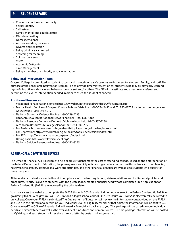- Concerns about sex and sexuality
- Sexual identity
- Self-esteem
- Family, marital, and couples issues
- Disordered eating
- Domestic violence
- Alcohol and drug concerns
- Divorce and separation
- Being criminally victimized
- Searching for meaning
- Spiritual concerns
- Stress
- Academic Difficulties
- Time Management
- Being a member of a minority sexual orientation

## **Behavioral Intervention Team**

Grayson College is committed to student success and maintaining a safe campus environment for students, faculty, and staff. The purpose of the Behavioral Intervention Team (BIT) is to provide timely intervention for students who may display early warning signs of disruptive and/or violent behavior towards self and/or others. The BIT will investigate and assess every referral and determine the level of intervention needed in order to assist the student of concern.

## **Additional Resources**

- Vocational Rehabilitation Services: http://www.dars.state.tx.us/drs/offices/OfficeLocator.aspx
- Mental Health Services of Grayson County 24 hour Crisis line: 1-800-784-2433 or (903) 893-0175 for afterhours emergencies
- Abuse Issues: (903) 893-5615
- National Domestic Violence Hotline: 1-800-799-7233
- Rape, Abuse, & Incest National Network hotline: 1-800-656-Hope
- National Resource Center on Domestic Violence legal help: 1-800-537-2238
- Alcoholism Resources & College Alcoholism: 1-844-500-2558
- For Anxiety: http://www.nimh.nih.gov/health/topics/anxiety-disorders/index.shtml
- For Depression: http://www.nimh.nih.gov/health/topics/depression/index.shtml
- For STDs: http://www.iwannaknow.org/teens/index.html
- Dating Basic: http://www.loveisrespect.org/
- National Suicide Prevention Hotline: 1-800-273-8255

## **9.2 FINANCIAL AID & VETERANS SERVICES**

The Office of Financial Aid is available to help eligible students meet the cost of attending college. Based on the determination of the federal Department of Education, the primary responsibility of financing an education rests with students and their families; however, scholarships, grants, loans, work opportunities, and other financial benefits are available to students who qualify for these programs.

All federal financial aid is awarded in strict compliance with federal regulations, state regulations and institutional policies and procedures. Priority is given to students with the greatest documented financial need whose completed Free Application for Federal Student Aid (FAFSA) are received by the priority dates.

You may access the website to complete the FAFSA through GC's Financial Aid homepage, select the Federal Student Aid FAFSA or go directly to FAFSA.ed.gov. You will use Grayson College's school code, 003570, to insure your FAFSA is electronically delivered to our college. Once your FAFSA is submitted The Department of Education will review the information you provided on the FAFSA and use it in their formula to determine your individual level of eligibility for aid. At that point, the information will be sent to GC. Once received The Office of Financial Aid will award a financial aid package to you. This package will be based on your individual needs and circumstances, as well as the availability of funds from one or more sources. The aid package information will be posted to MyViking, and each student will receive an award letter by postal mail and/or email.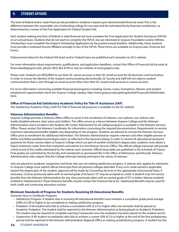The level of federal and/or state financial aid provided to students is based upon demonstrated financial need. This is the difference between the reasonable cost of attending college for one year and the estimated family financial contribution, as determined by a review of the Free Application for Federal Student Aid.

Each student seeking any form of federal or state financial aid must complete the Free Application for Student Assistance (FAFSA) on an annual basis. Students that do not want to complete the FAFSA, but are interested in Grayson Foundation and/or Athletic Scholarships must complete the Grayson Scholarship Application by the posted annual deadline. Additionally, these students must provide a notarized Income Affidavit annually in lieu of the FAFSA. These forms are available on Grayson.edu, Financial Aid Forms.

Disbursement dates for the Federal Pell Grant and/or Federal loans are published each semester on GC's website.

For more information about requirements, qualifications, and application deadlines, contact the Office of Financial Aid by email at financiataid@grayson.edu, phone (903) 463-8794 or visit our website at www.grayson.edu.

Please note: Students are REQUIRED to use their GC canvas account or their GC email account for all electronic communication. In order to ensure the identity of the student communicating electronically, GC faculty and staff will not reply to student communication that is sent through an email account other than their GC issued email account or canvas account.

For more information concerning available financial aid programs including: Grants, Loans, Exemptions, Waivers and student employment opportunities check the Grayson College catalog. http://www.grayson.edu/gettingstarted/Financial%20Aid/index. html.

### **Office of Financial Aid Satisfactory Academic Policy for Title IV Assistance (SAP)**

The Satisfactory Academic Policy (SAP) for Title IV financial aid purposes is available on the GC website.

### **Veterans Administration Benefits**

Grayson College provides a Veterans Affairs Office to assist in the enrollment of veterans, war orphans, war widows and totally disabled veterans, their wives and children. This office serves as a liaison between Grayson College and the Veterans Administration and is located in the Student Life Center. Advisement for all college programs is available in the Veterans Services Office. Please contact the Veterans Coordinator for information concerning the required documentation. Requirements to receive maximum educational benefits eligible vary depending on the program. Students are advised to consult the Veterans Services Office prior to enrollment for additional information. The Veterans Administration requires veterans and other eligible persons to define and follow predetermined degree plans as reflected in the General Catalog. In order to receive VA educational assistance payments for those courses taken at Grayson College which are part of another institution's degree plan, students must obtain a Parent Institution Letter from that institution and submit it to the Veteran Services Office. The official college transcript will provide a final record of the credits attempted by the veteran each semester. Official drop dates are published in the Schedule of Classes. Final grades are submitted by the faculty and maintained on permanent file in the Office of Admissions and Records. Veterans Administration rules require that the College interrupt training and report the names of veterans

who are placed on academic suspension and those who are not making satisfactory progress. A veteran who applies for admission to Grayson College must submit official transcripts from all previous colleges attended. If any such credit earned is applicable toward the degree plan of the student, approval will be made by Counseling Services or the appropriate instructional Dean, if necessary. Courses previously taken with an earned grade of at least a "D" may be accepted as credit. A student may not receive benefits from the Veterans Administration for any class previously taken with an earned grade of "D" or better. Veteran students entitled to Hazelwood Act (Texas Veterans) benefits should contact the Financial Aid at GC. Hazelwood Benefits may be used for both credit and continuing education courses.

## **Minimum Standards of Progress for Students Receiving VA Educational Benefits**

Semester Hour or Certificate Programs

- Satisfactory Progress: A student who is receiving VA educational benefits must maintain a cumulative grade point average (GPA) of 2.00 or higher to be considered as making satisfactory progress.
- Probation: A VA student who fails to achieve a cumulative GPA of 2.0 or higher after one semester shall be placed on Academic Probation. The student shall be reported to the Veterans Administration as being placed on Academic Probation. The student may be required to complete Learning Frameworks once the probation has been placed on the student record.
- Suspension: A VA student on probation who fails to achieve a current GPA of 2.0 or higher at the end of the first probationary period shall be reported to the Veterans Administration Regional Office as making unsatisfactory progress. A student has the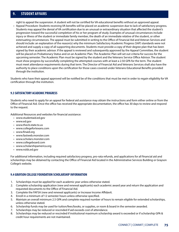right to appeal the suspension. A student will not be certified for VA educational benefits without an approved appeal.

• Appeal Procedure: Students receiving VA benefits will be placed on academic suspension due to lack of satisfactory progress. Students may appeal the denial of VA certification due to an unusual or extraordinary situation that affected the student's progression toward the successful completion of his or her program of study. Examples of unusual circumstances include injury or illness of the student or immediate family member, the death of an immediate relative of the student, or other extenuating circumstances. The appeal must be submitted in writing to the Office of Financial Aid and Veteran Services and should include: an explanation of the reason(s) why the minimum Satisfactory Academic Progress (SAP) standards were not achieved and supply a copy of all supporting documents. Students must provide a copy of their degree plan that has been signed by their academic advisor. If the appeal is reviewed and subsequently approved by the Appeal Committee, the student will be placed on Probationary Status and on an Academic Plan. The Academic Plan will set out criteria for success for the upcoming semester. The Academic Plan must be signed by the student and the Veterans Service Office Advisor. The student must show progress by successfully completing the attempted courses with at least a 2.50 GPA for the term. The student must meet attendance requirements during that term. The Director of Financial Aid and Veterans Services shall also have the authority to place conditions upon the certification for those cases covered under Veterans Educational Benefits provided through the institution.

Students who have their appeal approved will be notified be of the conditions that must be met in order to regain eligibility for VA certification through the institution.

## **9.3 SATISFACTORY ACADEMIC PROGRESS**

Students who need to apply for an appeal for federal aid assistance may obtain the instructions and form either online or from the Office of Financial Aid. Once the office has received the appropriate documentation, the office has 30 days to review and respond to the request.

Additional Resources and websites for financial assistance:

- www.studentaid.ed.gov
- www.ed.gov
- www.thecb.state.tx.us
- www.collegefortexans.com
- www.finaid.org
- www.fastweb.monster.com
- www.scholars.monster.com
- www.collegeboard.com
- www.scholarshipamerica.org
- www.nslds.ed.gov

For additional information, including required satisfactory progress, pro-rata refunds, and applications for all financial aid and scholarships may be obtained by contacting the Office of Financial Aid located in the Administrative Services Building or Grayson College's website.

## **9.4 GRAYSON COLLEGE FOUNDATION SCHOLARSHIP INFORMATION**

- 1. Scholarships must be applied for each academic year unless otherwise stated.
- 2. Complete scholarship application (new and renewal applicants) each academic award year and return the application and requested documents to the Office of Financial Aid.
- 3. Complete the FAFSA (new and renewal applicants) or Increase Income Affidavit.
- 4. Enroll in a minimum of 12 semester hours unless otherwise specified.
- 5. Maintain an overall minimum 2.5 GPA and complete required number of hours to remain eligible for extended scholarships, unless otherwise stated.
- 6. Scholarship funds may be used for tuition/fees/books, or supplies, or room & board in the semester awarded.
- 7. Scholarships may be reduced or rescinded if aid exceeds cost of attendance.
- 8. Scholarships may be reduced or rescinded if institutional maximum scholarship award is exceeded or if scholarship GPA & credit hour requirements are not maintained.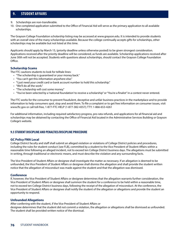- 9. Scholarships are non-transferable.
- 10. One completed application submitted to the Office of Financial Aid will serve as the primary application to all available scholarships.

The Grayson College Foundation scholarship listing may be accessed at www.grayson.edu. It is intended to provide students with an overall view of the many scholarships available. Because the college continually accepts gifts for scholarships, other scholarships may be available but not listed at this time.

Applicants should apply by March 15, (priority deadline unless otherwise posted) to be given strongest consideration. Applications received after the priority deadline will be considered, as funds are available. Scholarship applications received after June 30th will not be accepted. Students with questions about scholarships, should contact the Grayson College Foundation Office.

### **Scholarship Scams**

The FTC cautions students to look for telltale lines:

- "The scholarship is guaranteed or your money back."
- "You can't get this information anywhere else."
- "I just need your credit card or bank account number to hold this scholarship."
- "We'll do all the work."
- "The scholarship will cost some money."
- "You've been selected by a 'national foundation' to receive a scholarship" or "You're a finalist" in a contest never entered.

The FTC works for the consumer to prevent fraudulent, deceptive and unfair business practices in the marketplace and to provide information to help consumers spot, stop and avoid them. To file a complaint or to get free information on consumer issues, visit www.ftc.gov or call toll-free, 1-877-FTC-HELP (1-877-382-4357); TTY: 1-866-653-4261

For additional information, including required satisfactory progress, pro-rata refunds, and applications for all financial aid and scholarships may be obtained by contacting the Office of Financial Aid located in the Administrative Services Building or Grayson College's website.

## **9.5 STUDENT DISCIPLINE AND PENALTIES/DISCIPLINE PROCEDURE**

### **GC Policy FMA Local**

College District faculty and staff shall submit an alleged violation or violations of College District policies and procedures, including the rules for student conduct [see FLB], committed by a student to the Vice President of Student Affairs within a reasonable time following an alleged incident, not to exceed ten College District business days. The allegations must be submitted in writing, through traditional or electronic means, and must describe the violation and any surrounding facts.

The Vice President of Student Affairs or designee shall investigate the matter as necessary. If an allegation is deemed to be unfounded, the Vice President of Student Affairs or designee shall dismiss the allegation and shall provide the student written notice that the allegation of misconduct was made against the student and that the allegation was dismissed.

### **Conference**

If, however, the Vice President of Student Affairs or designee determines that the allegation warrants further consideration, the Vice President of Student Affairs or designee shall summon the student for a conference to be held within a reasonable time, not to exceed ten College District business days, following the receipt of the allegation of misconduct. At the conference, the Vice President of Student Affairs or designee shall notify the student of the allegation or allegations and provide the student an opportunity to respond.

### **Unfounded Allegations**

After conferring with the student, if the Vice President of Student Affairs or

designee determines that the student did not commit a violation, the allegation or allegations shall be dismissed as unfounded. The student shall be provided written notice of the dismissal.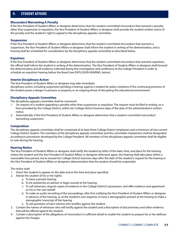### **Misconduct Warranting A Penalty**

If the Vice President of Student Affairs or designee determines that the student committed misconduct that warrants a penalty other than suspension or expulsion, the Vice President of Student Affairs or designee shall provide the student written notice of the penalty and the student's right to appeal to the disciplinary appeals committee.

### **Suspension**

If the Vice President of Student Affairs or designee determines that the student committed misconduct that warrants a suspension, the Vice President of Student Affairs or designee shall inform the student in writing of the determination, and a hearing shall be scheduled for consideration by the disciplinary appeals committee as described below.

### **Expulsion**

If the Vice President of Student Affairs or designee determines that the student committed misconduct that warrants expulsion, the official shall inform the student in writing of the determination. The Vice President of Student Affairs or designee shall forward the determination and all evidence collected during the investigation and conference to the College President in order to schedule an expulsion hearing before the Board [see EXPULSION HEARING, below].

### **Interim Disciplinary Action**

The Vice President of Student Affairs or designee may take immediate

disciplinary action, including suspension pending a hearing, against a student for policy violations if the continuing presence of the student poses a danger to persons or property or an ongoing threat of disrupting the educational environment.

## **Disciplinary Appeals Committee**

The disciplinary appeals committee shall be convened:

- 1. On request of a student appealing a penalty other than suspension or expulsion. The request must be filed in writing, on a form provided by the College District, within ten College District business days of the date of the administration's written notice.
- 2. Automatically, if the Vice President of Student Affairs or designee determines that a student committed misconduct warranting suspension.

### **Composition**

The disciplinary appeals committee shall be comprised of at least three College District employees and a minimum of one current College District student. The members of the disciplinary appeals committee and the committee chairperson shall be designated according to procedures developed by the College President. All members of the disciplinary appeals committee shall be eligible to vote during the hearing.

## **Hearing Notice**

The Vice President of Student Affairs or designee shall notify the student by letter of the date, time, and place for the hearing. Unless the student and the Vice President of Student Affairs or designee otherwise agree, the hearing shall take place within a reasonable time period, not to exceed ten College District business days after the date of the student's request for the hearing or the Vice President of Student Affairs or designee's determination that the student should be suspended.

The notice shall:

- 1. Direct the student to appear on the date and at the time and place specified.
- 2. Advise the student of his or her rights:
	- a. To have a private hearing.
	- b. To be assisted by an advisor or legal counsel at the hearing.
	- c. To call witnesses, request copies of evidence in the College District's possession, and offer evidence and agreement on his or her own behalf.
	- d. To make an audio recording of the proceedings, after first notifying the Vice President of Student Affairs or designee in advance of the hearing, or, at the student's own expense, to have a stenographer present at the hearing to make a stenographic transcript of the hearing.
	- e. To ask questions of each witness who testifies against the student.
- 3. Contain the names of witnesses who will testify against the student and a description of documentary and other evidence that will be offered against the student.
- 4. Contain a description of the allegations of misconduct in sufficient detail to enable the student to prepare his or her defense against the charges.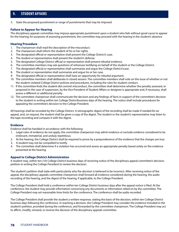5. State the proposed punishment or range of punishments that may be imposed.

### **Failure to Appear for Hearing**

The disciplinary appeals committee may impose appropriate punishment upon a student who fails without good cause to appear for the hearing; for purposes of assessing punishment, the committee may proceed with the hearing in the student's absence.

### **Hearing Procedure**

- 1. The chairperson shall read the description of the misconduct.
- 2. The chairperson shall inform the student of his or her rights.
- 3. The designated official or representative shall present the College District's case.
- 4. The student or representative shall present the student's defense.
- 5. The designated College District official or representative shall present rebuttal evidence.
- 6. The committee members may ask questions of witnesses testifying on behalf of the student or the College District.
- 7. The designated official or representative shall summarize and argue the College District'scase.
- 8. The student or representative shall summarize and argue his or her case.
- 9. The designated official or representative shall have an opportunity for rebuttal argument.
- 10. The committee members shall deliberate in closed session. The committee members shall vote on the issue of whether or not the student violated College District policies and procedures, including the rules for student conduct.
- 11. If the committee finds the student did commit misconduct, the committee shall determine whether the penalty assessed, or proposed in the case of suspension, by the Vice President of Student Affairs or designee is appropriate and, if necessary, shall assess a different or additional penalty.
- 12. The committee chairperson shall communicate the decision and any findings of facts in support of the committee's decision to the student in writing within ten College Districtbusiness days of the hearing. The notice shall include procedures for appealing the committee's decision to the College President.

All hearings shall be recorded by the College District. A stenographic digest of the recording shall be made if needed for an appeal, and, on request, the student shall be given a copy of the digest. The student or the student's representative may listen to the tape recording and compare it with the digest.

### **Evidence**

Evidence shall be handled in accordance with the following:

- 1. Legal rules of evidence do not apply; the committee chairperson may admit evidence or exclude evidence considered to be irrelevant, immaterial, and unduly repetitious.
- 2. At the hearing, the College District shall be required to prove by a preponderance of the evidence that the charges are true.
- 3. A student may not be compelled to testify.
- 4. The committee shall determine if a violation has occurred and assess an appropriate penalty based solely on the evidence presented at the hearing.

### **Appeal to College District Administration**

A student may, within ten (10) College District business days of receiving notice of the disciplinary appeal committee's decision, petition in writing the College President to review the decision.

The student's petition shall state with particularity why the decision is believed to be incorrect. After receiving notice of the appeal, the disciplinary appeals committee chairperson shall forward all evidence considered during the hearing, the audio recording of the hearing, and the digest of the hearing, if applicable, to the College President.

The College President shall hold a conference within ten College District business days after the appeal notice is filed. At the conference, the student may provide information concerning any documents or information relied on by the committee. The College President may set reasonable time limits for the conference. The conference shall be audio recorded.

The College President shall provide the student a written response, stating the basis of the decision, within ten College District business days following the conference. In reaching a decision, the College President may consider the evidence included in the student's petition, provided during the conference, and forwarded by the committee chairperson. The College President may act to affirm, modify, remand, or reverse the decision of the disciplinary appeals committee.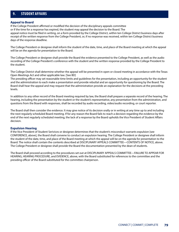### **Appeal to Board**

If the College President affirmed or modified the decision of the disciplinary appeals committee or if the time for a response has expired, the student may appeal the decision to the Board. The appeal notice must be filed in writing, on a form provided by the College District, within ten College District business days after receipt of the written response from the College President, or, if no response was received, within ten College District business days of the response deadline.

The College President or designee shall inform the student of the date, time, and place of the Board meeting at which the appeal will be on the agenda for presentation to the Board.

The College President or designee shall provide the Board the evidence presented to the College President, as well as the audio recording of the College President's conference with the student and the written response provided by the College President to the student.

The College District shall determine whether the appeal will be presented in open or closed meeting in accordance with the Texas Open Meetings Act and other applicable law. [See BD]

The presiding officer may set reasonable time limits and guidelines for the presentation, including an opportunity for the student and the administration to each make a presentation and provide rebuttal and an opportunity for questioning by the Board. The Board shall hear the appeal and may request that the administration provide an explanation for the decisions at the preceding levels.

In addition to any other record of the Board meeting required by law, the Board shall prepare a separate record of the hearing. The hearing, including the presentation by the student or the student's representative, any presentation from the administration, and questions from the Board with responses, shall be recorded by audio recording, video/audio recording, or court reporter.

The Board shall then consider the evidence. It may give notice of its decision orally or in writing at any time up to and including the next regularly scheduled Board meeting. If for any reason the Board fails to reach a decision regarding the evidence by the end of the next regularly scheduled meeting, the lack of a response by the Board upholds the Vice President of Student Affairs decision.

### **Expulsion Hearing**

If the Vice President of Student Serivices or designee determines that the student's misconduct warrants expulsion [see CONFERENCE, above], the Board shall convene to conduct an expulsion hearing. The College President or designee shall inform the student of the date, time, and place of the Board meeting at which the appeal will be on the agenda for presentation to the Board. The notice shall contain the contents described at DISCIPLINARY APPEALS COMMITTEE—CONTENTS OF NOTICE, above. The College President or designee shall provide the Board the documentation presented by the dean of students.

The Board shall proceed according to the procedures set out at DISCIPLINARY APPEALS COMMITTEE—FAILURE TO APPEAR FOR HEARING, HEARING PROCEDURE, and EVIDENCE, above, with the Board substituted for references to the committee and the presiding officer of the Board substituted for the committee chairperson.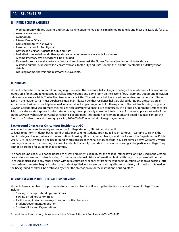## **10.1 FITNESS CENTER AMENITIES**

- Workout room with free weights and circuit training equipment. Elliptical machines, treadmills and bikes are available for use.
- Aerobic exercise room.
- Gymnasium.
- Fitness Center Office.
- Dressing rooms with showers.
- Reserved lockers for faculty/staff.
- Day use lockers for students, faculty and staff.
- Basketballs, volleyballs and other sports related equipment are available for checkout.
- A complimentary towel service will be provided.
- Day use lockers are available for students and employees. Ask the Fitness Center attendant on duty for details.
- A limited number of reserved lockers are available for faculty and staff. Contact the Athletic Director (Mike McBrayer) for details.
- Dressing rooms, showers and restrooms are available.

## **10.2 HOUSING**

Students interested in economical housing might consider the residence hall at Grayson College. The residence hall has a common lounge area for entertaining quests, as well as, study lounge and game room on the second floor. Telephone outlets and television cable services are available. The hall has two laundry facilities. The residence hall has a live-in supervisor, and other staff. Students living in the residence hall must purchase a meal plan. Please note that residence halls are closed during the Christmas break and summer. Residents should plan ahead for alternative living arrangements for these periods. The resident housing program at Grayson College strives to promote the services necessary for students to live comfortably in a group environment. Residence Hall living provides an atmosphere in which students may develop socially as well as intellectually. An online application can be found on the Grayson website, under Campus Housing. For additional information concerning room and board, you may contact the Director of Student Life and Housing by calling 903-463-8693 or email at milesg@grayson.edu..

## **Background Checks for On-campus Residents at GC**

In an effort to improve the safety and security of college students, SB 146 permits public

colleges to perform in-depth background checks on incoming students applying to live on campus. According to SB 146, the public college's chief or police and the institution's housing office may access background checks from the Department of Public Safety (DPS) secure website. The background check consists of criminal history records (e.g., past crimes, active warrants), which can only be obtained for incoming or current students that apply to reside in on- campus housing at the particular college. They cannot be ordered for students that commute.

The background check will not be utilized to assess enrollment eligibility for the college; rather, it will only be used in the vetting process for on-campus, student housing. Furthermore, criminal history information obtained through this process will not be released or disclosed to any other person without a court order or consent from the student in question. As soon as possible, after the academic semester begins in which the student applied for on-campus housing, all criminal history information obtained in the background check will be destroyed by either the chief of police or the institution's housing office.

## **10.3 INVOLVEMENT IN INSTITUTIONAL DECISION MAKING**

Students have a number of opportunities to become involved in influencing the decisions made at Grayson College. Those include:

- Serving on campus standing committees
- Serving on ad hoc committees
- Participating in student surveys in and out of the classroom
- Student Government Association
- Student Clubs and Organizations

For additional information, please contact the Office of Student Services at (903) 463-8695.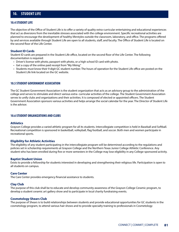### **10.4 STUDENT LIFE**

The objective of the Office of Student Life is to offer a variety of quality extra-curricular entertaining and educational experiences that act as diversions from the inevitable stresses associated with the college environment. Specific recreational activities are planned to encourage the development of healthy liferstyles outside the classroom, laboratory, and office. The programs offered by and services available through Student Life are open to all students, staff, and faculty. The Office of Student Life is located on the second floor of the Life Center.

### **Student ID Cards**

Student ID cards are prepared in the Student Life office, located on the second floor of the Life Center. The following documentation is required:

- Driver's license with photo, passport with photo, or a high school ID card with photo.
- Get a copy of the online paid receipt from "My Viking."
- Students must know their 9 digit GC student number. The hours of operation for the Student Life office are posted on the Student Life link located on the GC website.

### **10.5 STUDENT GOVERNMENT ASSOCIATION**

The GC Student Government Association is the student organization that acts as an advisory group to the administration of the college and serves to stimulate and direct various extra- curricular activities of the college. The Student Government Association serves to unify clubs and organizations and their activities. It is composed of elected or appointed officers. The Student Government Association sponsors various activities and helps arrange the social calendar for the year. The Director of Student Life is the advisor.

### **10.6 STUDENT ORGANIZATIONS AND CLUBS**

### **Athletics**

Grayson College provides a varied athletic program for all its students. Intercollegiate competition is held in Baseball and Softball. Recreational competition is sponsored in basketball, volleyball, flag football, and soccer. Both men and women participate in recreational sports.

### **Eligibility for Athletic Activities**

The eligibility of any student participating in the intercollegiate program will be determined according to the regulations and policies set in scholarship requirements at Grayson College and the Northern Texas Junior College Athletic Conference. Any student who has been enrolled during five or more semesters in the College may lose eligibility in any College-sponsored activity.

### **Baptist Student Union**

Exists to provide a fellowship for students interested in developing and strengthening their religious life. Participation is open to all students on campus.

### **Care Center**

The Care Center provides emergency financial assistance to students.

### **Clay Club**

The purpose of this club shall be to educate and develop community awareness of the Grayson College Ceramic program, to develop a student ceramic art gallery show and to participate in local charity fundraising events.

### **Cosmetology Shears Club**

The purpose of Shears is to build relationships between students and provide educational opportunities for GC students in the cosmetology program, to attend various hair shows and to provide specialty training to professionals in Cosmetology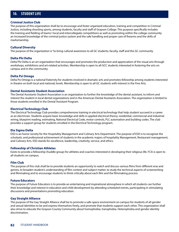### **Criminal Justice Club**

The purpose of this organization shall be to encourage and foster organized education, training and competition in Criminal Justice, including shooting sports, among students, faculty and staff of Grayson College. This purpose specifically includes the training and fielding of teams I local and intercollegiate competitions as well as promoting within the college community an increased knowledge of the criminal justice system and the safe handling and proper care of firearms and the skills of marksmanship.

### **Cultural Diversity**

The purpose of the organization is "to bring cultural awareness to all GC students, faculty, staff and the GC community.

### **Delta Phi Delta**

Delta Phi Delta is an art organization that encourages and promotes the production and appreciation of the visual arts through workshops, exhibitions and art-related activities. Membership is open to all GCC students interested in fostering the arts on campus and in the community.

### **Delta Psi Omega**

Delta Psi Omega is a national fraternity for students involved in dramatic arts and promotes fellowship among students interested in theatre on both local and national; levels. Membership is open to all GC students with interest in the Fine Arts.

### **Dental Assistants Student Association**

The Dental Assistants Student Association is an organization to further the knowledge of the dental assistant, to inform and interest the student in local dental organizations and in the American Dental Assistants Association. The organization is limited to those students enrolled in the Dental Assistant Program.

### **Electrical Technology Club**

The Electrical Technology Club provides comprehensive training in electrical technology that help student succeed in a career as an electrician. Students acquire basic knowledge and skills in applied electrical theory, residential, commercial and industrial wiring, blueprint reading, estimating, National Electrical Code, motor controls, PLC automation and building codes. The club provides a support group for students enrolled in the Electrical Technology program.

### **Eta Sigma Delta**

ESD is an honor society for the Hospitality Management and Culinary Arts Department. The purpose of ESD is to recognize the scholastic and professional achievement of students in the academic majors of hospitality Management, Restaurant management, and Culinary Arts. ESD stands for excellence, leadership, creativity, service, and ethics.

### **Fellowship of Christian Athletes**

Exists to provide a fellowship (huddle group) for athletes and coaches interested in developing their religious life. FCA is open to all students on campus.

### **Film Club**

The purpose of this club shall be to provide students an opportunity to watch and discuss various films from different eras and genres, to broaden student's understanding of film context and subject matter, to study the technical aspects of screenwriting and filmmaking and to encourage students to think critically about each film and the filmmaking process

### **Future Educators**

The purpose of Future Educators is to provide an entertaining and inspirational atmosphere in which all students can further their knowledge and interest in education and child development by attending scheduled events, participating in stimulating discussions and presentations promoting education.

### **Gay Straight Alliance**

The purpose of the Gay Straight Alliance shall be to promote a safe-space environment on campus for students of all gender and sexual identities to be and express themselves freely, and promote that students support each other. This organization shall also strive to educate the Grayson County Community about homophobia, transphobia. Heterophobia and gender identity discrimination.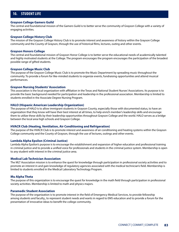### **Grayson College Gamers Guild**

The central and foundational mission of the Gamers Guild is to better serve the community of Grayson College with a variety of engaging activities.

### **Grayson College History Club**

The mission of the Grayson College History Club is to promote interest and awareness of history within the Grayson College community and the County of Grayson, through the use of historical films, lectures, outing and other events.

### **Grayson Honors College**

The central and foundational mission of Grayson Honor College is to better serve the educational needs of academically talented and highly motivated students at the College. The program encourages the program encourages the participation of the broadest possible range of gifted students.

### **Grayson College Music Club**

The purpose of the Grayson College Music Club is to promote the Music Department by spreading music throughout the community. To provide a forum for like-minded students to organize events, fundraising opportunities and attend musical performances.

### **Grayson Nursing Students' Association**

This association is the local organization with affiliation in the Texas and National Student Nurses' Associations. Its purpose is to provide the basic background needed for participation and leadership in the professional association. Membership is limited to students enrolled in the Associate Degree Nursing Program.

### **HALO (Hispanic American Leadership Organization)**

The purpose of HALO is to allow immigrant students in Grayson County, especially those with documented status, to have an organization that they know will have their best interest at all times, to help enrich member's leadership skills and encourage them to utilize these skills by their leadership opportunities throughout Grayson College and the world. HALO serves as a bridge between the local area high schools and Grayson College.

### **HVACR Club (Heating, Ventilation, Air Conditioning and Refrigeration)**

The purpose of the HVACR Club is to promote interest and awareness of air conditioning and heating systems within the Grayson College community and the County of Grayson, through the use of lectures, outings and other events.

### **Lambda Alpha Epsilon (Criminal Justice)**

Lambda Alpha Epsilon's purpose is to encourage the establishment and expansion of higher education and professional training in criminal justice and to provide a unified voice for professionals and students in the criminal justice system. Membership is open to any student with interest in the criminal justice area.

### **Medical Lab Technician Association**

The MLT Association mission is to enhance the quest for knowledge through participation in professional society activities and to promote an interest in and gain knowledge of regulatory agencies associated with the medical technician's field. Membership is limited to students enrolled in the Medical Laboratory Technology Program.

### **Mu Alpha Theta**

The purpose of this organization is to encourage the quest for knowledge in the math field through participation in professional society activities. Membership is limited to math and physics majors.

### **Paramedic Student Association**

The purpose of the organization is to promote interest in the field of Emergency Medical Services, to provide fellowship among students and faculty,, to represent student needs and wants in regard to EMS education and to provide a forum for the presentation of innovative ideas to benefit the college community.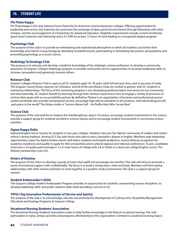### **Phi Theta Kappa**

Phi Theta Kappa is the only national honor fraternity for American community/junior colleges. Offering opportunities for leadership and service, the fraternity also promotes the exchange of ideas, personal enrichment through fellowship with other scholars, and the encouragement of scholarships for advanced education. Eligibility requirements include current enrollment, good moral character and citizenship and a 3.5 GPA for at least 12 hours of work leading to a recognized degree program.

### **Psychology Club**

The purpose of this club is to provide an entertaining and inspirational atmosphere in which all students can further their knowledge and interest in psychology by attending scheduled events, participating in stimulating discussions, presentations and promoting psychology as a social science.

### **Radiology Technology Club**

The purpose is to educate and develop a student's knowledge of the radiologic science profession, to develop a community awareness of Grayson College's Radiology program, to provide community service opportunities, to promote leadership skills, to increase camaraderie and generosity towards others.

### **Rotaract Club**

Grayson College's Rotaract Club is open to all GC students aged 18 -30 years, both full and part-time, and in any area of study. The Grayson County Rotary sponsor GC's Rotaract, and all of the area Rotary Clubs are invited to partner with GC students in mentoring relationships. The focus of the mentoring program is ton developing professionalism and service to our community and internationally. GC student benefit by learning through their mentors' experiences how to engage a variety of processes to achieve their goals with an accountability partner. By definition "Rotary is an organization of business and professional person united worldwide who provide humanitarian service, encourage high ethical standards in all vocations, and help build good will and peace in the world." The Rotary motto is "Service Above Self – He Profits Most Who Serves Best."

### **Science Club**

The purpose of the club shall be to: Explore the interdisciplinary aspect of science, encourage student involvement in the science, provide a support group for students enrolled in science classes, and to encourage student involvement in community science activities.

### **Sigma Kappa Delta**

National English Honor Society for students in two-year colleges. Students who join Tau Alpha's community of readers and writers inherit a strong tradition. Among GC's Tau with those who plan to earn a bachelor's degree in English. Members seek leadership opportunities; enjoy Tau Alpha's festive events with fellow students and English professors, receive lifelong recognition for academic excellence and qualify to apply for SKD scholarships and to attend regional and national conferences. To join, candidates must earn a 3.0 grade point average in 12 or more hours of college with a B or better in a least one college English course. The lifetime membership costs \$25.

### **Sisters of Destiny**

The purpose of this club is to develop a group of sisters that uplift and encourage one another. The club will strive to promote a sense of emotional support with confidentially. The focus is to build a strong heart, mind and body. Members will form lasting relationships with other women and learn to work together in a positive study environment. The club is a support group for women.

### **Student Ambassador's (GSA)**

The Grayson College Student Ambassador Program provides an opportunity for students, representing various disciplines, to develop leadership skills, and public relations skills while providing a service to GC.

### **TIPSS (Top Innovative Professionals of Service and Spirits)**

The purpose of the club is to acknowledge, educate and promote the development of Culinary Arts, Hospitality Management, Viticulture and Enology Programs at Grayson College.

### **Vocational Nursing Students' Association**

The Vocational Nursing Students' Association seeks to help further knowledge in the field of vocational nursing. This club participates in many campus activities and programs. Membership in this organization is limited to vocational nursing majors.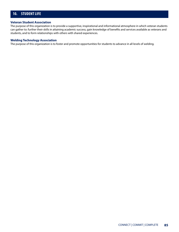### **Veteran Student Association**

The purpose of this organization is to provide a supportive, inspirational and informational atmosphere in which veteran students can gather to: further their skills in attaining academic success, gain knowledge of benefits and services available as veterans and students, and to form relationships with others with shared experiences.

### **Welding Technology Association**

The purpose of this organization is to foster and promote opportunities for students to advance in all levels of welding.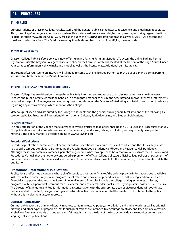## **11. PROCEDURES**

### **11.1 GC ALERT**

Current students of Grayson College, Faculty, Staff, and the general public can register to receive text and email messages via GC Alert, the college's emergency notification system. This web-based service sends high-priority messages during urgent situations. Register through www.grayson.edu. GC Alert also includes the ALERTUS desktop notification as well as ALERTUS beacons and speakers in select locations. The Outdoor Warning Siren is also utilized to assist in notifying those outside.

### **11.2 PARKING PERMITS**

Grayson College Public Safety Services is now offering online Parking Permit registration. To access the online Parking Permit registration, visit the Grayson College website and click on the Campus Safety link located at the bottom of the page. You will need your contact information, vehicle make and model as well as the license plate. Additional permits are \$5.

Important: After registering online, you will still need to come to the Police Department to pick up your parking permit. Permits are issued on both the Main and South Campuses.

## **11.3 PUBLICATIONS AND MEDIA RELATIONS POLICY**

Grayson College has an obligation to keep the public fully informed and to practice open disclosure. At the same time, news releases and public interviews must be handled in a thoughtful manner to assure the accuracy and appropriateness of statements released to the public. Employees and student groups should contact the Director of Marketing and Public Information in advance regarding any media coverage which mentions the College.

Materials published and distributed by the College to students and the general public generally fall into one of the following six categories: Policy, Procedural, Promotional/Informational, Cultural, Paid Advertising, and Student Publications.

### **Policy Publications**

The only publication of the College that expresses in writing official college policy shall be the GC Policies and Procedures Manual. This publication shall take precedence over all other manuals, handbooks, catalogs, bulletins, and any other type of printed materials. The policy manual is available online at www.grayson.edu.

### **Procedural Publications**

Procedural publications summarize policy and/or outline operational procedures, codes of conduct, and the like, as they relate to a specific campus population. Examples are the Faculty Handbook, Student Handbook, and Residence Hall Handbook. Although these may contain summaries, paraphrasing, or even what may appear to be verbatim excerpts from the GC Policies and Procedures Manual, they are not to be considered expressions of official College policy. As official college policies or statements of purpose, mission, vision, etc. are revised, it is the duty of the personnel responsible for the document(s) to immediately update the publication.

## **Promotional/Informational Publications**

Publications and/or media contacts whose chief intent is to promote or "market" the college provide information about available instructional and community service programs, application and enrollment procedures and deadlines, registration dates, costs, financial aid opportunities, and other items of general interest. Examples include the college catalog, schedules of classes, program brochures, pamphlets, campus maps, academic and activity calendars, fact sheets, flyers, posters, postcards, and the like. The Director of Marketing and Public Information, in consultation with the appropriate dean or vice president, will coordinate matters related to content, design, printing and distribution. No such publication shall be created or distributed to the public without this involvement and/or approval.

### **Cultural Publications**

Cultural publications are primarily literary in nature, containing essays, poetry, short fiction, and similar works, as well as original drawing and other types of graphic art. While such publications are intended to encourage creativity and freedom of expression, all shall conform to standards of good taste and fairness. It shall be the duty of the instructional deans to monitor content and language of such publications.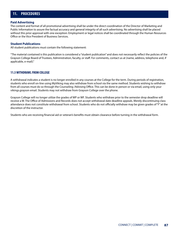## **11. PROCEDURES**

### **Paid Advertising**

The content and format of all promotional advertising shall be under the direct coordination of the Director of Marketing and Public Information to assure the factual accuracy and general integrity of all such advertising. No advertising shall be placed without this prior approval with one exception: Employment or legal notices shall be coordinated through the Human Resources Office or the Vice President of Business Services.

### **Student Publications**

All student publications must contain the following statement:

"The material contained is this publication is considered a "student publication" and does not necessarily reflect the policies of the Grayson College Board of Trustees, Administration, faculty, or staff. For comments, contact us at (name, address, telephone and, if applicable, e-mail)."

## **11.5 WITHDRAWL FROM COLLEGE**

A withdrawal indicates a student is no longer enrolled in any courses at the College for the term. During periods of registration, students who enroll on-line using MyViking may also withdraw from school via the same method. Students wishing to withdraw from all courses must do so through the Counseling /Advising Office. This can be done in person or via email, using only your vikings.grayson email. Students may not withdraw from Grayson College over the phone.

Grayson College will no longer utilize the grades of WP or WF. Students who withdraw prior to the semester drop deadline will receive a W. The Office of Admissions and Records does not accept withdrawal date deadline appeals. Merely discontinuing class attendance does not constitute withdrawal from school. Students who do not officially withdraw may be given grades of "F" at the discretion of the instructor.

Students who are receiving financial aid or veteran's benefits must obtain clearance before turning in the withdrawal form.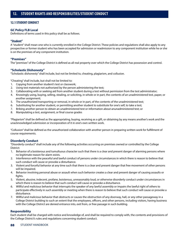## **12.1 STUDENT CONDUCT**

## **GC Policy FLB Local**

Definitions of terms used in this policy shall be as follows.

## **"Student"**

A "student" shall mean one who is currently enrolled in the College District. These policies and regulations shall also apply to any prospective or former student who has been accepted for admission or readmission to any component institution while he or she is on the premises of any component institution.

## **"Premises"**

The "premises" of the College District is defined as all real property over which the College District has possession and control.

## **"Scholastic Dishonesty"**

"Scholastic dishonesty" shall include, but not be limited to, cheating, plagiarism, and collusion.

"Cheating" shall include, but shall not be limited to:

- 1. Copying from another student's test or classwork;
- 2. Using test materials not authorized by the person administering the test;
- 3. Collaborating with or seeking aid from another student during a test without permission from the test administrator;
- 4. Knowingly using, buying, selling, stealing, or soliciting, in whole or in part, the contents of an unadministered test, paper, or another assignment;
- 5. The unauthorized transporting or removal, in whole or in part, of the contents of the unadministered test;
- 6. Substituting for another student, or permitting another student to substitute for one's self, to take a test;
- 7. Bribing another person to obtain an unadministered test or information about anunadministered test; or
- 8. Manipulating a test, assignment, or final course grades

"Plagiarism" shall be defined as the appropriating, buying, receiving as a gift, or obtaining by any means another's work and the unacknowledged submission or incorporation of it in one's own written work.

"Collusion" shall be defined as the unauthorized collaboration with another person in preparing written work for fulfillment of course requirements.

## **Disorderly Conduct**

"Disorderly conduct" shall include any of the following activities occurring on premises owned or controlled by the College District:

- 1. Behavior of a boisterous and tumultuous character such that there is a clear and present danger of alarming persons where no legitimate reason for alarm exists.
- 2. Interference with the peaceful and lawful conduct of persons under circumstances in which there is reason to believe that such conduct will cause or provoke a disturbance.
- 3. Violent and forceful behavior at any time such that there is a clear and present danger that free movement of other persons will be impaired.
- 4. Behavior involving personal abuse or assault when such behavior creates a clear and present danger of causing assaults or fights.
- 5. Violent, abusive, indecent, profane, boisterous, unreasonably loud, or otherwise disorderly conduct under circumstances in which there is reason to believe that such conduct will cause or provoke a disturbance.
- 6. Willful and malicious behavior that interrupts the speaker of any lawful assembly or impairs the lawful right of others to participate effectively in such assembly or meeting when there is reason to believe that such conduct will cause or provoke a disturbance.
- 7. Willful and malicious behavior that obstructs or causes the obstruction of any doorway, hall, or any other passageway in a College District building to such an extent that the employees, officers, and other persons, including visitors, having business with the College District are denied entrance into, exit from, or free passage in such building.

## **Responsibility**

Each student shall be charged with notice and knowledge of, and shall be required to comply with, the contents and provisions of the College District's rules and regulations concerning student conduct.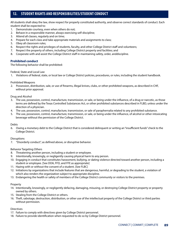All students shall obey the law, show respect for properly constituted authority, and observe correct standards of conduct. Each student shall be expected to:

- 1. Demonstrate courtesy, even when others do not;
- 2. Behave in a responsible manner, always exercising self-discipline;
- 3. Attend all classes, regularly and on time;
- 4. Prepare for each class and take appropriate materials and assignments to class;
- 5. Obey all classroom rules;
- 6. Respect the rights and privileges of students, faculty, and other College District staff and volunteers;
- 7. Respect the property of others, including College District property and facilities; and
- 8. Cooperate with and assist the College District staff in maintaining safety, order, anddiscipline.

## **Prohibited conduct**

The following behavior shall be prohibited:

Federal, State and Local Law

1. Violations of federal, state, or local law or College District policies, procedures, or rules, including the student handbook.

Prohibited Weapons

2. Possession, distribution, sale, or use of firearms, illegal knives, clubs, or other prohibited weapons, as described in CHF, without prior approval.

### Drug and Alcohol

- 3. The use, possession, control, manufacture, transmission, or sale, or being under the influence, of a drug or narcotic, as those terms are defined by the Texas Controlled Substances Act, or other prohibited substances described in FLBD, unless under the direction of a physician.
- 4. The use, possession, control, manufacture, transmission, or sale of paraphernalia related to any prohibited substance.
- 5. The use, possession, control, manufacture, transmission, or sale, or being under the influence, of alcohol or other intoxicating beverage without the permission of the College District.

### Debts

6. Owing a monetary debt to the College District that is considered delinquent or writing an "insufficient funds" check to the College District.

### **Disruptions**

7. "Disorderly conduct", as defined above, or disruptive behavior.

### Behavior Targeting Others

- 8. Threatening another person, including a student or employee.
- 9. Intentionally, knowingly, or negligently causing physical harm to any person.
- 10. Engaging in conduct that constitutes harassment, bullying, or dating violence directed toward another person, including a student or employee. [See DOA, FFD, and FFE as appropriate]
- 11. Hazing with or without the consent of a student. [See FLBC]
- 12. Initiations by organizations that include features that are dangerous, harmful, or degrading to the student, a violation of which also renders the organization subject to appropriate discipline.
- 13. Endangering the health or safety of members of the College District community or visitors to the premises.

### Property

- 14. Intentionally, knowingly, or negligently defacing, damaging, misusing, or destroying College District property or property owned by others.
- 15. Stealing from the College District or others.
- 16. Theft, sabotage, destruction, distribution, or other use of the intellectual property of the College District or third parties without permission.

### **Directives**

- 17. Failure to comply with directives given by College District personnel.
- 18. Failure to provide identification when requested to do so by College District personnel.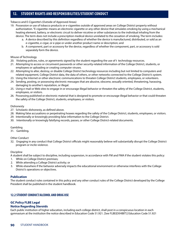### Tobacco and E-Cigarette's (Outside of Approved Areas)

- 19. Possession or use of tobacco products or e-cigarettes outside of approved areas on College District property without authorization. "E-cigarette• means an electronic cigarette or any other device that simulates smoking by using a mechanical heating element, battery, or electronic circuit to deliver nicotine or other substances to the individual inhaling from the device. The term does not include a prescription medical device unrelated to the cessation of smoking. The term includes:
	- a. A device described by this definition regardless of whether the device is manufactured, distributed, or sold as an e-cigarette, e-cigar, or e-pipe or under another product name or description; and
	- b. A component, part or accessory for the device, regardless of whether the component, part, or accessory is sold separately form the device.

### Misuse of Technology

- 20. Violating policies, rules, or agreements signed by the student regarding the use of t technology resources.
- 21. Attempting to access or circumvent passwords or other security-related information of the College District, students, or employees or uploading or creating computer viruses.
- 22. Attempting to alter, destroy, or disable College District technology resources including but not limited to computers and related equipment, College District data, the data of others, or other networks connected to the College District's system.
- 23. Using the Internet or other electronic communications to threaten College District students, employees, or volunteers.
- 24. Sending, posting, or possessing electronic messages that are abusive, obscene, sexually oriented, threatening, harassing, damaging to another's reputation, or illegal.
- 25. Using e-mail or Web sites to engage in or encourage illegal behavior or threaten the safety of the College District, students, employees, or visitors.
- 26. Possessing published or electronic material that is designed to promote or encourage illegal behavior or that could threaten the safety of the College District, students, employees, or visitors.

### Dishonesty

- 27. Scholastic dishonesty, as defined above.
- 28. Making false accusations or perpetrating hoaxes regarding the safety of the College District, students, employees, or visitors.
- 29. Intentionally or knowingly providing false information to the College District.
- 30. Intentionally or knowingly falsifying records, passes, or other College District-related documents.

### Gambling

31. Gambling.

### Other Conduct

32. Engaging in any conduct that College District officials might reasonably believe will substantially disrupt the College District program or incite violence.

### Discipline

A student shall be subject to discipline, including suspension, in accordance with FM and FMA if the student violates this policy:

- 1. While on College District premises;
- 2. While attending a College District activity; or
- 3. While elsewhere if the behavior adversely impacts the educational environment or otherwise interferes with the College District's operations or objectives.

### **Publication**

The student conduct rules contained in this policy and any other conduct rules of the College District developed by the College President shall be published in the student handbook.

## **12.2 STUDENT CONDUCT/ALCOHOL AND DRUG USE**

## **GC Policy FLBE Legal**

### **Notice Regarding Steroids**

Each public institution of higher education, including each college district, shall post in a conspicuous location in each gymnasium at the institution the notice described in Education Code 51.921. [See FLBE(EXHIBIT)] Education Code 51.921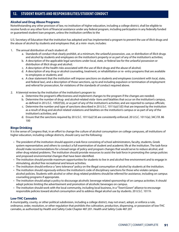## **Alcohol and Drug Abuse Programs**

Notwithstanding any other provision of law, no institution of higher education, including a college district, shall be eligible to receive funds or any other form of financial assistance under any federal program, including participation in any federally funded or guaranteed student loan program, unless the institution certifies to the

U.S. Secretary of Education that the institution has adopted and has implemented a program to prevent the use of illicit drugs and the abuse of alcohol by students and employees that, at a mini- mum, includes:

- 1. The annual distribution of each student of:
	- a. Standards of conduct that clearly prohibit, at a minimum, the unlawful possession, use, or distribution of illicit drugs and alcohol by students and employees on the institution's property or as part of any of the institution's activities;
	- b. A description of the applicable legal sanctions under local, state, or federal law for the unlawful possession or distribution of illicit drugs and alcohol;
	- c. A description of the health risks associated with the use of illicit drugs and the abuse of alcohol;
	- d. A description of any drug or alcohol counseling, treatment, or rehabilitation or re- entry programs that are available to employees or students; and
	- e. A clear statement that the institution will impose sanctions on students and employees (consistent with local, state, and federal law), and a description of those sanctions, up to and including expulsion or termination of employment and referral for prosecution, for violations of the standards of conduct required above.
- 2. A biennial review by the institution of the institution's program to:
	- a. Determine the program's effectiveness and implement changes to the program if the changes are needed;
	- b. Determine the number of drug- and alcohol-related viola- tions and fatalities that occur on the institution's campus, as defined in 20 U.S.C. 1092(f)(6), or as part of any of the institution's activities; and are reported to campus officials;
	- c. Determine the number and type of sanctions described in 20 U.S.C. 1011i(a)(1)(E) that are imposed by the institution as a result of drug and alcohol related violations and fatalities on the institution's campus or as part of any of the institution's activities; and
	- d. Ensure that the sanctions required by 20 U.S.C. 1011i(a)(1)€ are consistently enforced. 20 U.S.C. 1011i(a); 34C.F.R. 86 100

## **Binge Drinking**

It is the sense of Congress that, in an effort to change the culture of alcohol consumption on college campuses, all institutions of higher education, including college districts, should carry out the following:

- The president of the institution should appoint a task-force consisting of school administrators, faculty, students, Greek system representative; and others to conduct a full examination of student and academic life at the institution. The task-force should make recommendations for a broad range of policy and program changes that would serve to reduce alcohol, and other drug related problems. The institution should provide resources to assist the task force in promoting the camps policies and proposed environmental changes that have been identified.
- The institution should provide maximum opportunities for students to live in and alcohol free environment and to engage in stimulating, alcohol free recreational and leisure activities.
- The institution should enforce a "zero tolerance" policy on the illegal consumption of alcohol by students at the institution.
- The institution should vigorously enforce the institution's code of disciplinary sanctions for those who violate campus alcohol policies. Students with alcohol or other drug related problems should be referred for assistance, including on campus counseling programs if appropriate.
- The institution should adopt a policy to discourage alcoholic beverage related sponsorship of on campus activities. It should adopt policies limiting the advertisement and promotion of alcoholic beverages on campus.
- The institution should work with the local community, including local business, in a "Town\Gown" alliance to encourage responsible policies toward alcohol consumption and to address illegal alcohol use by students. 20 U.S.C. 1011h

### **Low-THC Cannabis**

A municipality, county, or other political subdivision, including a college district, may not enact, adopt, or enforce a rule, ordinance, order, resolution, or other regulation that prohibits the cultivation, production, dispensing, or possession of low-THC cannabis, as authorized by Health and Safety Code Chapter 487.201. Health and Safety Code 487.201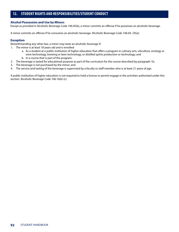### **Alcohol Possession and Use by Minors**

Except as provided in Alcoholic Beverage Code 106.05(b), a minor commits an offense if he possesses an alcoholic beverage.

A minor commits an offense if he consumes an alcoholic beverage. Alcoholic Beverage Code 106.04, .OS(a)

### **Exception**

Notwithstanding any other law, a minor may taste an alcoholic beverage if:

- 1. The minor is at least 18 years old and is enrolled:
	- a. As a student at a public institution of higher education that offers a program in culinary arts, viticulture, enology or wine technology, brewing or beer technology, or distilled spirits production or technology; and
	- b. In a course that is part of the program;
- 2. The beverage is tasted for educational purpose as part of the curriculum for the course described by paragraph 1b;
- 3. The beverage is not purchased by the minor; and
- 4. The service and tasting of the beverage is supervised by a faculty or staff member who is at least 21 years of age.

A public institution of higher education is not required to hold a license or permit engage in the activities authorized under this section. Alcoholic Beverage Code 106.16(b)-(c)